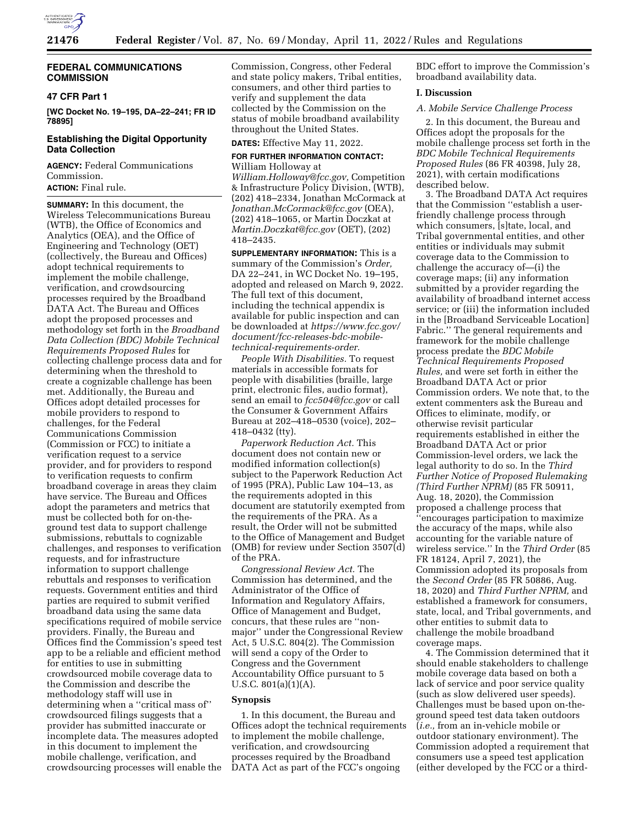

# **FEDERAL COMMUNICATIONS COMMISSION**

#### **47 CFR Part 1**

**[WC Docket No. 19–195, DA–22–241; FR ID 78895]** 

#### **Establishing the Digital Opportunity Data Collection**

**AGENCY:** Federal Communications Commission. **ACTION:** Final rule.

**SUMMARY:** In this document, the Wireless Telecommunications Bureau (WTB), the Office of Economics and Analytics (OEA), and the Office of Engineering and Technology (OET) (collectively, the Bureau and Offices) adopt technical requirements to implement the mobile challenge, verification, and crowdsourcing processes required by the Broadband DATA Act. The Bureau and Offices adopt the proposed processes and methodology set forth in the *Broadband Data Collection (BDC) Mobile Technical Requirements Proposed Rules* for collecting challenge process data and for determining when the threshold to create a cognizable challenge has been met. Additionally, the Bureau and Offices adopt detailed processes for mobile providers to respond to challenges, for the Federal Communications Commission (Commission or FCC) to initiate a verification request to a service provider, and for providers to respond to verification requests to confirm broadband coverage in areas they claim have service. The Bureau and Offices adopt the parameters and metrics that must be collected both for on-theground test data to support challenge submissions, rebuttals to cognizable challenges, and responses to verification requests, and for infrastructure information to support challenge rebuttals and responses to verification requests. Government entities and third parties are required to submit verified broadband data using the same data specifications required of mobile service providers. Finally, the Bureau and Offices find the Commission's speed test app to be a reliable and efficient method for entities to use in submitting crowdsourced mobile coverage data to the Commission and describe the methodology staff will use in determining when a ''critical mass of'' crowdsourced filings suggests that a provider has submitted inaccurate or incomplete data. The measures adopted in this document to implement the mobile challenge, verification, and crowdsourcing processes will enable the

Commission, Congress, other Federal and state policy makers, Tribal entities, consumers, and other third parties to verify and supplement the data collected by the Commission on the status of mobile broadband availability throughout the United States.

## **DATES:** Effective May 11, 2022.

#### **FOR FURTHER INFORMATION CONTACT:**  William Holloway at

*[William.Holloway@fcc.gov,](mailto:William.Holloway@fcc.gov)* Competition & Infrastructure Policy Division, (WTB), (202) 418–2334, Jonathan McCormack at *[Jonathan.McCormack@fcc.gov](mailto:Jonathan.McCormack@fcc.gov)* (OEA), (202) 418–1065, or Martin Doczkat at *[Martin.Doczkat@fcc.gov](mailto:Martin.Doczkat@fcc.gov)* (OET), (202) 418–2435.

**SUPPLEMENTARY INFORMATION:** This is a summary of the Commission's *Order,*  DA 22–241, in WC Docket No. 19–195, adopted and released on March 9, 2022. The full text of this document, including the technical appendix is available for public inspection and can be downloaded at *[https://www.fcc.gov/](https://www.fcc.gov/document/fcc-releases-bdc-mobile-technical-requirements-order)  [document/fcc-releases-bdc-mobile](https://www.fcc.gov/document/fcc-releases-bdc-mobile-technical-requirements-order)technical-requirements-order.* 

*People With Disabilities.* To request materials in accessible formats for people with disabilities (braille, large print, electronic files, audio format), send an email to *[fcc504@fcc.gov](mailto:fcc504@fcc.gov)* or call the Consumer & Government Affairs Bureau at 202–418–0530 (voice), 202– 418–0432 (tty).

*Paperwork Reduction Act.* This document does not contain new or modified information collection(s) subject to the Paperwork Reduction Act of 1995 (PRA), Public Law 104–13, as the requirements adopted in this document are statutorily exempted from the requirements of the PRA. As a result, the Order will not be submitted to the Office of Management and Budget (OMB) for review under Section 3507(d) of the PRA.

*Congressional Review Act.* The Commission has determined, and the Administrator of the Office of Information and Regulatory Affairs, Office of Management and Budget, concurs, that these rules are ''nonmajor'' under the Congressional Review Act, 5 U.S.C. 804(2). The Commission will send a copy of the Order to Congress and the Government Accountability Office pursuant to 5 U.S.C. 801(a)(1)(A).

#### **Synopsis**

1. In this document, the Bureau and Offices adopt the technical requirements to implement the mobile challenge, verification, and crowdsourcing processes required by the Broadband DATA Act as part of the FCC's ongoing

BDC effort to improve the Commission's broadband availability data.

## **I. Discussion**

## *A. Mobile Service Challenge Process*

2. In this document, the Bureau and Offices adopt the proposals for the mobile challenge process set forth in the *BDC Mobile Technical Requirements Proposed Rules* (86 FR 40398, July 28, 2021), with certain modifications described below.

3. The Broadband DATA Act requires that the Commission ''establish a userfriendly challenge process through which consumers, [s]tate, local, and Tribal governmental entities, and other entities or individuals may submit coverage data to the Commission to challenge the accuracy of—(i) the coverage maps; (ii) any information submitted by a provider regarding the availability of broadband internet access service; or (iii) the information included in the [Broadband Serviceable Location] Fabric.'' The general requirements and framework for the mobile challenge process predate the *BDC Mobile Technical Requirements Proposed Rules,* and were set forth in either the Broadband DATA Act or prior Commission orders. We note that, to the extent commenters ask the Bureau and Offices to eliminate, modify, or otherwise revisit particular requirements established in either the Broadband DATA Act or prior Commission-level orders, we lack the legal authority to do so. In the *Third Further Notice of Proposed Rulemaking (Third Further NPRM)* (85 FR 50911, Aug. 18, 2020), the Commission proposed a challenge process that ''encourages participation to maximize the accuracy of the maps, while also accounting for the variable nature of wireless service.'' In the *Third Order* (85 FR 18124, April 7, 2021), the Commission adopted its proposals from the *Second Order* (85 FR 50886, Aug. 18, 2020) and *Third Further NPRM,* and established a framework for consumers, state, local, and Tribal governments, and other entities to submit data to challenge the mobile broadband coverage maps.

4. The Commission determined that it should enable stakeholders to challenge mobile coverage data based on both a lack of service and poor service quality (such as slow delivered user speeds). Challenges must be based upon on-theground speed test data taken outdoors (*i.e.,* from an in-vehicle mobile or outdoor stationary environment). The Commission adopted a requirement that consumers use a speed test application (either developed by the FCC or a third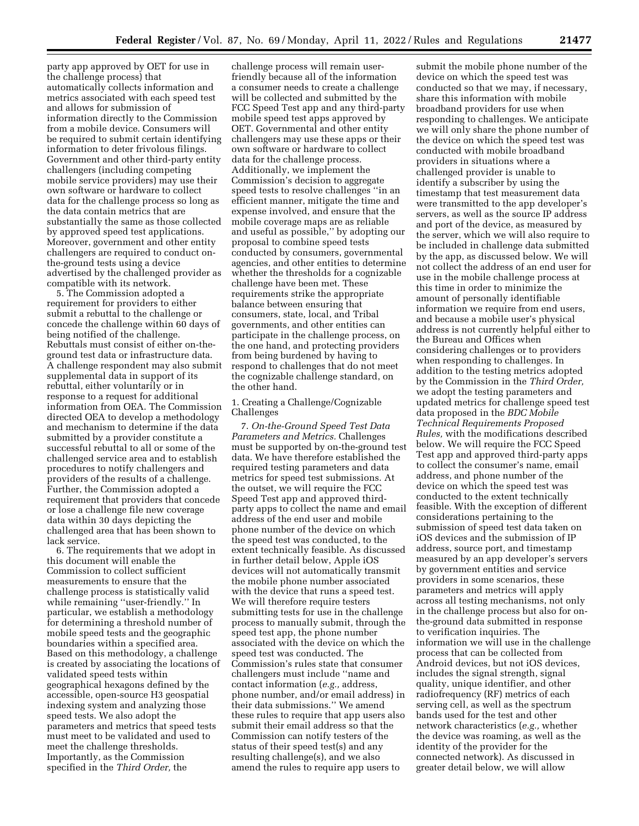party app approved by OET for use in the challenge process) that automatically collects information and metrics associated with each speed test and allows for submission of information directly to the Commission from a mobile device. Consumers will be required to submit certain identifying information to deter frivolous filings. Government and other third-party entity challengers (including competing mobile service providers) may use their own software or hardware to collect data for the challenge process so long as the data contain metrics that are substantially the same as those collected by approved speed test applications. Moreover, government and other entity challengers are required to conduct onthe-ground tests using a device advertised by the challenged provider as compatible with its network.

5. The Commission adopted a requirement for providers to either submit a rebuttal to the challenge or concede the challenge within 60 days of being notified of the challenge. Rebuttals must consist of either on-theground test data or infrastructure data. A challenge respondent may also submit supplemental data in support of its rebuttal, either voluntarily or in response to a request for additional information from OEA. The Commission directed OEA to develop a methodology and mechanism to determine if the data submitted by a provider constitute a successful rebuttal to all or some of the challenged service area and to establish procedures to notify challengers and providers of the results of a challenge. Further, the Commission adopted a requirement that providers that concede or lose a challenge file new coverage data within 30 days depicting the challenged area that has been shown to lack service.

6. The requirements that we adopt in this document will enable the Commission to collect sufficient measurements to ensure that the challenge process is statistically valid while remaining ''user-friendly.'' In particular, we establish a methodology for determining a threshold number of mobile speed tests and the geographic boundaries within a specified area. Based on this methodology, a challenge is created by associating the locations of validated speed tests within geographical hexagons defined by the accessible, open-source H3 geospatial indexing system and analyzing those speed tests. We also adopt the parameters and metrics that speed tests must meet to be validated and used to meet the challenge thresholds. Importantly, as the Commission specified in the *Third Order,* the

challenge process will remain userfriendly because all of the information a consumer needs to create a challenge will be collected and submitted by the FCC Speed Test app and any third-party mobile speed test apps approved by OET. Governmental and other entity challengers may use these apps or their own software or hardware to collect data for the challenge process. Additionally, we implement the Commission's decision to aggregate speed tests to resolve challenges ''in an efficient manner, mitigate the time and expense involved, and ensure that the mobile coverage maps are as reliable and useful as possible,'' by adopting our proposal to combine speed tests conducted by consumers, governmental agencies, and other entities to determine whether the thresholds for a cognizable challenge have been met. These requirements strike the appropriate balance between ensuring that consumers, state, local, and Tribal governments, and other entities can participate in the challenge process, on the one hand, and protecting providers from being burdened by having to respond to challenges that do not meet the cognizable challenge standard, on the other hand.

## 1. Creating a Challenge/Cognizable Challenges

7. *On-the-Ground Speed Test Data Parameters and Metrics.* Challenges must be supported by on-the-ground test data. We have therefore established the required testing parameters and data metrics for speed test submissions. At the outset, we will require the FCC Speed Test app and approved thirdparty apps to collect the name and email address of the end user and mobile phone number of the device on which the speed test was conducted, to the extent technically feasible. As discussed in further detail below, Apple iOS devices will not automatically transmit the mobile phone number associated with the device that runs a speed test. We will therefore require testers submitting tests for use in the challenge process to manually submit, through the speed test app, the phone number associated with the device on which the speed test was conducted. The Commission's rules state that consumer challengers must include ''name and contact information (*e.g.,* address, phone number, and/or email address) in their data submissions.'' We amend these rules to require that app users also submit their email address so that the Commission can notify testers of the status of their speed test(s) and any resulting challenge(s), and we also amend the rules to require app users to

submit the mobile phone number of the device on which the speed test was conducted so that we may, if necessary, share this information with mobile broadband providers for use when responding to challenges. We anticipate we will only share the phone number of the device on which the speed test was conducted with mobile broadband providers in situations where a challenged provider is unable to identify a subscriber by using the timestamp that test measurement data were transmitted to the app developer's servers, as well as the source IP address and port of the device, as measured by the server, which we will also require to be included in challenge data submitted by the app, as discussed below. We will not collect the address of an end user for use in the mobile challenge process at this time in order to minimize the amount of personally identifiable information we require from end users, and because a mobile user's physical address is not currently helpful either to the Bureau and Offices when considering challenges or to providers when responding to challenges. In addition to the testing metrics adopted by the Commission in the *Third Order,*  we adopt the testing parameters and updated metrics for challenge speed test data proposed in the *BDC Mobile Technical Requirements Proposed Rules,* with the modifications described below. We will require the FCC Speed Test app and approved third-party apps to collect the consumer's name, email address, and phone number of the device on which the speed test was conducted to the extent technically feasible. With the exception of different considerations pertaining to the submission of speed test data taken on iOS devices and the submission of IP address, source port, and timestamp measured by an app developer's servers by government entities and service providers in some scenarios, these parameters and metrics will apply across all testing mechanisms, not only in the challenge process but also for onthe-ground data submitted in response to verification inquiries. The information we will use in the challenge process that can be collected from Android devices, but not iOS devices, includes the signal strength, signal quality, unique identifier, and other radiofrequency (RF) metrics of each serving cell, as well as the spectrum bands used for the test and other network characteristics (*e.g.,* whether the device was roaming, as well as the identity of the provider for the connected network). As discussed in greater detail below, we will allow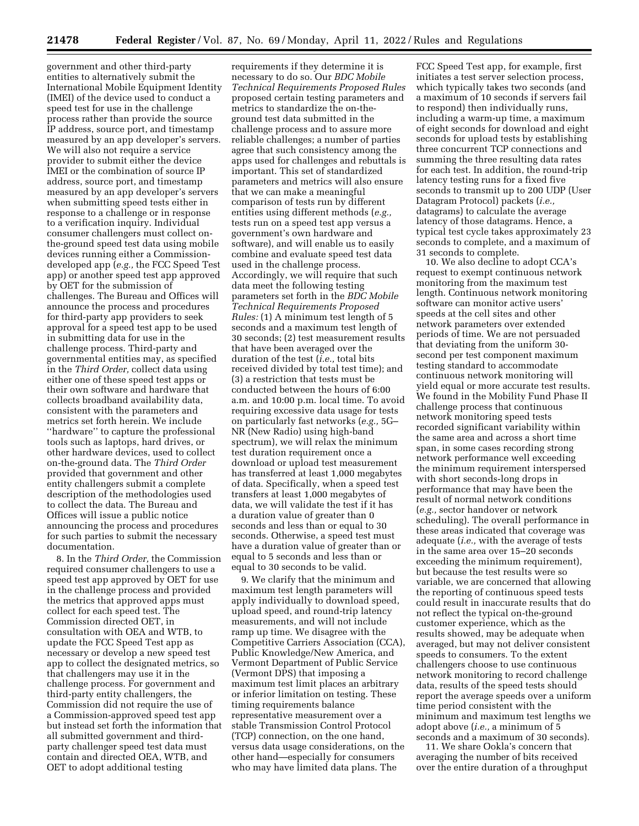government and other third-party entities to alternatively submit the International Mobile Equipment Identity (IMEI) of the device used to conduct a speed test for use in the challenge process rather than provide the source IP address, source port, and timestamp measured by an app developer's servers. We will also not require a service provider to submit either the device IMEI or the combination of source IP address, source port, and timestamp measured by an app developer's servers when submitting speed tests either in response to a challenge or in response to a verification inquiry. Individual consumer challengers must collect onthe-ground speed test data using mobile devices running either a Commissiondeveloped app (*e.g.,* the FCC Speed Test app) or another speed test app approved by OET for the submission of challenges. The Bureau and Offices will announce the process and procedures for third-party app providers to seek approval for a speed test app to be used in submitting data for use in the challenge process. Third-party and governmental entities may, as specified in the *Third Order,* collect data using either one of these speed test apps or their own software and hardware that collects broadband availability data, consistent with the parameters and metrics set forth herein. We include ''hardware'' to capture the professional tools such as laptops, hard drives, or other hardware devices, used to collect on-the-ground data. The *Third Order*  provided that government and other entity challengers submit a complete description of the methodologies used to collect the data. The Bureau and Offices will issue a public notice announcing the process and procedures for such parties to submit the necessary documentation.

8. In the *Third Order,* the Commission required consumer challengers to use a speed test app approved by OET for use in the challenge process and provided the metrics that approved apps must collect for each speed test. The Commission directed OET, in consultation with OEA and WTB, to update the FCC Speed Test app as necessary or develop a new speed test app to collect the designated metrics, so that challengers may use it in the challenge process. For government and third-party entity challengers, the Commission did not require the use of a Commission-approved speed test app but instead set forth the information that all submitted government and thirdparty challenger speed test data must contain and directed OEA, WTB, and OET to adopt additional testing

requirements if they determine it is necessary to do so. Our *BDC Mobile Technical Requirements Proposed Rules*  proposed certain testing parameters and metrics to standardize the on-theground test data submitted in the challenge process and to assure more reliable challenges; a number of parties agree that such consistency among the apps used for challenges and rebuttals is important. This set of standardized parameters and metrics will also ensure that we can make a meaningful comparison of tests run by different entities using different methods (*e.g.,*  tests run on a speed test app versus a government's own hardware and software), and will enable us to easily combine and evaluate speed test data used in the challenge process. Accordingly, we will require that such data meet the following testing parameters set forth in the *BDC Mobile Technical Requirements Proposed Rules:* (1) A minimum test length of 5 seconds and a maximum test length of 30 seconds; (2) test measurement results that have been averaged over the duration of the test (*i.e.,* total bits received divided by total test time); and (3) a restriction that tests must be conducted between the hours of 6:00 a.m. and 10:00 p.m. local time. To avoid requiring excessive data usage for tests on particularly fast networks (*e.g.,* 5G– NR (New Radio) using high-band spectrum), we will relax the minimum test duration requirement once a download or upload test measurement has transferred at least 1,000 megabytes of data. Specifically, when a speed test transfers at least 1,000 megabytes of data, we will validate the test if it has a duration value of greater than 0 seconds and less than or equal to 30 seconds. Otherwise, a speed test must have a duration value of greater than or equal to 5 seconds and less than or equal to 30 seconds to be valid.

9. We clarify that the minimum and maximum test length parameters will apply individually to download speed, upload speed, and round-trip latency measurements, and will not include ramp up time. We disagree with the Competitive Carriers Association (CCA), Public Knowledge/New America, and Vermont Department of Public Service (Vermont DPS) that imposing a maximum test limit places an arbitrary or inferior limitation on testing. These timing requirements balance representative measurement over a stable Transmission Control Protocol (TCP) connection, on the one hand, versus data usage considerations, on the other hand—especially for consumers who may have limited data plans. The

FCC Speed Test app, for example, first initiates a test server selection process, which typically takes two seconds (and a maximum of 10 seconds if servers fail to respond) then individually runs, including a warm-up time, a maximum of eight seconds for download and eight seconds for upload tests by establishing three concurrent TCP connections and summing the three resulting data rates for each test. In addition, the round-trip latency testing runs for a fixed five seconds to transmit up to 200 UDP (User Datagram Protocol) packets (*i.e.,*  datagrams) to calculate the average latency of those datagrams. Hence, a typical test cycle takes approximately 23 seconds to complete, and a maximum of 31 seconds to complete.

10. We also decline to adopt CCA's request to exempt continuous network monitoring from the maximum test length. Continuous network monitoring software can monitor active users' speeds at the cell sites and other network parameters over extended periods of time. We are not persuaded that deviating from the uniform 30 second per test component maximum testing standard to accommodate continuous network monitoring will yield equal or more accurate test results. We found in the Mobility Fund Phase II challenge process that continuous network monitoring speed tests recorded significant variability within the same area and across a short time span, in some cases recording strong network performance well exceeding the minimum requirement interspersed with short seconds-long drops in performance that may have been the result of normal network conditions (*e.g.,* sector handover or network scheduling). The overall performance in these areas indicated that coverage was adequate (*i.e.,* with the average of tests in the same area over 15–20 seconds exceeding the minimum requirement), but because the test results were so variable, we are concerned that allowing the reporting of continuous speed tests could result in inaccurate results that do not reflect the typical on-the-ground customer experience, which as the results showed, may be adequate when averaged, but may not deliver consistent speeds to consumers. To the extent challengers choose to use continuous network monitoring to record challenge data, results of the speed tests should report the average speeds over a uniform time period consistent with the minimum and maximum test lengths we adopt above (*i.e.,* a minimum of 5 seconds and a maximum of 30 seconds).

11. We share Ookla's concern that averaging the number of bits received over the entire duration of a throughput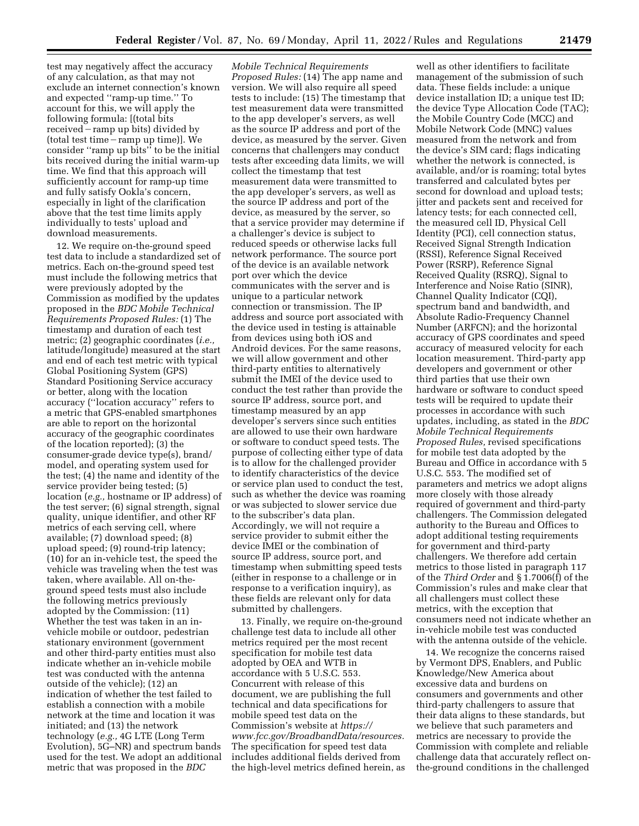test may negatively affect the accuracy of any calculation, as that may not exclude an internet connection's known and expected ''ramp-up time.'' To account for this, we will apply the following formula: [(total bits received – ramp up bits) divided by (total test time-ramp up time)]. We consider ''ramp up bits'' to be the initial bits received during the initial warm-up time. We find that this approach will sufficiently account for ramp-up time and fully satisfy Ookla's concern, especially in light of the clarification above that the test time limits apply individually to tests' upload and download measurements.

12. We require on-the-ground speed test data to include a standardized set of metrics. Each on-the-ground speed test must include the following metrics that were previously adopted by the Commission as modified by the updates proposed in the *BDC Mobile Technical Requirements Proposed Rules:* (1) The timestamp and duration of each test metric; (2) geographic coordinates (*i.e.,*  latitude/longitude) measured at the start and end of each test metric with typical Global Positioning System (GPS) Standard Positioning Service accuracy or better, along with the location accuracy (''location accuracy'' refers to a metric that GPS-enabled smartphones are able to report on the horizontal accuracy of the geographic coordinates of the location reported); (3) the consumer-grade device type(s), brand/ model, and operating system used for the test; (4) the name and identity of the service provider being tested; (5) location (*e.g.,* hostname or IP address) of the test server; (6) signal strength, signal quality, unique identifier, and other RF metrics of each serving cell, where available; (7) download speed; (8) upload speed; (9) round-trip latency; (10) for an in-vehicle test, the speed the vehicle was traveling when the test was taken, where available. All on-theground speed tests must also include the following metrics previously adopted by the Commission: (11) Whether the test was taken in an invehicle mobile or outdoor, pedestrian stationary environment (government and other third-party entities must also indicate whether an in-vehicle mobile test was conducted with the antenna outside of the vehicle); (12) an indication of whether the test failed to establish a connection with a mobile network at the time and location it was initiated; and (13) the network technology (*e.g.,* 4G LTE (Long Term Evolution), 5G–NR) and spectrum bands used for the test. We adopt an additional metric that was proposed in the *BDC* 

*Mobile Technical Requirements Proposed Rules:* (14) The app name and version. We will also require all speed tests to include: (15) The timestamp that test measurement data were transmitted to the app developer's servers, as well as the source IP address and port of the device, as measured by the server. Given concerns that challengers may conduct tests after exceeding data limits, we will collect the timestamp that test measurement data were transmitted to the app developer's servers, as well as the source IP address and port of the device, as measured by the server, so that a service provider may determine if a challenger's device is subject to reduced speeds or otherwise lacks full network performance. The source port of the device is an available network port over which the device communicates with the server and is unique to a particular network connection or transmission. The IP address and source port associated with the device used in testing is attainable from devices using both iOS and Android devices. For the same reasons, we will allow government and other third-party entities to alternatively submit the IMEI of the device used to conduct the test rather than provide the source IP address, source port, and timestamp measured by an app developer's servers since such entities are allowed to use their own hardware or software to conduct speed tests. The purpose of collecting either type of data is to allow for the challenged provider to identify characteristics of the device or service plan used to conduct the test, such as whether the device was roaming or was subjected to slower service due to the subscriber's data plan. Accordingly, we will not require a service provider to submit either the device IMEI or the combination of source IP address, source port, and timestamp when submitting speed tests (either in response to a challenge or in response to a verification inquiry), as these fields are relevant only for data submitted by challengers.

13. Finally, we require on-the-ground challenge test data to include all other metrics required per the most recent specification for mobile test data adopted by OEA and WTB in accordance with 5 U.S.C. 553. Concurrent with release of this document, we are publishing the full technical and data specifications for mobile speed test data on the Commission's website at *[https://](https://www.fcc.gov/BroadbandData/resources) [www.fcc.gov/BroadbandData/resources.](https://www.fcc.gov/BroadbandData/resources)*  The specification for speed test data includes additional fields derived from the high-level metrics defined herein, as

well as other identifiers to facilitate management of the submission of such data. These fields include: a unique device installation ID; a unique test ID; the device Type Allocation Code (TAC); the Mobile Country Code (MCC) and Mobile Network Code (MNC) values measured from the network and from the device's SIM card; flags indicating whether the network is connected, is available, and/or is roaming; total bytes transferred and calculated bytes per second for download and upload tests; jitter and packets sent and received for latency tests; for each connected cell, the measured cell ID, Physical Cell Identity (PCI), cell connection status, Received Signal Strength Indication (RSSI), Reference Signal Received Power (RSRP), Reference Signal Received Quality (RSRQ), Signal to Interference and Noise Ratio (SINR), Channel Quality Indicator (CQI), spectrum band and bandwidth, and Absolute Radio-Frequency Channel Number (ARFCN); and the horizontal accuracy of GPS coordinates and speed accuracy of measured velocity for each location measurement. Third-party app developers and government or other third parties that use their own hardware or software to conduct speed tests will be required to update their processes in accordance with such updates, including, as stated in the *BDC Mobile Technical Requirements Proposed Rules,* revised specifications for mobile test data adopted by the Bureau and Office in accordance with 5 U.S.C. 553. The modified set of parameters and metrics we adopt aligns more closely with those already required of government and third-party challengers. The Commission delegated authority to the Bureau and Offices to adopt additional testing requirements for government and third-party challengers. We therefore add certain metrics to those listed in paragraph 117 of the *Third Order* and § 1.7006(f) of the Commission's rules and make clear that all challengers must collect these metrics, with the exception that consumers need not indicate whether an in-vehicle mobile test was conducted with the antenna outside of the vehicle.

14. We recognize the concerns raised by Vermont DPS, Enablers, and Public Knowledge/New America about excessive data and burdens on consumers and governments and other third-party challengers to assure that their data aligns to these standards, but we believe that such parameters and metrics are necessary to provide the Commission with complete and reliable challenge data that accurately reflect onthe-ground conditions in the challenged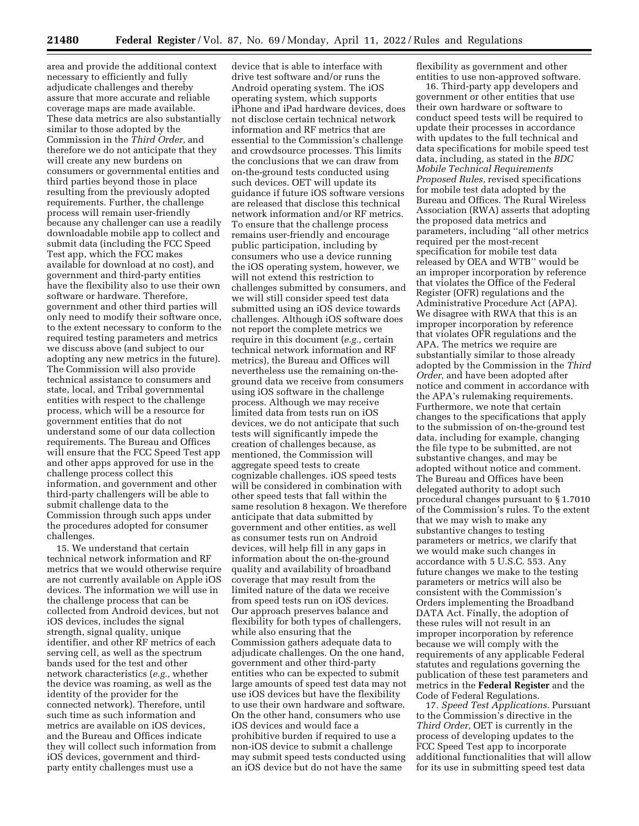area and provide the additional context necessary to efficiently and fully adjudicate challenges and thereby assure that more accurate and reliable coverage maps are made available. These data metrics are also substantially similar to those adopted by the Commission in the *Third Order,* and therefore we do not anticipate that they will create any new burdens on consumers or governmental entities and third parties beyond those in place resulting from the previously adopted requirements. Further, the challenge process will remain user-friendly because any challenger can use a readily downloadable mobile app to collect and submit data (including the FCC Speed Test app, which the FCC makes available for download at no cost), and government and third-party entities have the flexibility also to use their own software or hardware. Therefore, government and other third parties will only need to modify their software once, to the extent necessary to conform to the required testing parameters and metrics we discuss above (and subject to our adopting any new metrics in the future). The Commission will also provide technical assistance to consumers and state, local, and Tribal governmental entities with respect to the challenge process, which will be a resource for government entities that do not understand some of our data collection requirements. The Bureau and Offices will ensure that the FCC Speed Test app and other apps approved for use in the challenge process collect this information, and government and other third-party challengers will be able to submit challenge data to the Commission through such apps under the procedures adopted for consumer challenges.

15. We understand that certain technical network information and RF metrics that we would otherwise require are not currently available on Apple iOS devices. The information we will use in the challenge process that can be collected from Android devices, but not iOS devices, includes the signal strength, signal quality, unique identifier, and other RF metrics of each serving cell, as well as the spectrum bands used for the test and other network characteristics (*e.g.,* whether the device was roaming, as well as the identity of the provider for the connected network). Therefore, until such time as such information and metrics are available on iOS devices, and the Bureau and Offices indicate they will collect such information from iOS devices, government and thirdparty entity challenges must use a

device that is able to interface with drive test software and/or runs the Android operating system. The iOS operating system, which supports iPhone and iPad hardware devices, does not disclose certain technical network information and RF metrics that are essential to the Commission's challenge and crowdsource processes. This limits the conclusions that we can draw from on-the-ground tests conducted using such devices. OET will update its guidance if future iOS software versions are released that disclose this technical network information and/or RF metrics. To ensure that the challenge process remains user-friendly and encourage public participation, including by consumers who use a device running the iOS operating system, however, we will not extend this restriction to challenges submitted by consumers, and we will still consider speed test data submitted using an iOS device towards challenges. Although iOS software does not report the complete metrics we require in this document (*e.g.,* certain technical network information and RF metrics), the Bureau and Offices will nevertheless use the remaining on-theground data we receive from consumers using iOS software in the challenge process. Although we may receive limited data from tests run on iOS devices, we do not anticipate that such tests will significantly impede the creation of challenges because, as mentioned, the Commission will aggregate speed tests to create cognizable challenges. iOS speed tests will be considered in combination with other speed tests that fall within the same resolution 8 hexagon. We therefore anticipate that data submitted by government and other entities, as well as consumer tests run on Android devices, will help fill in any gaps in information about the on-the-ground quality and availability of broadband coverage that may result from the limited nature of the data we receive from speed tests run on iOS devices. Our approach preserves balance and flexibility for both types of challengers, while also ensuring that the Commission gathers adequate data to adjudicate challenges. On the one hand, government and other third-party entities who can be expected to submit large amounts of speed test data may not use iOS devices but have the flexibility to use their own hardware and software. On the other hand, consumers who use iOS devices and would face a prohibitive burden if required to use a non-iOS device to submit a challenge may submit speed tests conducted using an iOS device but do not have the same

flexibility as government and other entities to use non-approved software.

16. Third-party app developers and government or other entities that use their own hardware or software to conduct speed tests will be required to update their processes in accordance with updates to the full technical and data specifications for mobile speed test data, including, as stated in the *BDC Mobile Technical Requirements Proposed Rules,* revised specifications for mobile test data adopted by the Bureau and Offices. The Rural Wireless Association (RWA) asserts that adopting the proposed data metrics and parameters, including ''all other metrics required per the most-recent specification for mobile test data released by OEA and WTB'' would be an improper incorporation by reference that violates the Office of the Federal Register (OFR) regulations and the Administrative Procedure Act (APA). We disagree with RWA that this is an improper incorporation by reference that violates OFR regulations and the APA. The metrics we require are substantially similar to those already adopted by the Commission in the *Third Order,* and have been adopted after notice and comment in accordance with the APA's rulemaking requirements. Furthermore, we note that certain changes to the specifications that apply to the submission of on-the-ground test data, including for example, changing the file type to be submitted, are not substantive changes, and may be adopted without notice and comment. The Bureau and Offices have been delegated authority to adopt such procedural changes pursuant to § 1.7010 of the Commission's rules. To the extent that we may wish to make any substantive changes to testing parameters or metrics, we clarify that we would make such changes in accordance with 5 U.S.C. 553. Any future changes we make to the testing parameters or metrics will also be consistent with the Commission's Orders implementing the Broadband DATA Act. Finally, the adoption of these rules will not result in an improper incorporation by reference because we will comply with the requirements of any applicable Federal statutes and regulations governing the publication of these test parameters and metrics in the **Federal Register** and the Code of Federal Regulations.

17. *Speed Test Applications.* Pursuant to the Commission's directive in the *Third Order,* OET is currently in the process of developing updates to the FCC Speed Test app to incorporate additional functionalities that will allow for its use in submitting speed test data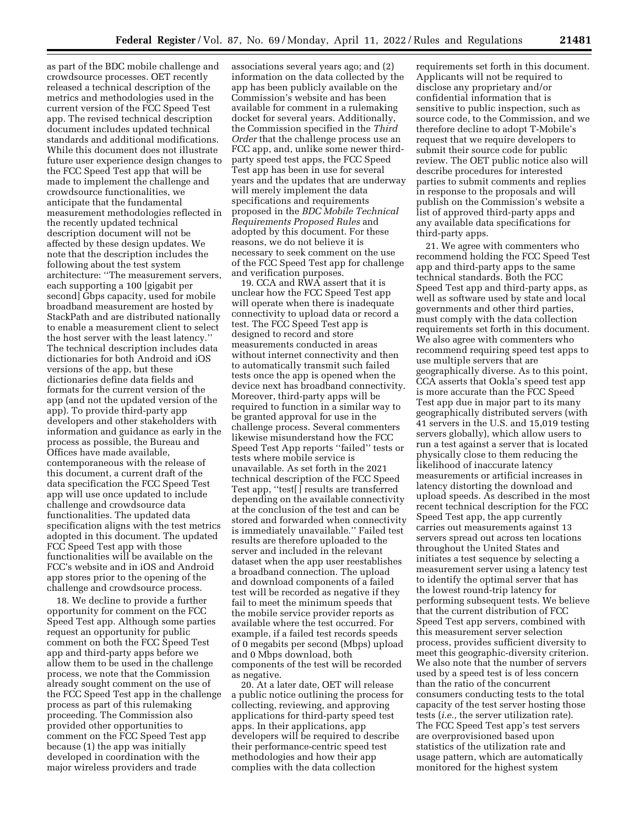as part of the BDC mobile challenge and crowdsource processes. OET recently released a technical description of the metrics and methodologies used in the current version of the FCC Speed Test app. The revised technical description document includes updated technical standards and additional modifications. While this document does not illustrate future user experience design changes to the FCC Speed Test app that will be made to implement the challenge and crowdsource functionalities, we anticipate that the fundamental measurement methodologies reflected in the recently updated technical description document will not be affected by these design updates. We note that the description includes the following about the test system architecture: ''The measurement servers, each supporting a 100 [gigabit per second] Gbps capacity, used for mobile broadband measurement are hosted by StackPath and are distributed nationally to enable a measurement client to select the host server with the least latency.'' The technical description includes data dictionaries for both Android and iOS versions of the app, but these dictionaries define data fields and formats for the current version of the app (and not the updated version of the app). To provide third-party app developers and other stakeholders with information and guidance as early in the process as possible, the Bureau and Offices have made available, contemporaneous with the release of this document, a current draft of the data specification the FCC Speed Test app will use once updated to include challenge and crowdsource data functionalities. The updated data specification aligns with the test metrics adopted in this document. The updated FCC Speed Test app with those functionalities will be available on the FCC's website and in iOS and Android app stores prior to the opening of the challenge and crowdsource process.

18. We decline to provide a further opportunity for comment on the FCC Speed Test app. Although some parties request an opportunity for public comment on both the FCC Speed Test app and third-party apps before we allow them to be used in the challenge process, we note that the Commission already sought comment on the use of the FCC Speed Test app in the challenge process as part of this rulemaking proceeding. The Commission also provided other opportunities to comment on the FCC Speed Test app because (1) the app was initially developed in coordination with the major wireless providers and trade

associations several years ago; and (2) information on the data collected by the app has been publicly available on the Commission's website and has been available for comment in a rulemaking docket for several years. Additionally, the Commission specified in the *Third Order* that the challenge process use an FCC app, and, unlike some newer thirdparty speed test apps, the FCC Speed Test app has been in use for several years and the updates that are underway will merely implement the data specifications and requirements proposed in the *BDC Mobile Technical Requirements Proposed Rules* and adopted by this document. For these reasons, we do not believe it is necessary to seek comment on the use of the FCC Speed Test app for challenge and verification purposes.

19. CCA and RWA assert that it is unclear how the FCC Speed Test app will operate when there is inadequate connectivity to upload data or record a test. The FCC Speed Test app is designed to record and store measurements conducted in areas without internet connectivity and then to automatically transmit such failed tests once the app is opened when the device next has broadband connectivity. Moreover, third-party apps will be required to function in a similar way to be granted approval for use in the challenge process. Several commenters likewise misunderstand how the FCC Speed Test App reports ''failed'' tests or tests where mobile service is unavailable. As set forth in the 2021 technical description of the FCC Speed Test app, ''test[ ] results are transferred depending on the available connectivity at the conclusion of the test and can be stored and forwarded when connectivity is immediately unavailable.'' Failed test results are therefore uploaded to the server and included in the relevant dataset when the app user reestablishes a broadband connection. The upload and download components of a failed test will be recorded as negative if they fail to meet the minimum speeds that the mobile service provider reports as available where the test occurred. For example, if a failed test records speeds of 0 megabits per second (Mbps) upload and 0 Mbps download, both components of the test will be recorded as negative.

20. At a later date, OET will release a public notice outlining the process for collecting, reviewing, and approving applications for third-party speed test apps. In their applications, app developers will be required to describe their performance-centric speed test methodologies and how their app complies with the data collection

requirements set forth in this document. Applicants will not be required to disclose any proprietary and/or confidential information that is sensitive to public inspection, such as source code, to the Commission, and we therefore decline to adopt T-Mobile's request that we require developers to submit their source code for public review. The OET public notice also will describe procedures for interested parties to submit comments and replies in response to the proposals and will publish on the Commission's website a list of approved third-party apps and any available data specifications for third-party apps.

21. We agree with commenters who recommend holding the FCC Speed Test app and third-party apps to the same technical standards. Both the FCC Speed Test app and third-party apps, as well as software used by state and local governments and other third parties, must comply with the data collection requirements set forth in this document. We also agree with commenters who recommend requiring speed test apps to use multiple servers that are geographically diverse. As to this point, CCA asserts that Ookla's speed test app is more accurate than the FCC Speed Test app due in major part to its many geographically distributed servers (with 41 servers in the U.S. and 15,019 testing servers globally), which allow users to run a test against a server that is located physically close to them reducing the likelihood of inaccurate latency measurements or artificial increases in latency distorting the download and upload speeds. As described in the most recent technical description for the FCC Speed Test app, the app currently carries out measurements against 13 servers spread out across ten locations throughout the United States and initiates a test sequence by selecting a measurement server using a latency test to identify the optimal server that has the lowest round-trip latency for performing subsequent tests. We believe that the current distribution of FCC Speed Test app servers, combined with this measurement server selection process, provides sufficient diversity to meet this geographic-diversity criterion. We also note that the number of servers used by a speed test is of less concern than the ratio of the concurrent consumers conducting tests to the total capacity of the test server hosting those tests (*i.e.,* the server utilization rate). The FCC Speed Test app's test servers are overprovisioned based upon statistics of the utilization rate and usage pattern, which are automatically monitored for the highest system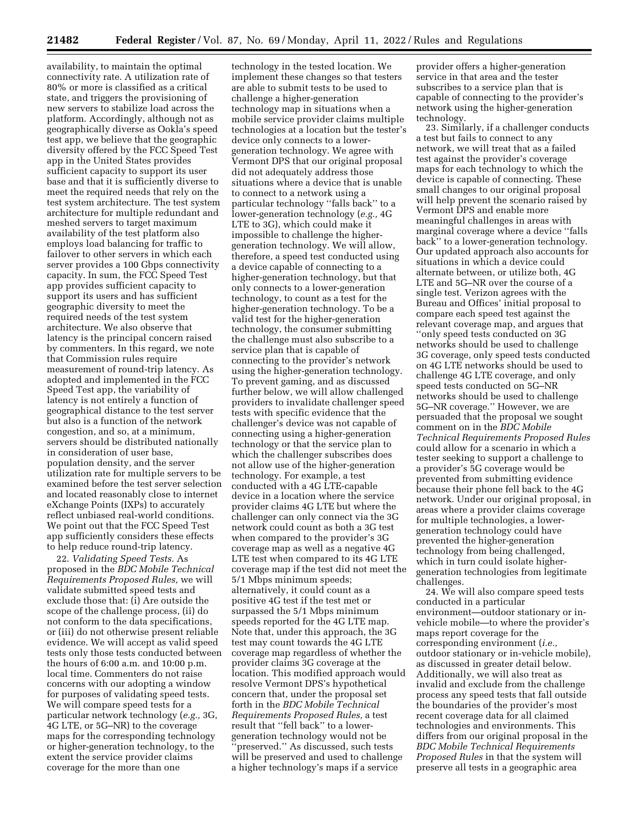availability, to maintain the optimal connectivity rate. A utilization rate of 80% or more is classified as a critical state, and triggers the provisioning of new servers to stabilize load across the platform. Accordingly, although not as geographically diverse as Ookla's speed test app, we believe that the geographic diversity offered by the FCC Speed Test app in the United States provides sufficient capacity to support its user base and that it is sufficiently diverse to meet the required needs that rely on the test system architecture. The test system architecture for multiple redundant and meshed servers to target maximum availability of the test platform also employs load balancing for traffic to failover to other servers in which each server provides a 100 Gbps connectivity capacity. In sum, the FCC Speed Test app provides sufficient capacity to support its users and has sufficient geographic diversity to meet the required needs of the test system architecture. We also observe that latency is the principal concern raised by commenters. In this regard, we note that Commission rules require measurement of round-trip latency. As adopted and implemented in the FCC Speed Test app, the variability of latency is not entirely a function of geographical distance to the test server but also is a function of the network congestion, and so, at a minimum, servers should be distributed nationally in consideration of user base, population density, and the server utilization rate for multiple servers to be examined before the test server selection and located reasonably close to internet eXchange Points (IXPs) to accurately reflect unbiased real-world conditions. We point out that the FCC Speed Test app sufficiently considers these effects to help reduce round-trip latency.

22. *Validating Speed Tests.* As proposed in the *BDC Mobile Technical Requirements Proposed Rules,* we will validate submitted speed tests and exclude those that: (i) Are outside the scope of the challenge process, (ii) do not conform to the data specifications, or (iii) do not otherwise present reliable evidence. We will accept as valid speed tests only those tests conducted between the hours of 6:00 a.m. and 10:00 p.m. local time. Commenters do not raise concerns with our adopting a window for purposes of validating speed tests. We will compare speed tests for a particular network technology (*e.g.,* 3G, 4G LTE, or 5G–NR) to the coverage maps for the corresponding technology or higher-generation technology, to the extent the service provider claims coverage for the more than one

technology in the tested location. We implement these changes so that testers are able to submit tests to be used to challenge a higher-generation technology map in situations when a mobile service provider claims multiple technologies at a location but the tester's device only connects to a lowergeneration technology. We agree with Vermont DPS that our original proposal did not adequately address those situations where a device that is unable to connect to a network using a particular technology ''falls back'' to a lower-generation technology (*e.g.,* 4G LTE to 3G), which could make it impossible to challenge the highergeneration technology. We will allow, therefore, a speed test conducted using a device capable of connecting to a higher-generation technology, but that only connects to a lower-generation technology, to count as a test for the higher-generation technology. To be a valid test for the higher-generation technology, the consumer submitting the challenge must also subscribe to a service plan that is capable of connecting to the provider's network using the higher-generation technology. To prevent gaming, and as discussed further below, we will allow challenged providers to invalidate challenger speed tests with specific evidence that the challenger's device was not capable of connecting using a higher-generation technology or that the service plan to which the challenger subscribes does not allow use of the higher-generation technology. For example, a test conducted with a 4G LTE-capable device in a location where the service provider claims 4G LTE but where the challenger can only connect via the 3G network could count as both a 3G test when compared to the provider's 3G coverage map as well as a negative 4G LTE test when compared to its 4G LTE coverage map if the test did not meet the 5/1 Mbps minimum speeds; alternatively, it could count as a positive 4G test if the test met or surpassed the 5/1 Mbps minimum speeds reported for the 4G LTE map. Note that, under this approach, the 3G test may count towards the 4G LTE coverage map regardless of whether the provider claims 3G coverage at the location. This modified approach would resolve Vermont DPS's hypothetical concern that, under the proposal set forth in the *BDC Mobile Technical Requirements Proposed Rules,* a test result that ''fell back'' to a lowergeneration technology would not be 'preserved." As discussed, such tests will be preserved and used to challenge a higher technology's maps if a service

provider offers a higher-generation service in that area and the tester subscribes to a service plan that is capable of connecting to the provider's network using the higher-generation technology.

23. Similarly, if a challenger conducts a test but fails to connect to any network, we will treat that as a failed test against the provider's coverage maps for each technology to which the device is capable of connecting. These small changes to our original proposal will help prevent the scenario raised by Vermont DPS and enable more meaningful challenges in areas with marginal coverage where a device ''falls back'' to a lower-generation technology. Our updated approach also accounts for situations in which a device could alternate between, or utilize both, 4G LTE and 5G–NR over the course of a single test. Verizon agrees with the Bureau and Offices' initial proposal to compare each speed test against the relevant coverage map, and argues that ''only speed tests conducted on 3G networks should be used to challenge 3G coverage, only speed tests conducted on 4G LTE networks should be used to challenge 4G LTE coverage, and only speed tests conducted on 5G–NR networks should be used to challenge 5G–NR coverage.'' However, we are persuaded that the proposal we sought comment on in the *BDC Mobile Technical Requirements Proposed Rules*  could allow for a scenario in which a tester seeking to support a challenge to a provider's 5G coverage would be prevented from submitting evidence because their phone fell back to the 4G network. Under our original proposal, in areas where a provider claims coverage for multiple technologies, a lowergeneration technology could have prevented the higher-generation technology from being challenged, which in turn could isolate highergeneration technologies from legitimate challenges.

24. We will also compare speed tests conducted in a particular environment—outdoor stationary or invehicle mobile—to where the provider's maps report coverage for the corresponding environment (*i.e.,*  outdoor stationary or in-vehicle mobile), as discussed in greater detail below. Additionally, we will also treat as invalid and exclude from the challenge process any speed tests that fall outside the boundaries of the provider's most recent coverage data for all claimed technologies and environments. This differs from our original proposal in the *BDC Mobile Technical Requirements Proposed Rules* in that the system will preserve all tests in a geographic area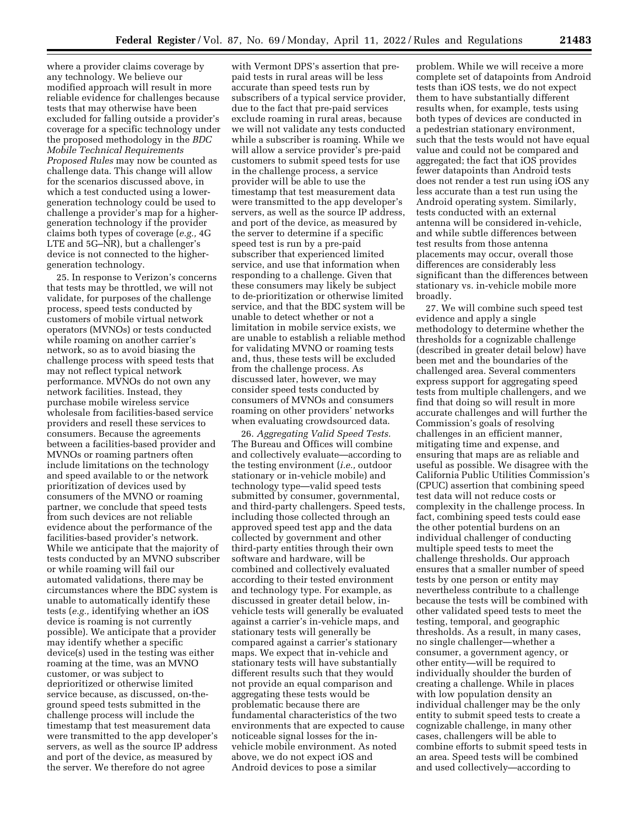where a provider claims coverage by any technology. We believe our modified approach will result in more reliable evidence for challenges because tests that may otherwise have been excluded for falling outside a provider's coverage for a specific technology under the proposed methodology in the *BDC Mobile Technical Requirements Proposed Rules* may now be counted as challenge data. This change will allow for the scenarios discussed above, in which a test conducted using a lowergeneration technology could be used to challenge a provider's map for a highergeneration technology if the provider claims both types of coverage (*e.g.,* 4G LTE and 5G–NR), but a challenger's device is not connected to the highergeneration technology.

25. In response to Verizon's concerns that tests may be throttled, we will not validate, for purposes of the challenge process, speed tests conducted by customers of mobile virtual network operators (MVNOs) or tests conducted while roaming on another carrier's network, so as to avoid biasing the challenge process with speed tests that may not reflect typical network performance. MVNOs do not own any network facilities. Instead, they purchase mobile wireless service wholesale from facilities-based service providers and resell these services to consumers. Because the agreements between a facilities-based provider and MVNOs or roaming partners often include limitations on the technology and speed available to or the network prioritization of devices used by consumers of the MVNO or roaming partner, we conclude that speed tests from such devices are not reliable evidence about the performance of the facilities-based provider's network. While we anticipate that the majority of tests conducted by an MVNO subscriber or while roaming will fail our automated validations, there may be circumstances where the BDC system is unable to automatically identify these tests (*e.g.,* identifying whether an iOS device is roaming is not currently possible). We anticipate that a provider may identify whether a specific device(s) used in the testing was either roaming at the time, was an MVNO customer, or was subject to deprioritized or otherwise limited service because, as discussed, on-theground speed tests submitted in the challenge process will include the timestamp that test measurement data were transmitted to the app developer's servers, as well as the source IP address and port of the device, as measured by the server. We therefore do not agree

with Vermont DPS's assertion that prepaid tests in rural areas will be less accurate than speed tests run by subscribers of a typical service provider, due to the fact that pre-paid services exclude roaming in rural areas, because we will not validate any tests conducted while a subscriber is roaming. While we will allow a service provider's pre-paid customers to submit speed tests for use in the challenge process, a service provider will be able to use the timestamp that test measurement data were transmitted to the app developer's servers, as well as the source IP address, and port of the device, as measured by the server to determine if a specific speed test is run by a pre-paid subscriber that experienced limited service, and use that information when responding to a challenge. Given that these consumers may likely be subject to de-prioritization or otherwise limited service, and that the BDC system will be unable to detect whether or not a limitation in mobile service exists, we are unable to establish a reliable method for validating MVNO or roaming tests and, thus, these tests will be excluded from the challenge process. As discussed later, however, we may consider speed tests conducted by consumers of MVNOs and consumers roaming on other providers' networks when evaluating crowdsourced data.

26. *Aggregating Valid Speed Tests.*  The Bureau and Offices will combine and collectively evaluate—according to the testing environment (*i.e.,* outdoor stationary or in-vehicle mobile) and technology type—valid speed tests submitted by consumer, governmental, and third-party challengers. Speed tests, including those collected through an approved speed test app and the data collected by government and other third-party entities through their own software and hardware, will be combined and collectively evaluated according to their tested environment and technology type. For example, as discussed in greater detail below, invehicle tests will generally be evaluated against a carrier's in-vehicle maps, and stationary tests will generally be compared against a carrier's stationary maps. We expect that in-vehicle and stationary tests will have substantially different results such that they would not provide an equal comparison and aggregating these tests would be problematic because there are fundamental characteristics of the two environments that are expected to cause noticeable signal losses for the invehicle mobile environment. As noted above, we do not expect iOS and Android devices to pose a similar

problem. While we will receive a more complete set of datapoints from Android tests than iOS tests, we do not expect them to have substantially different results when, for example, tests using both types of devices are conducted in a pedestrian stationary environment, such that the tests would not have equal value and could not be compared and aggregated; the fact that iOS provides fewer datapoints than Android tests does not render a test run using iOS any less accurate than a test run using the Android operating system. Similarly, tests conducted with an external antenna will be considered in-vehicle, and while subtle differences between test results from those antenna placements may occur, overall those differences are considerably less significant than the differences between stationary vs. in-vehicle mobile more broadly.

27. We will combine such speed test evidence and apply a single methodology to determine whether the thresholds for a cognizable challenge (described in greater detail below) have been met and the boundaries of the challenged area. Several commenters express support for aggregating speed tests from multiple challengers, and we find that doing so will result in more accurate challenges and will further the Commission's goals of resolving challenges in an efficient manner, mitigating time and expense, and ensuring that maps are as reliable and useful as possible. We disagree with the California Public Utilities Commission's (CPUC) assertion that combining speed test data will not reduce costs or complexity in the challenge process. In fact, combining speed tests could ease the other potential burdens on an individual challenger of conducting multiple speed tests to meet the challenge thresholds. Our approach ensures that a smaller number of speed tests by one person or entity may nevertheless contribute to a challenge because the tests will be combined with other validated speed tests to meet the testing, temporal, and geographic thresholds. As a result, in many cases, no single challenger—whether a consumer, a government agency, or other entity—will be required to individually shoulder the burden of creating a challenge. While in places with low population density an individual challenger may be the only entity to submit speed tests to create a cognizable challenge, in many other cases, challengers will be able to combine efforts to submit speed tests in an area. Speed tests will be combined and used collectively—according to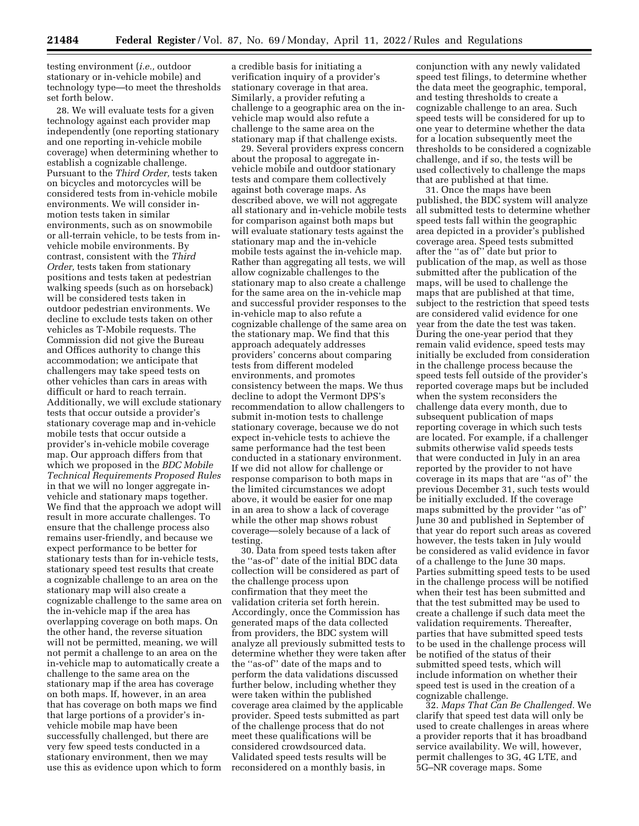testing environment (*i.e.,* outdoor stationary or in-vehicle mobile) and technology type—to meet the thresholds set forth below.

28. We will evaluate tests for a given technology against each provider map independently (one reporting stationary and one reporting in-vehicle mobile coverage) when determining whether to establish a cognizable challenge. Pursuant to the *Third Order,* tests taken on bicycles and motorcycles will be considered tests from in-vehicle mobile environments. We will consider inmotion tests taken in similar environments, such as on snowmobile or all-terrain vehicle, to be tests from invehicle mobile environments. By contrast, consistent with the *Third Order,* tests taken from stationary positions and tests taken at pedestrian walking speeds (such as on horseback) will be considered tests taken in outdoor pedestrian environments. We decline to exclude tests taken on other vehicles as T-Mobile requests. The Commission did not give the Bureau and Offices authority to change this accommodation; we anticipate that challengers may take speed tests on other vehicles than cars in areas with difficult or hard to reach terrain. Additionally, we will exclude stationary tests that occur outside a provider's stationary coverage map and in-vehicle mobile tests that occur outside a provider's in-vehicle mobile coverage map. Our approach differs from that which we proposed in the *BDC Mobile Technical Requirements Proposed Rules*  in that we will no longer aggregate invehicle and stationary maps together. We find that the approach we adopt will result in more accurate challenges. To ensure that the challenge process also remains user-friendly, and because we expect performance to be better for stationary tests than for in-vehicle tests, stationary speed test results that create a cognizable challenge to an area on the stationary map will also create a cognizable challenge to the same area on the in-vehicle map if the area has overlapping coverage on both maps. On the other hand, the reverse situation will not be permitted, meaning, we will not permit a challenge to an area on the in-vehicle map to automatically create a challenge to the same area on the stationary map if the area has coverage on both maps. If, however, in an area that has coverage on both maps we find that large portions of a provider's invehicle mobile map have been successfully challenged, but there are very few speed tests conducted in a stationary environment, then we may use this as evidence upon which to form

a credible basis for initiating a verification inquiry of a provider's stationary coverage in that area. Similarly, a provider refuting a challenge to a geographic area on the invehicle map would also refute a challenge to the same area on the stationary map if that challenge exists.

29. Several providers express concern about the proposal to aggregate invehicle mobile and outdoor stationary tests and compare them collectively against both coverage maps. As described above, we will not aggregate all stationary and in-vehicle mobile tests for comparison against both maps but will evaluate stationary tests against the stationary map and the in-vehicle mobile tests against the in-vehicle map. Rather than aggregating all tests, we will allow cognizable challenges to the stationary map to also create a challenge for the same area on the in-vehicle map and successful provider responses to the in-vehicle map to also refute a cognizable challenge of the same area on the stationary map. We find that this approach adequately addresses providers' concerns about comparing tests from different modeled environments, and promotes consistency between the maps. We thus decline to adopt the Vermont DPS's recommendation to allow challengers to submit in-motion tests to challenge stationary coverage, because we do not expect in-vehicle tests to achieve the same performance had the test been conducted in a stationary environment. If we did not allow for challenge or response comparison to both maps in the limited circumstances we adopt above, it would be easier for one map in an area to show a lack of coverage while the other map shows robust coverage—solely because of a lack of testing.

30. Data from speed tests taken after the ''as-of'' date of the initial BDC data collection will be considered as part of the challenge process upon confirmation that they meet the validation criteria set forth herein. Accordingly, once the Commission has generated maps of the data collected from providers, the BDC system will analyze all previously submitted tests to determine whether they were taken after the ''as-of'' date of the maps and to perform the data validations discussed further below, including whether they were taken within the published coverage area claimed by the applicable provider. Speed tests submitted as part of the challenge process that do not meet these qualifications will be considered crowdsourced data. Validated speed tests results will be reconsidered on a monthly basis, in

conjunction with any newly validated speed test filings, to determine whether the data meet the geographic, temporal, and testing thresholds to create a cognizable challenge to an area. Such speed tests will be considered for up to one year to determine whether the data for a location subsequently meet the thresholds to be considered a cognizable challenge, and if so, the tests will be used collectively to challenge the maps that are published at that time.

31. Once the maps have been published, the BDC system will analyze all submitted tests to determine whether speed tests fall within the geographic area depicted in a provider's published coverage area. Speed tests submitted after the ''as of'' date but prior to publication of the map, as well as those submitted after the publication of the maps, will be used to challenge the maps that are published at that time, subject to the restriction that speed tests are considered valid evidence for one year from the date the test was taken. During the one-year period that they remain valid evidence, speed tests may initially be excluded from consideration in the challenge process because the speed tests fell outside of the provider's reported coverage maps but be included when the system reconsiders the challenge data every month, due to subsequent publication of maps reporting coverage in which such tests are located. For example, if a challenger submits otherwise valid speeds tests that were conducted in July in an area reported by the provider to not have coverage in its maps that are ''as of'' the previous December 31, such tests would be initially excluded. If the coverage maps submitted by the provider ''as of'' June 30 and published in September of that year do report such areas as covered however, the tests taken in July would be considered as valid evidence in favor of a challenge to the June 30 maps. Parties submitting speed tests to be used in the challenge process will be notified when their test has been submitted and that the test submitted may be used to create a challenge if such data meet the validation requirements. Thereafter, parties that have submitted speed tests to be used in the challenge process will be notified of the status of their submitted speed tests, which will include information on whether their speed test is used in the creation of a cognizable challenge.

32. *Maps That Can Be Challenged.* We clarify that speed test data will only be used to create challenges in areas where a provider reports that it has broadband service availability. We will, however, permit challenges to 3G, 4G LTE, and 5G–NR coverage maps. Some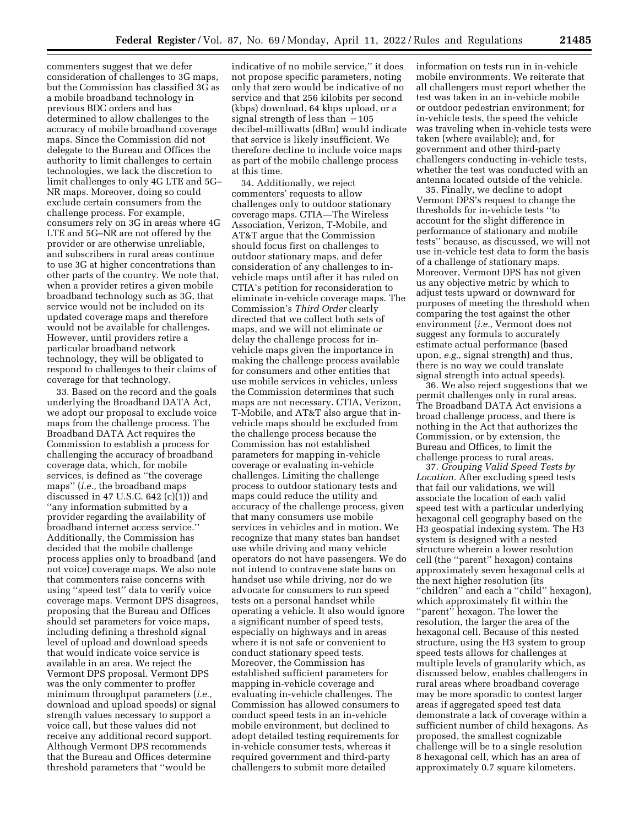commenters suggest that we defer consideration of challenges to 3G maps, but the Commission has classified 3G as a mobile broadband technology in previous BDC orders and has determined to allow challenges to the accuracy of mobile broadband coverage maps. Since the Commission did not delegate to the Bureau and Offices the authority to limit challenges to certain technologies, we lack the discretion to limit challenges to only 4G LTE and 5G– NR maps. Moreover, doing so could exclude certain consumers from the challenge process. For example, consumers rely on 3G in areas where 4G LTE and 5G–NR are not offered by the provider or are otherwise unreliable, and subscribers in rural areas continue to use 3G at higher concentrations than other parts of the country. We note that, when a provider retires a given mobile broadband technology such as 3G, that service would not be included on its updated coverage maps and therefore would not be available for challenges. However, until providers retire a particular broadband network technology, they will be obligated to respond to challenges to their claims of coverage for that technology.

33. Based on the record and the goals underlying the Broadband DATA Act, we adopt our proposal to exclude voice maps from the challenge process. The Broadband DATA Act requires the Commission to establish a process for challenging the accuracy of broadband coverage data, which, for mobile services, is defined as ''the coverage maps'' (*i.e.,* the broadband maps discussed in 47 U.S.C.  $642$  (c)(1)) and ''any information submitted by a provider regarding the availability of broadband internet access service.'' Additionally, the Commission has decided that the mobile challenge process applies only to broadband (and not voice) coverage maps. We also note that commenters raise concerns with using ''speed test'' data to verify voice coverage maps. Vermont DPS disagrees, proposing that the Bureau and Offices should set parameters for voice maps, including defining a threshold signal level of upload and download speeds that would indicate voice service is available in an area. We reject the Vermont DPS proposal. Vermont DPS was the only commenter to proffer minimum throughput parameters (*i.e.,*  download and upload speeds) or signal strength values necessary to support a voice call, but these values did not receive any additional record support. Although Vermont DPS recommends that the Bureau and Offices determine threshold parameters that ''would be

indicative of no mobile service,'' it does not propose specific parameters, noting only that zero would be indicative of no service and that 256 kilobits per second (kbps) download, 64 kbps upload, or a signal strength of less than  $-105$ decibel-milliwatts (dBm) would indicate that service is likely insufficient. We therefore decline to include voice maps as part of the mobile challenge process at this time.

34. Additionally, we reject commenters' requests to allow challenges only to outdoor stationary coverage maps. CTIA—The Wireless Association, Verizon, T-Mobile, and AT&T argue that the Commission should focus first on challenges to outdoor stationary maps, and defer consideration of any challenges to invehicle maps until after it has ruled on CTIA's petition for reconsideration to eliminate in-vehicle coverage maps. The Commission's *Third Order* clearly directed that we collect both sets of maps, and we will not eliminate or delay the challenge process for invehicle maps given the importance in making the challenge process available for consumers and other entities that use mobile services in vehicles, unless the Commission determines that such maps are not necessary. CTIA, Verizon, T-Mobile, and AT&T also argue that invehicle maps should be excluded from the challenge process because the Commission has not established parameters for mapping in-vehicle coverage or evaluating in-vehicle challenges. Limiting the challenge process to outdoor stationary tests and maps could reduce the utility and accuracy of the challenge process, given that many consumers use mobile services in vehicles and in motion. We recognize that many states ban handset use while driving and many vehicle operators do not have passengers. We do not intend to contravene state bans on handset use while driving, nor do we advocate for consumers to run speed tests on a personal handset while operating a vehicle. It also would ignore a significant number of speed tests, especially on highways and in areas where it is not safe or convenient to conduct stationary speed tests. Moreover, the Commission has established sufficient parameters for mapping in-vehicle coverage and evaluating in-vehicle challenges. The Commission has allowed consumers to conduct speed tests in an in-vehicle mobile environment, but declined to adopt detailed testing requirements for in-vehicle consumer tests, whereas it required government and third-party challengers to submit more detailed

information on tests run in in-vehicle mobile environments. We reiterate that all challengers must report whether the test was taken in an in-vehicle mobile or outdoor pedestrian environment; for in-vehicle tests, the speed the vehicle was traveling when in-vehicle tests were taken (where available); and, for government and other third-party challengers conducting in-vehicle tests, whether the test was conducted with an antenna located outside of the vehicle.

35. Finally, we decline to adopt Vermont DPS's request to change the thresholds for in-vehicle tests ''to account for the slight difference in performance of stationary and mobile tests'' because, as discussed, we will not use in-vehicle test data to form the basis of a challenge of stationary maps. Moreover, Vermont DPS has not given us any objective metric by which to adjust tests upward or downward for purposes of meeting the threshold when comparing the test against the other environment (*i.e.,* Vermont does not suggest any formula to accurately estimate actual performance (based upon, *e.g.,* signal strength) and thus, there is no way we could translate signal strength into actual speeds).

36. We also reject suggestions that we permit challenges only in rural areas. The Broadband DATA Act envisions a broad challenge process, and there is nothing in the Act that authorizes the Commission, or by extension, the Bureau and Offices, to limit the challenge process to rural areas.

37. *Grouping Valid Speed Tests by Location.* After excluding speed tests that fail our validations, we will associate the location of each valid speed test with a particular underlying hexagonal cell geography based on the H3 geospatial indexing system. The H3 system is designed with a nested structure wherein a lower resolution cell (the ''parent'' hexagon) contains approximately seven hexagonal cells at the next higher resolution (its ''children'' and each a ''child'' hexagon), which approximately fit within the ''parent'' hexagon. The lower the resolution, the larger the area of the hexagonal cell. Because of this nested structure, using the H3 system to group speed tests allows for challenges at multiple levels of granularity which, as discussed below, enables challengers in rural areas where broadband coverage may be more sporadic to contest larger areas if aggregated speed test data demonstrate a lack of coverage within a sufficient number of child hexagons. As proposed, the smallest cognizable challenge will be to a single resolution 8 hexagonal cell, which has an area of approximately 0.7 square kilometers.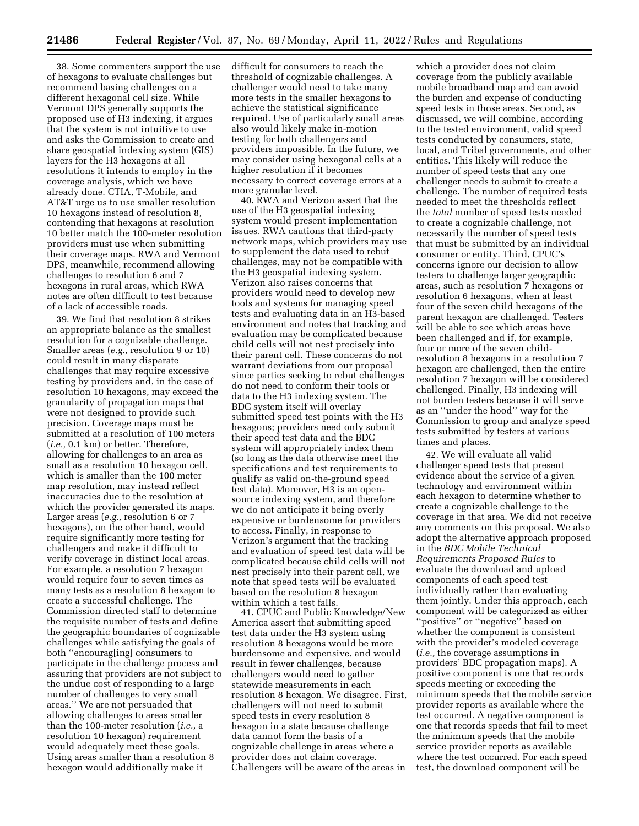38. Some commenters support the use of hexagons to evaluate challenges but recommend basing challenges on a different hexagonal cell size. While Vermont DPS generally supports the proposed use of H3 indexing, it argues that the system is not intuitive to use and asks the Commission to create and share geospatial indexing system (GIS) layers for the H3 hexagons at all resolutions it intends to employ in the coverage analysis, which we have already done. CTIA, T-Mobile, and AT&T urge us to use smaller resolution 10 hexagons instead of resolution 8, contending that hexagons at resolution 10 better match the 100-meter resolution providers must use when submitting their coverage maps. RWA and Vermont DPS, meanwhile, recommend allowing challenges to resolution 6 and 7 hexagons in rural areas, which RWA notes are often difficult to test because of a lack of accessible roads.

39. We find that resolution 8 strikes an appropriate balance as the smallest resolution for a cognizable challenge. Smaller areas (*e.g.,* resolution 9 or 10) could result in many disparate challenges that may require excessive testing by providers and, in the case of resolution 10 hexagons, may exceed the granularity of propagation maps that were not designed to provide such precision. Coverage maps must be submitted at a resolution of 100 meters (*i.e.,* 0.1 km) or better. Therefore, allowing for challenges to an area as small as a resolution 10 hexagon cell, which is smaller than the 100 meter map resolution, may instead reflect inaccuracies due to the resolution at which the provider generated its maps. Larger areas (*e.g.,* resolution 6 or 7 hexagons), on the other hand, would require significantly more testing for challengers and make it difficult to verify coverage in distinct local areas. For example, a resolution 7 hexagon would require four to seven times as many tests as a resolution 8 hexagon to create a successful challenge. The Commission directed staff to determine the requisite number of tests and define the geographic boundaries of cognizable challenges while satisfying the goals of both ''encourag[ing] consumers to participate in the challenge process and assuring that providers are not subject to the undue cost of responding to a large number of challenges to very small areas.'' We are not persuaded that allowing challenges to areas smaller than the 100-meter resolution (*i.e.,* a resolution 10 hexagon) requirement would adequately meet these goals. Using areas smaller than a resolution 8 hexagon would additionally make it

difficult for consumers to reach the threshold of cognizable challenges. A challenger would need to take many more tests in the smaller hexagons to achieve the statistical significance required. Use of particularly small areas also would likely make in-motion testing for both challengers and providers impossible. In the future, we may consider using hexagonal cells at a higher resolution if it becomes necessary to correct coverage errors at a more granular level.

40. RWA and Verizon assert that the use of the H3 geospatial indexing system would present implementation issues. RWA cautions that third-party network maps, which providers may use to supplement the data used to rebut challenges, may not be compatible with the H3 geospatial indexing system. Verizon also raises concerns that providers would need to develop new tools and systems for managing speed tests and evaluating data in an H3-based environment and notes that tracking and evaluation may be complicated because child cells will not nest precisely into their parent cell. These concerns do not warrant deviations from our proposal since parties seeking to rebut challenges do not need to conform their tools or data to the H3 indexing system. The BDC system itself will overlay submitted speed test points with the H3 hexagons; providers need only submit their speed test data and the BDC system will appropriately index them (so long as the data otherwise meet the specifications and test requirements to qualify as valid on-the-ground speed test data). Moreover, H3 is an opensource indexing system, and therefore we do not anticipate it being overly expensive or burdensome for providers to access. Finally, in response to Verizon's argument that the tracking and evaluation of speed test data will be complicated because child cells will not nest precisely into their parent cell, we note that speed tests will be evaluated based on the resolution 8 hexagon within which a test falls.

41. CPUC and Public Knowledge/New America assert that submitting speed test data under the H3 system using resolution 8 hexagons would be more burdensome and expensive, and would result in fewer challenges, because challengers would need to gather statewide measurements in each resolution 8 hexagon. We disagree. First, challengers will not need to submit speed tests in every resolution 8 hexagon in a state because challenge data cannot form the basis of a cognizable challenge in areas where a provider does not claim coverage. Challengers will be aware of the areas in

which a provider does not claim coverage from the publicly available mobile broadband map and can avoid the burden and expense of conducting speed tests in those areas. Second, as discussed, we will combine, according to the tested environment, valid speed tests conducted by consumers, state, local, and Tribal governments, and other entities. This likely will reduce the number of speed tests that any one challenger needs to submit to create a challenge. The number of required tests needed to meet the thresholds reflect the *total* number of speed tests needed to create a cognizable challenge, not necessarily the number of speed tests that must be submitted by an individual consumer or entity. Third, CPUC's concerns ignore our decision to allow testers to challenge larger geographic areas, such as resolution 7 hexagons or resolution 6 hexagons, when at least four of the seven child hexagons of the parent hexagon are challenged. Testers will be able to see which areas have been challenged and if, for example, four or more of the seven childresolution 8 hexagons in a resolution 7 hexagon are challenged, then the entire resolution 7 hexagon will be considered challenged. Finally, H3 indexing will not burden testers because it will serve as an ''under the hood'' way for the Commission to group and analyze speed tests submitted by testers at various times and places.

42. We will evaluate all valid challenger speed tests that present evidence about the service of a given technology and environment within each hexagon to determine whether to create a cognizable challenge to the coverage in that area. We did not receive any comments on this proposal. We also adopt the alternative approach proposed in the *BDC Mobile Technical Requirements Proposed Rules* to evaluate the download and upload components of each speed test individually rather than evaluating them jointly. Under this approach, each component will be categorized as either ''positive'' or ''negative'' based on whether the component is consistent with the provider's modeled coverage (*i.e.,* the coverage assumptions in providers' BDC propagation maps). A positive component is one that records speeds meeting or exceeding the minimum speeds that the mobile service provider reports as available where the test occurred. A negative component is one that records speeds that fail to meet the minimum speeds that the mobile service provider reports as available where the test occurred. For each speed test, the download component will be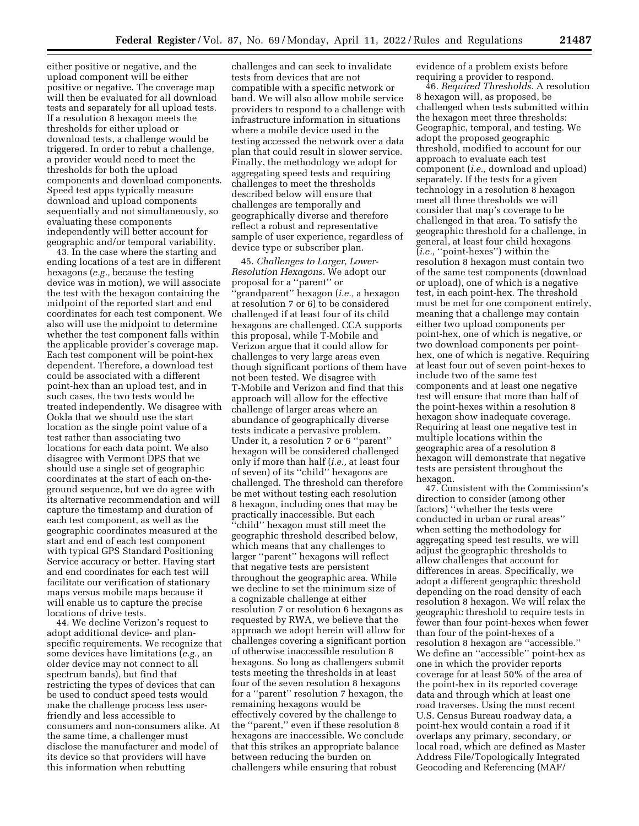either positive or negative, and the upload component will be either positive or negative. The coverage map will then be evaluated for all download tests and separately for all upload tests. If a resolution 8 hexagon meets the thresholds for either upload or download tests, a challenge would be triggered. In order to rebut a challenge, a provider would need to meet the thresholds for both the upload components and download components. Speed test apps typically measure download and upload components sequentially and not simultaneously, so evaluating these components independently will better account for geographic and/or temporal variability.

43. In the case where the starting and ending locations of a test are in different hexagons (*e.g.,* because the testing device was in motion), we will associate the test with the hexagon containing the midpoint of the reported start and end coordinates for each test component. We also will use the midpoint to determine whether the test component falls within the applicable provider's coverage map. Each test component will be point-hex dependent. Therefore, a download test could be associated with a different point-hex than an upload test, and in such cases, the two tests would be treated independently. We disagree with Ookla that we should use the start location as the single point value of a test rather than associating two locations for each data point. We also disagree with Vermont DPS that we should use a single set of geographic coordinates at the start of each on-theground sequence, but we do agree with its alternative recommendation and will capture the timestamp and duration of each test component, as well as the geographic coordinates measured at the start and end of each test component with typical GPS Standard Positioning Service accuracy or better. Having start and end coordinates for each test will facilitate our verification of stationary maps versus mobile maps because it will enable us to capture the precise locations of drive tests.

44. We decline Verizon's request to adopt additional device- and planspecific requirements. We recognize that some devices have limitations (*e.g.,* an older device may not connect to all spectrum bands), but find that restricting the types of devices that can be used to conduct speed tests would make the challenge process less userfriendly and less accessible to consumers and non-consumers alike. At the same time, a challenger must disclose the manufacturer and model of its device so that providers will have this information when rebutting

challenges and can seek to invalidate tests from devices that are not compatible with a specific network or band. We will also allow mobile service providers to respond to a challenge with infrastructure information in situations where a mobile device used in the testing accessed the network over a data plan that could result in slower service. Finally, the methodology we adopt for aggregating speed tests and requiring challenges to meet the thresholds described below will ensure that challenges are temporally and geographically diverse and therefore reflect a robust and representative sample of user experience, regardless of device type or subscriber plan.

45. *Challenges to Larger, Lower-Resolution Hexagons.* We adopt our proposal for a ''parent'' or 'grandparent'' hexagon (*i.e.*, a hexagon at resolution 7 or 6) to be considered challenged if at least four of its child hexagons are challenged. CCA supports this proposal, while T-Mobile and Verizon argue that it could allow for challenges to very large areas even though significant portions of them have not been tested. We disagree with T-Mobile and Verizon and find that this approach will allow for the effective challenge of larger areas where an abundance of geographically diverse tests indicate a pervasive problem. Under it, a resolution 7 or 6 ''parent'' hexagon will be considered challenged only if more than half (*i.e.,* at least four of seven) of its ''child'' hexagons are challenged. The threshold can therefore be met without testing each resolution 8 hexagon, including ones that may be practically inaccessible. But each ''child'' hexagon must still meet the geographic threshold described below, which means that any challenges to larger ''parent'' hexagons will reflect that negative tests are persistent throughout the geographic area. While we decline to set the minimum size of a cognizable challenge at either resolution 7 or resolution 6 hexagons as requested by RWA, we believe that the approach we adopt herein will allow for challenges covering a significant portion of otherwise inaccessible resolution 8 hexagons. So long as challengers submit tests meeting the thresholds in at least four of the seven resolution 8 hexagons for a ''parent'' resolution 7 hexagon, the remaining hexagons would be effectively covered by the challenge to the ''parent,'' even if these resolution 8 hexagons are inaccessible. We conclude that this strikes an appropriate balance between reducing the burden on challengers while ensuring that robust

evidence of a problem exists before requiring a provider to respond.

46. *Required Thresholds.* A resolution 8 hexagon will, as proposed, be challenged when tests submitted within the hexagon meet three thresholds: Geographic, temporal, and testing. We adopt the proposed geographic threshold, modified to account for our approach to evaluate each test component (*i.e.,* download and upload) separately. If the tests for a given technology in a resolution 8 hexagon meet all three thresholds we will consider that map's coverage to be challenged in that area. To satisfy the geographic threshold for a challenge, in general, at least four child hexagons (*i.e.,* ''point-hexes'') within the resolution 8 hexagon must contain two of the same test components (download or upload), one of which is a negative test, in each point-hex. The threshold must be met for one component entirely, meaning that a challenge may contain either two upload components per point-hex, one of which is negative, or two download components per pointhex, one of which is negative. Requiring at least four out of seven point-hexes to include two of the same test components and at least one negative test will ensure that more than half of the point-hexes within a resolution 8 hexagon show inadequate coverage. Requiring at least one negative test in multiple locations within the geographic area of a resolution 8 hexagon will demonstrate that negative tests are persistent throughout the hexagon.

47. Consistent with the Commission's direction to consider (among other factors) ''whether the tests were conducted in urban or rural areas'' when setting the methodology for aggregating speed test results, we will adjust the geographic thresholds to allow challenges that account for differences in areas. Specifically, we adopt a different geographic threshold depending on the road density of each resolution 8 hexagon. We will relax the geographic threshold to require tests in fewer than four point-hexes when fewer than four of the point-hexes of a resolution 8 hexagon are ''accessible.'' We define an ''accessible'' point-hex as one in which the provider reports coverage for at least 50% of the area of the point-hex in its reported coverage data and through which at least one road traverses. Using the most recent U.S. Census Bureau roadway data, a point-hex would contain a road if it overlaps any primary, secondary, or local road, which are defined as Master Address File/Topologically Integrated Geocoding and Referencing (MAF/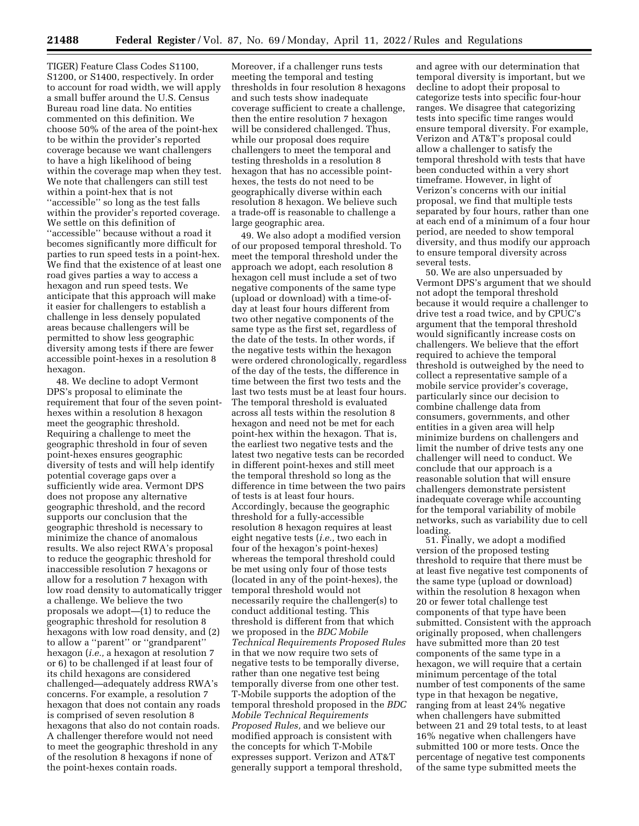TIGER) Feature Class Codes S1100, S1200, or S1400, respectively. In order to account for road width, we will apply a small buffer around the U.S. Census Bureau road line data. No entities commented on this definition. We choose 50% of the area of the point-hex to be within the provider's reported coverage because we want challengers to have a high likelihood of being within the coverage map when they test. We note that challengers can still test within a point-hex that is not ''accessible'' so long as the test falls within the provider's reported coverage. We settle on this definition of ''accessible'' because without a road it becomes significantly more difficult for parties to run speed tests in a point-hex. We find that the existence of at least one road gives parties a way to access a hexagon and run speed tests. We anticipate that this approach will make it easier for challengers to establish a challenge in less densely populated areas because challengers will be permitted to show less geographic diversity among tests if there are fewer accessible point-hexes in a resolution 8 hexagon.

48. We decline to adopt Vermont DPS's proposal to eliminate the requirement that four of the seven pointhexes within a resolution 8 hexagon meet the geographic threshold. Requiring a challenge to meet the geographic threshold in four of seven point-hexes ensures geographic diversity of tests and will help identify potential coverage gaps over a sufficiently wide area. Vermont DPS does not propose any alternative geographic threshold, and the record supports our conclusion that the geographic threshold is necessary to minimize the chance of anomalous results. We also reject RWA's proposal to reduce the geographic threshold for inaccessible resolution 7 hexagons or allow for a resolution 7 hexagon with low road density to automatically trigger a challenge. We believe the two proposals we adopt—(1) to reduce the geographic threshold for resolution 8 hexagons with low road density, and (2) to allow a ''parent'' or ''grandparent'' hexagon (*i.e.,* a hexagon at resolution 7 or 6) to be challenged if at least four of its child hexagons are considered challenged—adequately address RWA's concerns. For example, a resolution 7 hexagon that does not contain any roads is comprised of seven resolution 8 hexagons that also do not contain roads. A challenger therefore would not need to meet the geographic threshold in any of the resolution 8 hexagons if none of the point-hexes contain roads.

Moreover, if a challenger runs tests meeting the temporal and testing thresholds in four resolution 8 hexagons and such tests show inadequate coverage sufficient to create a challenge, then the entire resolution 7 hexagon will be considered challenged. Thus, while our proposal does require challengers to meet the temporal and testing thresholds in a resolution 8 hexagon that has no accessible pointhexes, the tests do not need to be geographically diverse within each resolution 8 hexagon. We believe such a trade-off is reasonable to challenge a large geographic area.

49. We also adopt a modified version of our proposed temporal threshold. To meet the temporal threshold under the approach we adopt, each resolution 8 hexagon cell must include a set of two negative components of the same type (upload or download) with a time-ofday at least four hours different from two other negative components of the same type as the first set, regardless of the date of the tests. In other words, if the negative tests within the hexagon were ordered chronologically, regardless of the day of the tests, the difference in time between the first two tests and the last two tests must be at least four hours. The temporal threshold is evaluated across all tests within the resolution 8 hexagon and need not be met for each point-hex within the hexagon. That is, the earliest two negative tests and the latest two negative tests can be recorded in different point-hexes and still meet the temporal threshold so long as the difference in time between the two pairs of tests is at least four hours. Accordingly, because the geographic threshold for a fully-accessible resolution 8 hexagon requires at least eight negative tests (*i.e.,* two each in four of the hexagon's point-hexes) whereas the temporal threshold could be met using only four of those tests (located in any of the point-hexes), the temporal threshold would not necessarily require the challenger(s) to conduct additional testing. This threshold is different from that which we proposed in the *BDC Mobile Technical Requirements Proposed Rules*  in that we now require two sets of negative tests to be temporally diverse, rather than one negative test being temporally diverse from one other test. T-Mobile supports the adoption of the temporal threshold proposed in the *BDC Mobile Technical Requirements Proposed Rules,* and we believe our modified approach is consistent with the concepts for which T-Mobile expresses support. Verizon and AT&T generally support a temporal threshold,

and agree with our determination that temporal diversity is important, but we decline to adopt their proposal to categorize tests into specific four-hour ranges. We disagree that categorizing tests into specific time ranges would ensure temporal diversity. For example, Verizon and AT&T's proposal could allow a challenger to satisfy the temporal threshold with tests that have been conducted within a very short timeframe. However, in light of Verizon's concerns with our initial proposal, we find that multiple tests separated by four hours, rather than one at each end of a minimum of a four hour period, are needed to show temporal diversity, and thus modify our approach to ensure temporal diversity across several tests.

50. We are also unpersuaded by Vermont DPS's argument that we should not adopt the temporal threshold because it would require a challenger to drive test a road twice, and by CPUC's argument that the temporal threshold would significantly increase costs on challengers. We believe that the effort required to achieve the temporal threshold is outweighed by the need to collect a representative sample of a mobile service provider's coverage, particularly since our decision to combine challenge data from consumers, governments, and other entities in a given area will help minimize burdens on challengers and limit the number of drive tests any one challenger will need to conduct. We conclude that our approach is a reasonable solution that will ensure challengers demonstrate persistent inadequate coverage while accounting for the temporal variability of mobile networks, such as variability due to cell loading.

51. Finally, we adopt a modified version of the proposed testing threshold to require that there must be at least five negative test components of the same type (upload or download) within the resolution 8 hexagon when 20 or fewer total challenge test components of that type have been submitted. Consistent with the approach originally proposed, when challengers have submitted more than 20 test components of the same type in a hexagon, we will require that a certain minimum percentage of the total number of test components of the same type in that hexagon be negative, ranging from at least 24% negative when challengers have submitted between 21 and 29 total tests, to at least 16% negative when challengers have submitted 100 or more tests. Once the percentage of negative test components of the same type submitted meets the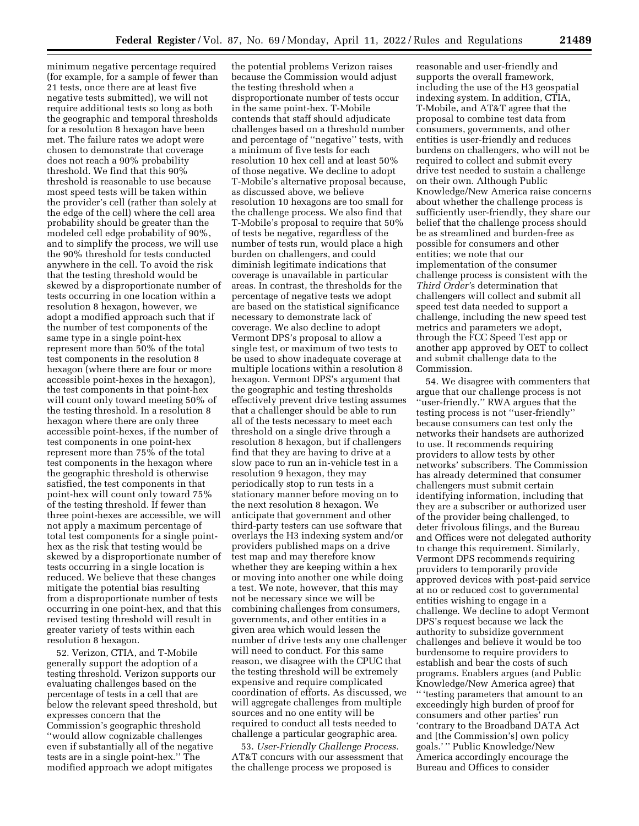minimum negative percentage required (for example, for a sample of fewer than 21 tests, once there are at least five negative tests submitted), we will not require additional tests so long as both the geographic and temporal thresholds for a resolution 8 hexagon have been met. The failure rates we adopt were chosen to demonstrate that coverage does not reach a 90% probability threshold. We find that this 90% threshold is reasonable to use because most speed tests will be taken within the provider's cell (rather than solely at the edge of the cell) where the cell area probability should be greater than the modeled cell edge probability of 90%, and to simplify the process, we will use the 90% threshold for tests conducted anywhere in the cell. To avoid the risk that the testing threshold would be skewed by a disproportionate number of tests occurring in one location within a resolution 8 hexagon, however, we adopt a modified approach such that if the number of test components of the same type in a single point-hex represent more than 50% of the total test components in the resolution 8 hexagon (where there are four or more accessible point-hexes in the hexagon), the test components in that point-hex will count only toward meeting 50% of the testing threshold. In a resolution 8 hexagon where there are only three accessible point-hexes, if the number of test components in one point-hex represent more than 75% of the total test components in the hexagon where the geographic threshold is otherwise satisfied, the test components in that point-hex will count only toward 75% of the testing threshold. If fewer than three point-hexes are accessible, we will not apply a maximum percentage of total test components for a single pointhex as the risk that testing would be skewed by a disproportionate number of tests occurring in a single location is reduced. We believe that these changes mitigate the potential bias resulting from a disproportionate number of tests occurring in one point-hex, and that this revised testing threshold will result in greater variety of tests within each resolution 8 hexagon.

52. Verizon, CTIA, and T-Mobile generally support the adoption of a testing threshold. Verizon supports our evaluating challenges based on the percentage of tests in a cell that are below the relevant speed threshold, but expresses concern that the Commission's geographic threshold ''would allow cognizable challenges even if substantially all of the negative tests are in a single point-hex.'' The modified approach we adopt mitigates

the potential problems Verizon raises because the Commission would adjust the testing threshold when a disproportionate number of tests occur in the same point-hex. T-Mobile contends that staff should adjudicate challenges based on a threshold number and percentage of ''negative'' tests, with a minimum of five tests for each resolution 10 hex cell and at least 50% of those negative. We decline to adopt T-Mobile's alternative proposal because, as discussed above, we believe resolution 10 hexagons are too small for the challenge process. We also find that T-Mobile's proposal to require that 50% of tests be negative, regardless of the number of tests run, would place a high burden on challengers, and could diminish legitimate indications that coverage is unavailable in particular areas. In contrast, the thresholds for the percentage of negative tests we adopt are based on the statistical significance necessary to demonstrate lack of coverage. We also decline to adopt Vermont DPS's proposal to allow a single test, or maximum of two tests to be used to show inadequate coverage at multiple locations within a resolution 8 hexagon. Vermont DPS's argument that the geographic and testing thresholds effectively prevent drive testing assumes that a challenger should be able to run all of the tests necessary to meet each threshold on a single drive through a resolution 8 hexagon, but if challengers find that they are having to drive at a slow pace to run an in-vehicle test in a resolution 9 hexagon, they may periodically stop to run tests in a stationary manner before moving on to the next resolution 8 hexagon. We anticipate that government and other third-party testers can use software that overlays the H3 indexing system and/or providers published maps on a drive test map and may therefore know whether they are keeping within a hex or moving into another one while doing a test. We note, however, that this may not be necessary since we will be combining challenges from consumers, governments, and other entities in a given area which would lessen the number of drive tests any one challenger will need to conduct. For this same reason, we disagree with the CPUC that the testing threshold will be extremely expensive and require complicated coordination of efforts. As discussed, we will aggregate challenges from multiple sources and no one entity will be required to conduct all tests needed to challenge a particular geographic area.

53. *User-Friendly Challenge Process.*  AT&T concurs with our assessment that the challenge process we proposed is

reasonable and user-friendly and supports the overall framework, including the use of the H3 geospatial indexing system. In addition, CTIA, T-Mobile, and AT&T agree that the proposal to combine test data from consumers, governments, and other entities is user-friendly and reduces burdens on challengers, who will not be required to collect and submit every drive test needed to sustain a challenge on their own. Although Public Knowledge/New America raise concerns about whether the challenge process is sufficiently user-friendly, they share our belief that the challenge process should be as streamlined and burden-free as possible for consumers and other entities; we note that our implementation of the consumer challenge process is consistent with the *Third Order'*s determination that challengers will collect and submit all speed test data needed to support a challenge, including the new speed test metrics and parameters we adopt, through the FCC Speed Test app or another app approved by OET to collect and submit challenge data to the Commission.

54. We disagree with commenters that argue that our challenge process is not ''user-friendly.'' RWA argues that the testing process is not ''user-friendly'' because consumers can test only the networks their handsets are authorized to use. It recommends requiring providers to allow tests by other networks' subscribers. The Commission has already determined that consumer challengers must submit certain identifying information, including that they are a subscriber or authorized user of the provider being challenged, to deter frivolous filings, and the Bureau and Offices were not delegated authority to change this requirement. Similarly, Vermont DPS recommends requiring providers to temporarily provide approved devices with post-paid service at no or reduced cost to governmental entities wishing to engage in a challenge. We decline to adopt Vermont DPS's request because we lack the authority to subsidize government challenges and believe it would be too burdensome to require providers to establish and bear the costs of such programs. Enablers argues (and Public Knowledge/New America agree) that '' 'testing parameters that amount to an exceedingly high burden of proof for consumers and other parties' run 'contrary to the Broadband DATA Act and [the Commission's] own policy goals.' '' Public Knowledge/New America accordingly encourage the Bureau and Offices to consider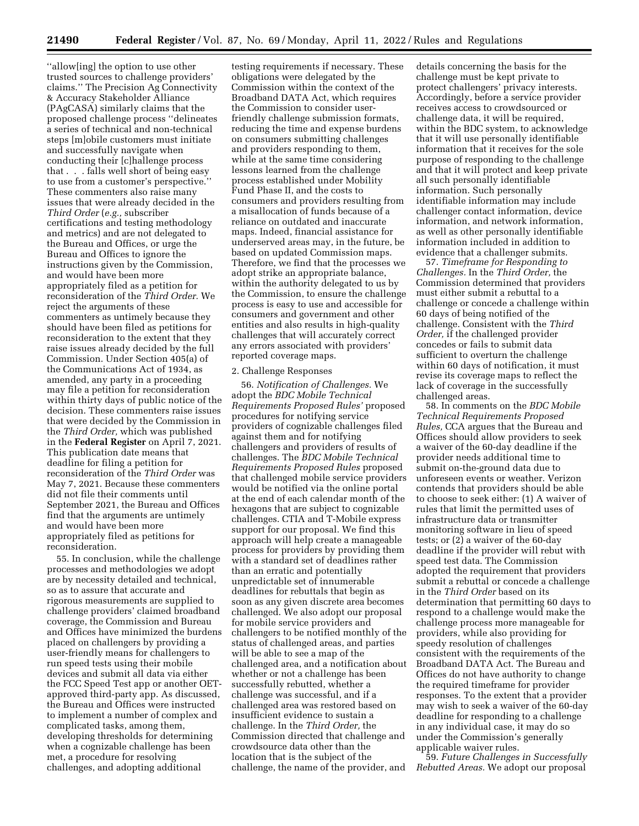''allow[ing] the option to use other trusted sources to challenge providers' claims.'' The Precision Ag Connectivity & Accuracy Stakeholder Alliance (PAgCASA) similarly claims that the proposed challenge process ''delineates a series of technical and non-technical steps [m]obile customers must initiate and successfully navigate when conducting their [c]hallenge process that . . . falls well short of being easy to use from a customer's perspective.'' These commenters also raise many issues that were already decided in the *Third Order* (*e.g.,* subscriber certifications and testing methodology and metrics) and are not delegated to the Bureau and Offices, or urge the Bureau and Offices to ignore the instructions given by the Commission, and would have been more appropriately filed as a petition for reconsideration of the *Third Order.* We reject the arguments of these commenters as untimely because they should have been filed as petitions for reconsideration to the extent that they raise issues already decided by the full Commission. Under Section 405(a) of the Communications Act of 1934, as amended, any party in a proceeding may file a petition for reconsideration within thirty days of public notice of the decision. These commenters raise issues that were decided by the Commission in the *Third Order,* which was published in the **Federal Register** on April 7, 2021. This publication date means that deadline for filing a petition for reconsideration of the *Third Order* was May 7, 2021. Because these commenters did not file their comments until September 2021, the Bureau and Offices find that the arguments are untimely and would have been more appropriately filed as petitions for reconsideration.

55. In conclusion, while the challenge processes and methodologies we adopt are by necessity detailed and technical, so as to assure that accurate and rigorous measurements are supplied to challenge providers' claimed broadband coverage, the Commission and Bureau and Offices have minimized the burdens placed on challengers by providing a user-friendly means for challengers to run speed tests using their mobile devices and submit all data via either the FCC Speed Test app or another OETapproved third-party app. As discussed, the Bureau and Offices were instructed to implement a number of complex and complicated tasks, among them, developing thresholds for determining when a cognizable challenge has been met, a procedure for resolving challenges, and adopting additional

testing requirements if necessary. These obligations were delegated by the Commission within the context of the Broadband DATA Act, which requires the Commission to consider userfriendly challenge submission formats, reducing the time and expense burdens on consumers submitting challenges and providers responding to them, while at the same time considering lessons learned from the challenge process established under Mobility Fund Phase II, and the costs to consumers and providers resulting from a misallocation of funds because of a reliance on outdated and inaccurate maps. Indeed, financial assistance for underserved areas may, in the future, be based on updated Commission maps. Therefore, we find that the processes we adopt strike an appropriate balance, within the authority delegated to us by the Commission, to ensure the challenge process is easy to use and accessible for consumers and government and other entities and also results in high-quality challenges that will accurately correct any errors associated with providers' reported coverage maps.

#### 2. Challenge Responses

56. *Notification of Challenges.* We adopt the *BDC Mobile Technical Requirements Proposed Rules'* proposed procedures for notifying service providers of cognizable challenges filed against them and for notifying challengers and providers of results of challenges. The *BDC Mobile Technical Requirements Proposed Rules* proposed that challenged mobile service providers would be notified via the online portal at the end of each calendar month of the hexagons that are subject to cognizable challenges. CTIA and T-Mobile express support for our proposal. We find this approach will help create a manageable process for providers by providing them with a standard set of deadlines rather than an erratic and potentially unpredictable set of innumerable deadlines for rebuttals that begin as soon as any given discrete area becomes challenged. We also adopt our proposal for mobile service providers and challengers to be notified monthly of the status of challenged areas, and parties will be able to see a map of the challenged area, and a notification about whether or not a challenge has been successfully rebutted, whether a challenge was successful, and if a challenged area was restored based on insufficient evidence to sustain a challenge. In the *Third Order,* the Commission directed that challenge and crowdsource data other than the location that is the subject of the challenge, the name of the provider, and

details concerning the basis for the challenge must be kept private to protect challengers' privacy interests. Accordingly, before a service provider receives access to crowdsourced or challenge data, it will be required, within the BDC system, to acknowledge that it will use personally identifiable information that it receives for the sole purpose of responding to the challenge and that it will protect and keep private all such personally identifiable information. Such personally identifiable information may include challenger contact information, device information, and network information, as well as other personally identifiable information included in addition to evidence that a challenger submits.

57. *Timeframe for Responding to Challenges.* In the *Third Order,* the Commission determined that providers must either submit a rebuttal to a challenge or concede a challenge within 60 days of being notified of the challenge. Consistent with the *Third Order,* if the challenged provider concedes or fails to submit data sufficient to overturn the challenge within 60 days of notification, it must revise its coverage maps to reflect the lack of coverage in the successfully challenged areas.

58. In comments on the *BDC Mobile Technical Requirements Proposed Rules,* CCA argues that the Bureau and Offices should allow providers to seek a waiver of the 60-day deadline if the provider needs additional time to submit on-the-ground data due to unforeseen events or weather. Verizon contends that providers should be able to choose to seek either: (1) A waiver of rules that limit the permitted uses of infrastructure data or transmitter monitoring software in lieu of speed tests; or (2) a waiver of the 60-day deadline if the provider will rebut with speed test data. The Commission adopted the requirement that providers submit a rebuttal or concede a challenge in the *Third Order* based on its determination that permitting 60 days to respond to a challenge would make the challenge process more manageable for providers, while also providing for speedy resolution of challenges consistent with the requirements of the Broadband DATA Act. The Bureau and Offices do not have authority to change the required timeframe for provider responses. To the extent that a provider may wish to seek a waiver of the 60-day deadline for responding to a challenge in any individual case, it may do so under the Commission's generally applicable waiver rules.

59. *Future Challenges in Successfully Rebutted Areas.* We adopt our proposal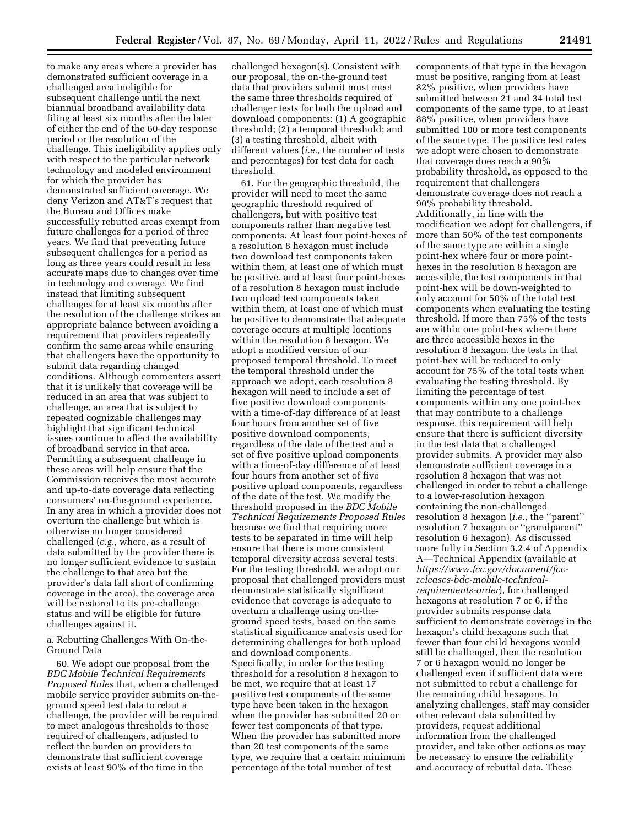to make any areas where a provider has demonstrated sufficient coverage in a challenged area ineligible for subsequent challenge until the next biannual broadband availability data filing at least six months after the later of either the end of the 60-day response period or the resolution of the challenge. This ineligibility applies only with respect to the particular network technology and modeled environment for which the provider has demonstrated sufficient coverage. We deny Verizon and AT&T's request that the Bureau and Offices make successfully rebutted areas exempt from future challenges for a period of three years. We find that preventing future subsequent challenges for a period as long as three years could result in less accurate maps due to changes over time in technology and coverage. We find instead that limiting subsequent challenges for at least six months after the resolution of the challenge strikes an appropriate balance between avoiding a requirement that providers repeatedly confirm the same areas while ensuring that challengers have the opportunity to submit data regarding changed conditions. Although commenters assert that it is unlikely that coverage will be reduced in an area that was subject to challenge, an area that is subject to repeated cognizable challenges may highlight that significant technical issues continue to affect the availability of broadband service in that area. Permitting a subsequent challenge in these areas will help ensure that the Commission receives the most accurate and up-to-date coverage data reflecting consumers' on-the-ground experience. In any area in which a provider does not overturn the challenge but which is otherwise no longer considered challenged (*e.g.,* where, as a result of data submitted by the provider there is no longer sufficient evidence to sustain the challenge to that area but the provider's data fall short of confirming coverage in the area), the coverage area will be restored to its pre-challenge status and will be eligible for future challenges against it.

a. Rebutting Challenges With On-the-Ground Data

60. We adopt our proposal from the *BDC Mobile Technical Requirements Proposed Rules* that, when a challenged mobile service provider submits on-theground speed test data to rebut a challenge, the provider will be required to meet analogous thresholds to those required of challengers, adjusted to reflect the burden on providers to demonstrate that sufficient coverage exists at least 90% of the time in the

challenged hexagon(s). Consistent with our proposal, the on-the-ground test data that providers submit must meet the same three thresholds required of challenger tests for both the upload and download components: (1) A geographic threshold; (2) a temporal threshold; and (3) a testing threshold, albeit with different values (*i.e.,* the number of tests and percentages) for test data for each threshold.

61. For the geographic threshold, the provider will need to meet the same geographic threshold required of challengers, but with positive test components rather than negative test components. At least four point-hexes of a resolution 8 hexagon must include two download test components taken within them, at least one of which must be positive, and at least four point-hexes of a resolution 8 hexagon must include two upload test components taken within them, at least one of which must be positive to demonstrate that adequate coverage occurs at multiple locations within the resolution 8 hexagon. We adopt a modified version of our proposed temporal threshold. To meet the temporal threshold under the approach we adopt, each resolution 8 hexagon will need to include a set of five positive download components with a time-of-day difference of at least four hours from another set of five positive download components, regardless of the date of the test and a set of five positive upload components with a time-of-day difference of at least four hours from another set of five positive upload components, regardless of the date of the test. We modify the threshold proposed in the *BDC Mobile Technical Requirements Proposed Rules*  because we find that requiring more tests to be separated in time will help ensure that there is more consistent temporal diversity across several tests. For the testing threshold, we adopt our proposal that challenged providers must demonstrate statistically significant evidence that coverage is adequate to overturn a challenge using on-theground speed tests, based on the same statistical significance analysis used for determining challenges for both upload and download components. Specifically, in order for the testing threshold for a resolution 8 hexagon to be met, we require that at least 17 positive test components of the same type have been taken in the hexagon when the provider has submitted 20 or fewer test components of that type. When the provider has submitted more than 20 test components of the same type, we require that a certain minimum percentage of the total number of test

components of that type in the hexagon must be positive, ranging from at least 82% positive, when providers have submitted between 21 and 34 total test components of the same type, to at least 88% positive, when providers have submitted 100 or more test components of the same type. The positive test rates we adopt were chosen to demonstrate that coverage does reach a 90% probability threshold, as opposed to the requirement that challengers demonstrate coverage does not reach a 90% probability threshold. Additionally, in line with the modification we adopt for challengers, if more than 50% of the test components of the same type are within a single point-hex where four or more pointhexes in the resolution 8 hexagon are accessible, the test components in that point-hex will be down-weighted to only account for 50% of the total test components when evaluating the testing threshold. If more than 75% of the tests are within one point-hex where there are three accessible hexes in the resolution 8 hexagon, the tests in that point-hex will be reduced to only account for 75% of the total tests when evaluating the testing threshold. By limiting the percentage of test components within any one point-hex that may contribute to a challenge response, this requirement will help ensure that there is sufficient diversity in the test data that a challenged provider submits. A provider may also demonstrate sufficient coverage in a resolution 8 hexagon that was not challenged in order to rebut a challenge to a lower-resolution hexagon containing the non-challenged resolution 8 hexagon (*i.e.,* the ''parent'' resolution 7 hexagon or ''grandparent'' resolution 6 hexagon). As discussed more fully in Section 3.2.4 of Appendix A—Technical Appendix (available at *[https://www.fcc.gov/document/fcc](https://www.fcc.gov/document/fcc-releases-bdc-mobile-technical-requirements-order)releases-bdc-mobile-technical[requirements-order](https://www.fcc.gov/document/fcc-releases-bdc-mobile-technical-requirements-order)*), for challenged hexagons at resolution 7 or 6, if the provider submits response data sufficient to demonstrate coverage in the hexagon's child hexagons such that fewer than four child hexagons would still be challenged, then the resolution 7 or 6 hexagon would no longer be challenged even if sufficient data were not submitted to rebut a challenge for the remaining child hexagons. In analyzing challenges, staff may consider other relevant data submitted by providers, request additional information from the challenged provider, and take other actions as may be necessary to ensure the reliability and accuracy of rebuttal data. These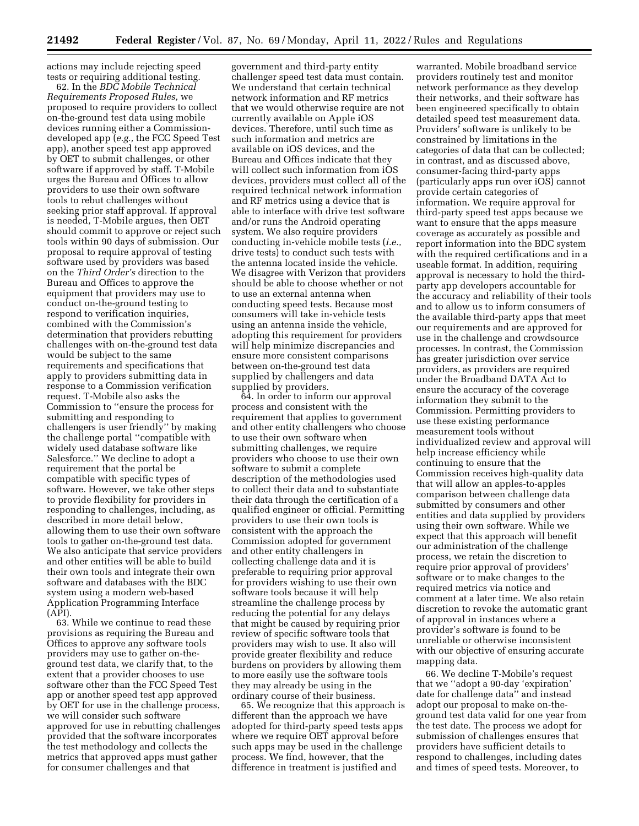actions may include rejecting speed tests or requiring additional testing.

62. In the *BDC Mobile Technical Requirements Proposed Rules,* we proposed to require providers to collect on-the-ground test data using mobile devices running either a Commissiondeveloped app (*e.g.,* the FCC Speed Test app), another speed test app approved by OET to submit challenges, or other software if approved by staff. T-Mobile urges the Bureau and Offices to allow providers to use their own software tools to rebut challenges without seeking prior staff approval. If approval is needed, T-Mobile argues, then OET should commit to approve or reject such tools within 90 days of submission. Our proposal to require approval of testing software used by providers was based on the *Third Order's* direction to the Bureau and Offices to approve the equipment that providers may use to conduct on-the-ground testing to respond to verification inquiries, combined with the Commission's determination that providers rebutting challenges with on-the-ground test data would be subject to the same requirements and specifications that apply to providers submitting data in response to a Commission verification request. T-Mobile also asks the Commission to ''ensure the process for submitting and responding to challengers is user friendly'' by making the challenge portal ''compatible with widely used database software like Salesforce.'' We decline to adopt a requirement that the portal be compatible with specific types of software. However, we take other steps to provide flexibility for providers in responding to challenges, including, as described in more detail below, allowing them to use their own software tools to gather on-the-ground test data. We also anticipate that service providers and other entities will be able to build their own tools and integrate their own software and databases with the BDC system using a modern web-based Application Programming Interface (API).

63. While we continue to read these provisions as requiring the Bureau and Offices to approve any software tools providers may use to gather on-theground test data, we clarify that, to the extent that a provider chooses to use software other than the FCC Speed Test app or another speed test app approved by OET for use in the challenge process, we will consider such software approved for use in rebutting challenges provided that the software incorporates the test methodology and collects the metrics that approved apps must gather for consumer challenges and that

government and third-party entity challenger speed test data must contain. We understand that certain technical network information and RF metrics that we would otherwise require are not currently available on Apple iOS devices. Therefore, until such time as such information and metrics are available on iOS devices, and the Bureau and Offices indicate that they will collect such information from iOS devices, providers must collect all of the required technical network information and RF metrics using a device that is able to interface with drive test software and/or runs the Android operating system. We also require providers conducting in-vehicle mobile tests (*i.e.,*  drive tests) to conduct such tests with the antenna located inside the vehicle. We disagree with Verizon that providers should be able to choose whether or not to use an external antenna when conducting speed tests. Because most consumers will take in-vehicle tests using an antenna inside the vehicle, adopting this requirement for providers will help minimize discrepancies and ensure more consistent comparisons between on-the-ground test data supplied by challengers and data supplied by providers.

64. In order to inform our approval process and consistent with the requirement that applies to government and other entity challengers who choose to use their own software when submitting challenges, we require providers who choose to use their own software to submit a complete description of the methodologies used to collect their data and to substantiate their data through the certification of a qualified engineer or official. Permitting providers to use their own tools is consistent with the approach the Commission adopted for government and other entity challengers in collecting challenge data and it is preferable to requiring prior approval for providers wishing to use their own software tools because it will help streamline the challenge process by reducing the potential for any delays that might be caused by requiring prior review of specific software tools that providers may wish to use. It also will provide greater flexibility and reduce burdens on providers by allowing them to more easily use the software tools they may already be using in the ordinary course of their business.

65. We recognize that this approach is different than the approach we have adopted for third-party speed tests apps where we require OET approval before such apps may be used in the challenge process. We find, however, that the difference in treatment is justified and

warranted. Mobile broadband service providers routinely test and monitor network performance as they develop their networks, and their software has been engineered specifically to obtain detailed speed test measurement data. Providers' software is unlikely to be constrained by limitations in the categories of data that can be collected; in contrast, and as discussed above, consumer-facing third-party apps (particularly apps run over iOS) cannot provide certain categories of information. We require approval for third-party speed test apps because we want to ensure that the apps measure coverage as accurately as possible and report information into the BDC system with the required certifications and in a useable format. In addition, requiring approval is necessary to hold the thirdparty app developers accountable for the accuracy and reliability of their tools and to allow us to inform consumers of the available third-party apps that meet our requirements and are approved for use in the challenge and crowdsource processes. In contrast, the Commission has greater jurisdiction over service providers, as providers are required under the Broadband DATA Act to ensure the accuracy of the coverage information they submit to the Commission. Permitting providers to use these existing performance measurement tools without individualized review and approval will help increase efficiency while continuing to ensure that the Commission receives high-quality data that will allow an apples-to-apples comparison between challenge data submitted by consumers and other entities and data supplied by providers using their own software. While we expect that this approach will benefit our administration of the challenge process, we retain the discretion to require prior approval of providers' software or to make changes to the required metrics via notice and comment at a later time. We also retain discretion to revoke the automatic grant of approval in instances where a provider's software is found to be unreliable or otherwise inconsistent with our objective of ensuring accurate mapping data.

66. We decline T-Mobile's request that we ''adopt a 90-day 'expiration' date for challenge data'' and instead adopt our proposal to make on-theground test data valid for one year from the test date. The process we adopt for submission of challenges ensures that providers have sufficient details to respond to challenges, including dates and times of speed tests. Moreover, to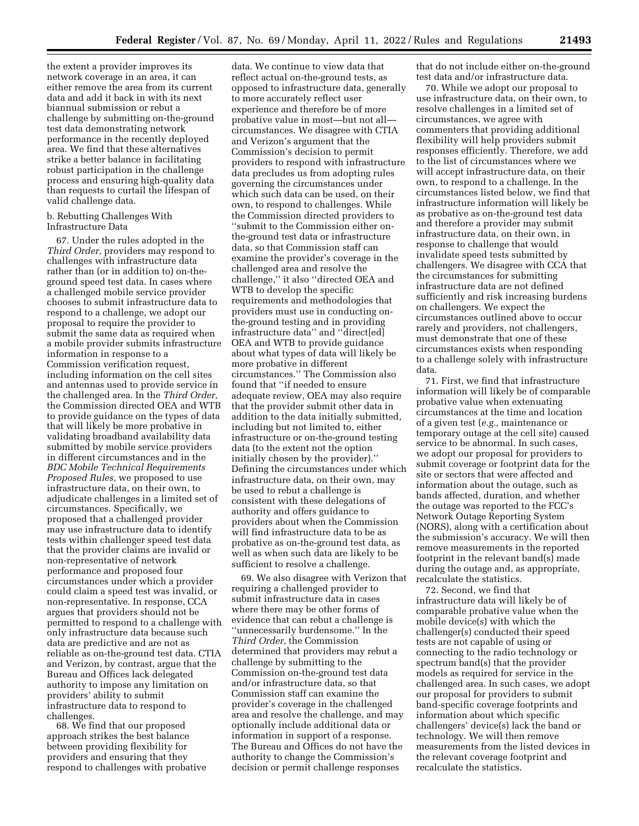the extent a provider improves its network coverage in an area, it can either remove the area from its current data and add it back in with its next biannual submission or rebut a challenge by submitting on-the-ground test data demonstrating network performance in the recently deployed area. We find that these alternatives strike a better balance in facilitating robust participation in the challenge process and ensuring high-quality data than requests to curtail the lifespan of valid challenge data.

#### b. Rebutting Challenges With Infrastructure Data

67. Under the rules adopted in the *Third Order,* providers may respond to challenges with infrastructure data rather than (or in addition to) on-theground speed test data. In cases where a challenged mobile service provider chooses to submit infrastructure data to respond to a challenge, we adopt our proposal to require the provider to submit the same data as required when a mobile provider submits infrastructure information in response to a Commission verification request, including information on the cell sites and antennas used to provide service in the challenged area. In the *Third Order,*  the Commission directed OEA and WTB to provide guidance on the types of data that will likely be more probative in validating broadband availability data submitted by mobile service providers in different circumstances and in the *BDC Mobile Technical Requirements Proposed Rules,* we proposed to use infrastructure data, on their own, to adjudicate challenges in a limited set of circumstances. Specifically, we proposed that a challenged provider may use infrastructure data to identify tests within challenger speed test data that the provider claims are invalid or non-representative of network performance and proposed four circumstances under which a provider could claim a speed test was invalid, or non-representative. In response, CCA argues that providers should not be permitted to respond to a challenge with only infrastructure data because such data are predictive and are not as reliable as on-the-ground test data. CTIA and Verizon, by contrast, argue that the Bureau and Offices lack delegated authority to impose any limitation on providers' ability to submit infrastructure data to respond to challenges.

68. We find that our proposed approach strikes the best balance between providing flexibility for providers and ensuring that they respond to challenges with probative

data. We continue to view data that reflect actual on-the-ground tests, as opposed to infrastructure data, generally to more accurately reflect user experience and therefore be of more probative value in most—but not all circumstances. We disagree with CTIA and Verizon's argument that the Commission's decision to permit providers to respond with infrastructure data precludes us from adopting rules governing the circumstances under which such data can be used, on their own, to respond to challenges. While the Commission directed providers to ''submit to the Commission either onthe-ground test data or infrastructure data, so that Commission staff can examine the provider's coverage in the challenged area and resolve the challenge,'' it also ''directed OEA and WTB to develop the specific requirements and methodologies that providers must use in conducting onthe-ground testing and in providing infrastructure data'' and ''direct[ed] OEA and WTB to provide guidance about what types of data will likely be more probative in different circumstances.'' The Commission also found that ''if needed to ensure adequate review, OEA may also require that the provider submit other data in addition to the data initially submitted, including but not limited to, either infrastructure or on-the-ground testing data (to the extent not the option initially chosen by the provider).'' Defining the circumstances under which infrastructure data, on their own, may be used to rebut a challenge is consistent with these delegations of authority and offers guidance to providers about when the Commission will find infrastructure data to be as probative as on-the-ground test data, as well as when such data are likely to be sufficient to resolve a challenge.

69. We also disagree with Verizon that requiring a challenged provider to submit infrastructure data in cases where there may be other forms of evidence that can rebut a challenge is ''unnecessarily burdensome.'' In the *Third Order,* the Commission determined that providers may rebut a challenge by submitting to the Commission on-the-ground test data and/or infrastructure data, so that Commission staff can examine the provider's coverage in the challenged area and resolve the challenge, and may optionally include additional data or information in support of a response. The Bureau and Offices do not have the authority to change the Commission's decision or permit challenge responses

that do not include either on-the-ground test data and/or infrastructure data.

70. While we adopt our proposal to use infrastructure data, on their own, to resolve challenges in a limited set of circumstances, we agree with commenters that providing additional flexibility will help providers submit responses efficiently. Therefore, we add to the list of circumstances where we will accept infrastructure data, on their own, to respond to a challenge. In the circumstances listed below, we find that infrastructure information will likely be as probative as on-the-ground test data and therefore a provider may submit infrastructure data, on their own, in response to challenge that would invalidate speed tests submitted by challengers. We disagree with CCA that the circumstances for submitting infrastructure data are not defined sufficiently and risk increasing burdens on challengers. We expect the circumstances outlined above to occur rarely and providers, not challengers, must demonstrate that one of these circumstances exists when responding to a challenge solely with infrastructure data.

71. First, we find that infrastructure information will likely be of comparable probative value when extenuating circumstances at the time and location of a given test (*e.g.,* maintenance or temporary outage at the cell site) caused service to be abnormal. In such cases, we adopt our proposal for providers to submit coverage or footprint data for the site or sectors that were affected and information about the outage, such as bands affected, duration, and whether the outage was reported to the FCC's Network Outage Reporting System (NORS), along with a certification about the submission's accuracy. We will then remove measurements in the reported footprint in the relevant band(s) made during the outage and, as appropriate, recalculate the statistics.

72. Second, we find that infrastructure data will likely be of comparable probative value when the mobile device(s) with which the challenger(s) conducted their speed tests are not capable of using or connecting to the radio technology or spectrum band(s) that the provider models as required for service in the challenged area. In such cases, we adopt our proposal for providers to submit band-specific coverage footprints and information about which specific challengers' device(s) lack the band or technology. We will then remove measurements from the listed devices in the relevant coverage footprint and recalculate the statistics.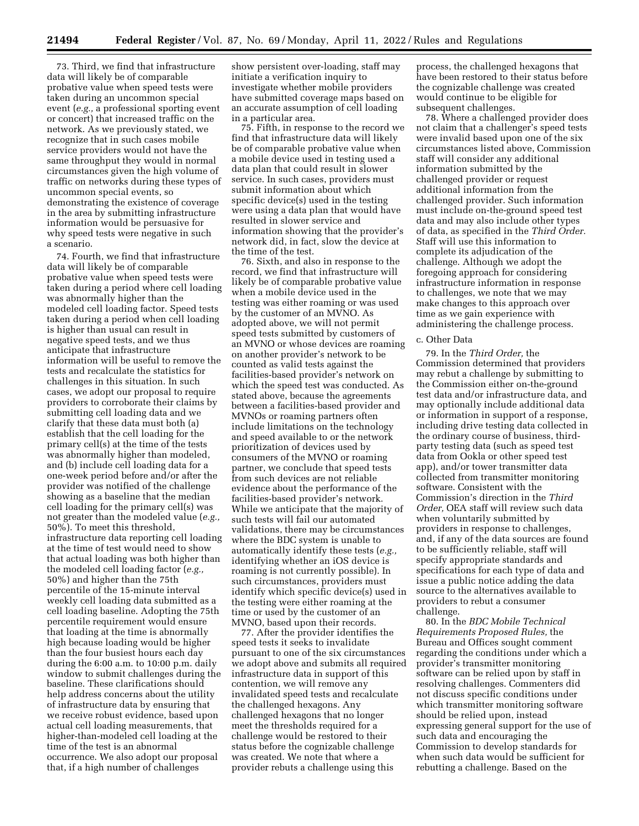73. Third, we find that infrastructure data will likely be of comparable probative value when speed tests were taken during an uncommon special event (*e.g.,* a professional sporting event or concert) that increased traffic on the network. As we previously stated, we recognize that in such cases mobile service providers would not have the same throughput they would in normal circumstances given the high volume of traffic on networks during these types of uncommon special events, so demonstrating the existence of coverage in the area by submitting infrastructure information would be persuasive for why speed tests were negative in such a scenario.

74. Fourth, we find that infrastructure data will likely be of comparable probative value when speed tests were taken during a period where cell loading was abnormally higher than the modeled cell loading factor. Speed tests taken during a period when cell loading is higher than usual can result in negative speed tests, and we thus anticipate that infrastructure information will be useful to remove the tests and recalculate the statistics for challenges in this situation. In such cases, we adopt our proposal to require providers to corroborate their claims by submitting cell loading data and we clarify that these data must both (a) establish that the cell loading for the primary cell(s) at the time of the tests was abnormally higher than modeled, and (b) include cell loading data for a one-week period before and/or after the provider was notified of the challenge showing as a baseline that the median cell loading for the primary cell(s) was not greater than the modeled value (*e.g.,*  50%). To meet this threshold, infrastructure data reporting cell loading at the time of test would need to show that actual loading was both higher than the modeled cell loading factor (*e.g.,*  50%) and higher than the 75th percentile of the 15-minute interval weekly cell loading data submitted as a cell loading baseline. Adopting the 75th percentile requirement would ensure that loading at the time is abnormally high because loading would be higher than the four busiest hours each day during the 6:00 a.m. to 10:00 p.m. daily window to submit challenges during the baseline. These clarifications should help address concerns about the utility of infrastructure data by ensuring that we receive robust evidence, based upon actual cell loading measurements, that higher-than-modeled cell loading at the time of the test is an abnormal occurrence. We also adopt our proposal that, if a high number of challenges

show persistent over-loading, staff may initiate a verification inquiry to investigate whether mobile providers have submitted coverage maps based on an accurate assumption of cell loading in a particular area.

75. Fifth, in response to the record we find that infrastructure data will likely be of comparable probative value when a mobile device used in testing used a data plan that could result in slower service. In such cases, providers must submit information about which specific device(s) used in the testing were using a data plan that would have resulted in slower service and information showing that the provider's network did, in fact, slow the device at the time of the test.

76. Sixth, and also in response to the record, we find that infrastructure will likely be of comparable probative value when a mobile device used in the testing was either roaming or was used by the customer of an MVNO. As adopted above, we will not permit speed tests submitted by customers of an MVNO or whose devices are roaming on another provider's network to be counted as valid tests against the facilities-based provider's network on which the speed test was conducted. As stated above, because the agreements between a facilities-based provider and MVNOs or roaming partners often include limitations on the technology and speed available to or the network prioritization of devices used by consumers of the MVNO or roaming partner, we conclude that speed tests from such devices are not reliable evidence about the performance of the facilities-based provider's network. While we anticipate that the majority of such tests will fail our automated validations, there may be circumstances where the BDC system is unable to automatically identify these tests (*e.g.,*  identifying whether an iOS device is roaming is not currently possible). In such circumstances, providers must identify which specific device(s) used in the testing were either roaming at the time or used by the customer of an MVNO, based upon their records.

77. After the provider identifies the speed tests it seeks to invalidate pursuant to one of the six circumstances we adopt above and submits all required infrastructure data in support of this contention, we will remove any invalidated speed tests and recalculate the challenged hexagons. Any challenged hexagons that no longer meet the thresholds required for a challenge would be restored to their status before the cognizable challenge was created. We note that where a provider rebuts a challenge using this

process, the challenged hexagons that have been restored to their status before the cognizable challenge was created would continue to be eligible for subsequent challenges.

78. Where a challenged provider does not claim that a challenger's speed tests were invalid based upon one of the six circumstances listed above, Commission staff will consider any additional information submitted by the challenged provider or request additional information from the challenged provider. Such information must include on-the-ground speed test data and may also include other types of data, as specified in the *Third Order.*  Staff will use this information to complete its adjudication of the challenge. Although we adopt the foregoing approach for considering infrastructure information in response to challenges, we note that we may make changes to this approach over time as we gain experience with administering the challenge process.

## c. Other Data

79. In the *Third Order,* the Commission determined that providers may rebut a challenge by submitting to the Commission either on-the-ground test data and/or infrastructure data, and may optionally include additional data or information in support of a response, including drive testing data collected in the ordinary course of business, thirdparty testing data (such as speed test data from Ookla or other speed test app), and/or tower transmitter data collected from transmitter monitoring software. Consistent with the Commission's direction in the *Third Order,* OEA staff will review such data when voluntarily submitted by providers in response to challenges, and, if any of the data sources are found to be sufficiently reliable, staff will specify appropriate standards and specifications for each type of data and issue a public notice adding the data source to the alternatives available to providers to rebut a consumer challenge.

80. In the *BDC Mobile Technical Requirements Proposed Rules,* the Bureau and Offices sought comment regarding the conditions under which a provider's transmitter monitoring software can be relied upon by staff in resolving challenges. Commenters did not discuss specific conditions under which transmitter monitoring software should be relied upon, instead expressing general support for the use of such data and encouraging the Commission to develop standards for when such data would be sufficient for rebutting a challenge. Based on the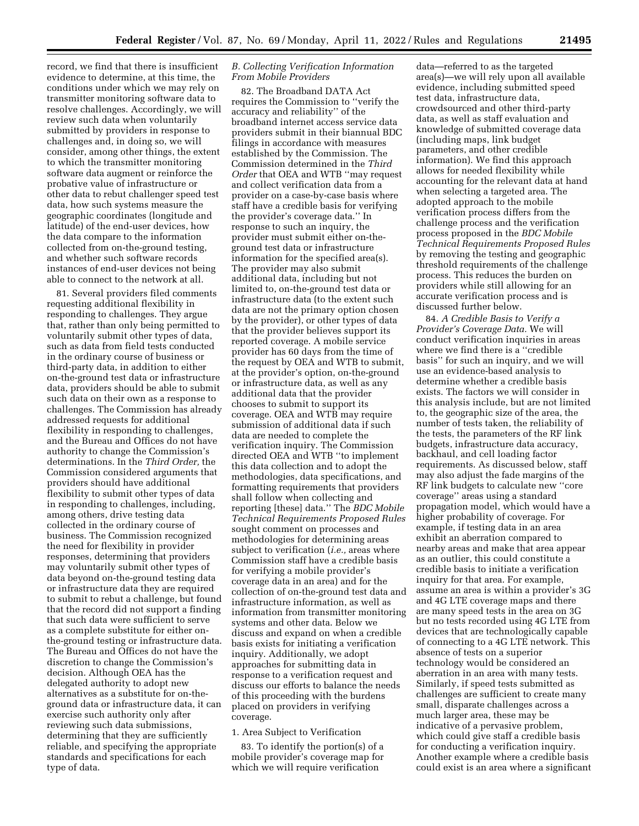record, we find that there is insufficient evidence to determine, at this time, the conditions under which we may rely on transmitter monitoring software data to resolve challenges. Accordingly, we will review such data when voluntarily submitted by providers in response to challenges and, in doing so, we will consider, among other things, the extent to which the transmitter monitoring software data augment or reinforce the probative value of infrastructure or other data to rebut challenger speed test data, how such systems measure the geographic coordinates (longitude and latitude) of the end-user devices, how the data compare to the information collected from on-the-ground testing, and whether such software records instances of end-user devices not being able to connect to the network at all.

81. Several providers filed comments requesting additional flexibility in responding to challenges. They argue that, rather than only being permitted to voluntarily submit other types of data, such as data from field tests conducted in the ordinary course of business or third-party data, in addition to either on-the-ground test data or infrastructure data, providers should be able to submit such data on their own as a response to challenges. The Commission has already addressed requests for additional flexibility in responding to challenges, and the Bureau and Offices do not have authority to change the Commission's determinations. In the *Third Order,* the Commission considered arguments that providers should have additional flexibility to submit other types of data in responding to challenges, including, among others, drive testing data collected in the ordinary course of business. The Commission recognized the need for flexibility in provider responses, determining that providers may voluntarily submit other types of data beyond on-the-ground testing data or infrastructure data they are required to submit to rebut a challenge, but found that the record did not support a finding that such data were sufficient to serve as a complete substitute for either onthe-ground testing or infrastructure data. The Bureau and Offices do not have the discretion to change the Commission's decision. Although OEA has the delegated authority to adopt new alternatives as a substitute for on-theground data or infrastructure data, it can exercise such authority only after reviewing such data submissions, determining that they are sufficiently reliable, and specifying the appropriate standards and specifications for each type of data.

### *B. Collecting Verification Information From Mobile Providers*

82. The Broadband DATA Act requires the Commission to ''verify the accuracy and reliability'' of the broadband internet access service data providers submit in their biannual BDC filings in accordance with measures established by the Commission. The Commission determined in the *Third Order* that OEA and WTB ''may request and collect verification data from a provider on a case-by-case basis where staff have a credible basis for verifying the provider's coverage data.'' In response to such an inquiry, the provider must submit either on-theground test data or infrastructure information for the specified area(s). The provider may also submit additional data, including but not limited to, on-the-ground test data or infrastructure data (to the extent such data are not the primary option chosen by the provider), or other types of data that the provider believes support its reported coverage. A mobile service provider has 60 days from the time of the request by OEA and WTB to submit, at the provider's option, on-the-ground or infrastructure data, as well as any additional data that the provider chooses to submit to support its coverage. OEA and WTB may require submission of additional data if such data are needed to complete the verification inquiry. The Commission directed OEA and WTB ''to implement this data collection and to adopt the methodologies, data specifications, and formatting requirements that providers shall follow when collecting and reporting [these] data.'' The *BDC Mobile Technical Requirements Proposed Rules*  sought comment on processes and methodologies for determining areas subject to verification (*i.e.,* areas where Commission staff have a credible basis for verifying a mobile provider's coverage data in an area) and for the collection of on-the-ground test data and infrastructure information, as well as information from transmitter monitoring systems and other data. Below we discuss and expand on when a credible basis exists for initiating a verification inquiry. Additionally, we adopt approaches for submitting data in response to a verification request and discuss our efforts to balance the needs of this proceeding with the burdens placed on providers in verifying coverage.

#### 1. Area Subject to Verification

83. To identify the portion(s) of a mobile provider's coverage map for which we will require verification

data—referred to as the targeted area(s)—we will rely upon all available evidence, including submitted speed test data, infrastructure data, crowdsourced and other third-party data, as well as staff evaluation and knowledge of submitted coverage data (including maps, link budget parameters, and other credible information). We find this approach allows for needed flexibility while accounting for the relevant data at hand when selecting a targeted area. The adopted approach to the mobile verification process differs from the challenge process and the verification process proposed in the *BDC Mobile Technical Requirements Proposed Rules*  by removing the testing and geographic threshold requirements of the challenge process. This reduces the burden on providers while still allowing for an accurate verification process and is discussed further below.

84. *A Credible Basis to Verify a Provider's Coverage Data.* We will conduct verification inquiries in areas where we find there is a ''credible basis'' for such an inquiry, and we will use an evidence-based analysis to determine whether a credible basis exists. The factors we will consider in this analysis include, but are not limited to, the geographic size of the area, the number of tests taken, the reliability of the tests, the parameters of the RF link budgets, infrastructure data accuracy, backhaul, and cell loading factor requirements. As discussed below, staff may also adjust the fade margins of the RF link budgets to calculate new ''core coverage'' areas using a standard propagation model, which would have a higher probability of coverage. For example, if testing data in an area exhibit an aberration compared to nearby areas and make that area appear as an outlier, this could constitute a credible basis to initiate a verification inquiry for that area. For example, assume an area is within a provider's 3G and 4G LTE coverage maps and there are many speed tests in the area on 3G but no tests recorded using 4G LTE from devices that are technologically capable of connecting to a 4G LTE network. This absence of tests on a superior technology would be considered an aberration in an area with many tests. Similarly, if speed tests submitted as challenges are sufficient to create many small, disparate challenges across a much larger area, these may be indicative of a pervasive problem, which could give staff a credible basis for conducting a verification inquiry. Another example where a credible basis could exist is an area where a significant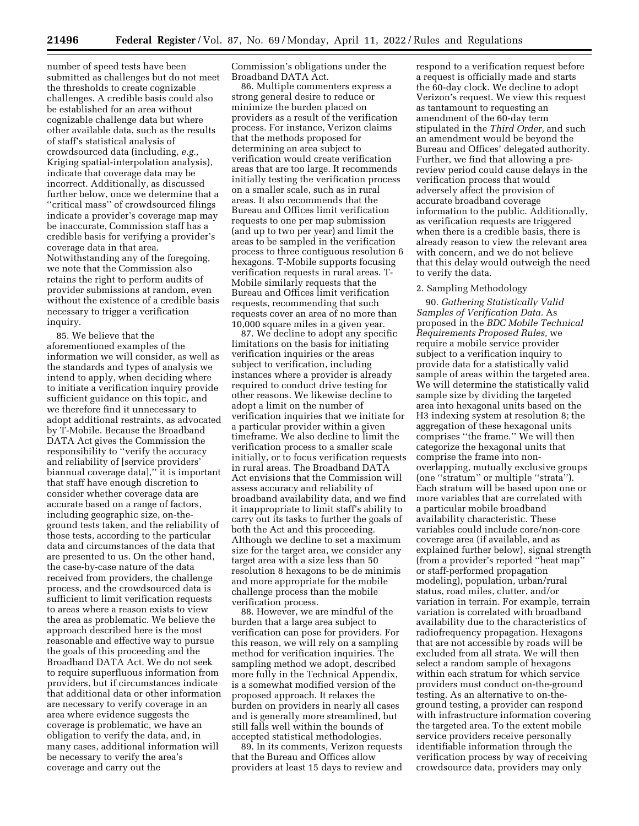number of speed tests have been submitted as challenges but do not meet the thresholds to create cognizable challenges. A credible basis could also be established for an area without cognizable challenge data but where other available data, such as the results of staff's statistical analysis of crowdsourced data (including, *e.g.,*  Kriging spatial-interpolation analysis), indicate that coverage data may be incorrect. Additionally, as discussed further below, once we determine that a ''critical mass'' of crowdsourced filings indicate a provider's coverage map may be inaccurate, Commission staff has a credible basis for verifying a provider's coverage data in that area. Notwithstanding any of the foregoing, we note that the Commission also retains the right to perform audits of provider submissions at random, even without the existence of a credible basis necessary to trigger a verification inquiry.

85. We believe that the aforementioned examples of the information we will consider, as well as the standards and types of analysis we intend to apply, when deciding where to initiate a verification inquiry provide sufficient guidance on this topic, and we therefore find it unnecessary to adopt additional restraints, as advocated by T-Mobile. Because the Broadband DATA Act gives the Commission the responsibility to ''verify the accuracy and reliability of [service providers' biannual coverage data],'' it is important that staff have enough discretion to consider whether coverage data are accurate based on a range of factors, including geographic size, on-theground tests taken, and the reliability of those tests, according to the particular data and circumstances of the data that are presented to us. On the other hand, the case-by-case nature of the data received from providers, the challenge process, and the crowdsourced data is sufficient to limit verification requests to areas where a reason exists to view the area as problematic. We believe the approach described here is the most reasonable and effective way to pursue the goals of this proceeding and the Broadband DATA Act. We do not seek to require superfluous information from providers, but if circumstances indicate that additional data or other information are necessary to verify coverage in an area where evidence suggests the coverage is problematic, we have an obligation to verify the data, and, in many cases, additional information will be necessary to verify the area's coverage and carry out the

Commission's obligations under the Broadband DATA Act.

86. Multiple commenters express a strong general desire to reduce or minimize the burden placed on providers as a result of the verification process. For instance, Verizon claims that the methods proposed for determining an area subject to verification would create verification areas that are too large. It recommends initially testing the verification process on a smaller scale, such as in rural areas. It also recommends that the Bureau and Offices limit verification requests to one per map submission (and up to two per year) and limit the areas to be sampled in the verification process to three contiguous resolution 6 hexagons. T-Mobile supports focusing verification requests in rural areas. T-Mobile similarly requests that the Bureau and Offices limit verification requests, recommending that such requests cover an area of no more than 10,000 square miles in a given year.

87. We decline to adopt any specific limitations on the basis for initiating verification inquiries or the areas subject to verification, including instances where a provider is already required to conduct drive testing for other reasons. We likewise decline to adopt a limit on the number of verification inquiries that we initiate for a particular provider within a given timeframe. We also decline to limit the verification process to a smaller scale initially, or to focus verification requests in rural areas. The Broadband DATA Act envisions that the Commission will assess accuracy and reliability of broadband availability data, and we find it inappropriate to limit staff's ability to carry out its tasks to further the goals of both the Act and this proceeding. Although we decline to set a maximum size for the target area, we consider any target area with a size less than 50 resolution 8 hexagons to be de minimis and more appropriate for the mobile challenge process than the mobile verification process.

88. However, we are mindful of the burden that a large area subject to verification can pose for providers. For this reason, we will rely on a sampling method for verification inquiries. The sampling method we adopt, described more fully in the Technical Appendix, is a somewhat modified version of the proposed approach. It relaxes the burden on providers in nearly all cases and is generally more streamlined, but still falls well within the bounds of accepted statistical methodologies.

89. In its comments, Verizon requests that the Bureau and Offices allow providers at least 15 days to review and

respond to a verification request before a request is officially made and starts the 60-day clock. We decline to adopt Verizon's request. We view this request as tantamount to requesting an amendment of the 60-day term stipulated in the *Third Order,* and such an amendment would be beyond the Bureau and Offices' delegated authority. Further, we find that allowing a prereview period could cause delays in the verification process that would adversely affect the provision of accurate broadband coverage information to the public. Additionally, as verification requests are triggered when there is a credible basis, there is already reason to view the relevant area with concern, and we do not believe that this delay would outweigh the need to verify the data.

#### 2. Sampling Methodology

90. *Gathering Statistically Valid Samples of Verification Data.* As proposed in the *BDC Mobile Technical Requirements Proposed Rules,* we require a mobile service provider subject to a verification inquiry to provide data for a statistically valid sample of areas within the targeted area. We will determine the statistically valid sample size by dividing the targeted area into hexagonal units based on the H3 indexing system at resolution 8; the aggregation of these hexagonal units comprises ''the frame.'' We will then categorize the hexagonal units that comprise the frame into nonoverlapping, mutually exclusive groups (one ''stratum'' or multiple ''strata''). Each stratum will be based upon one or more variables that are correlated with a particular mobile broadband availability characteristic. These variables could include core/non-core coverage area (if available, and as explained further below), signal strength (from a provider's reported ''heat map'' or staff-performed propagation modeling), population, urban/rural status, road miles, clutter, and/or variation in terrain. For example, terrain variation is correlated with broadband availability due to the characteristics of radiofrequency propagation. Hexagons that are not accessible by roads will be excluded from all strata. We will then select a random sample of hexagons within each stratum for which service providers must conduct on-the-ground testing. As an alternative to on-theground testing, a provider can respond with infrastructure information covering the targeted area. To the extent mobile service providers receive personally identifiable information through the verification process by way of receiving crowdsource data, providers may only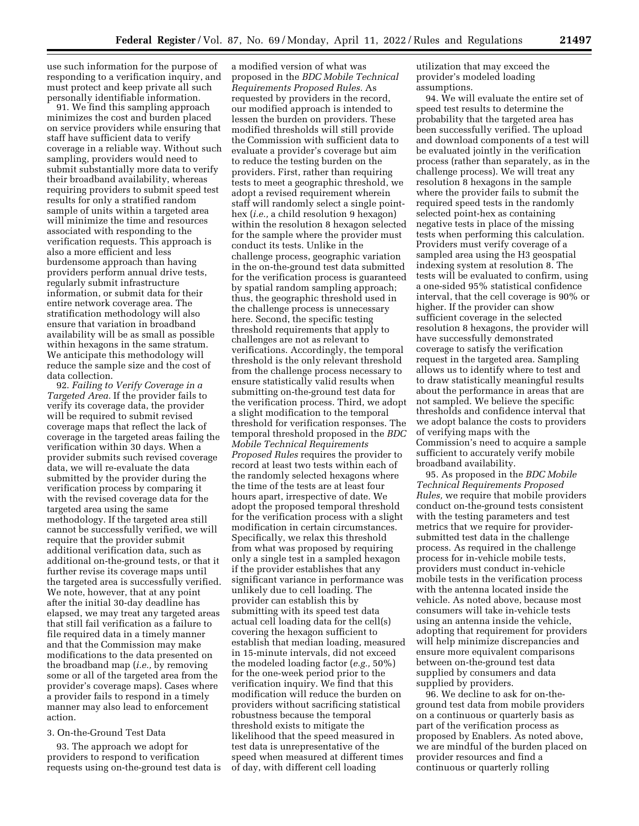use such information for the purpose of responding to a verification inquiry, and must protect and keep private all such personally identifiable information.

91. We find this sampling approach minimizes the cost and burden placed on service providers while ensuring that staff have sufficient data to verify coverage in a reliable way. Without such sampling, providers would need to submit substantially more data to verify their broadband availability, whereas requiring providers to submit speed test results for only a stratified random sample of units within a targeted area will minimize the time and resources associated with responding to the verification requests. This approach is also a more efficient and less burdensome approach than having providers perform annual drive tests, regularly submit infrastructure information, or submit data for their entire network coverage area. The stratification methodology will also ensure that variation in broadband availability will be as small as possible within hexagons in the same stratum. We anticipate this methodology will reduce the sample size and the cost of data collection.

92. *Failing to Verify Coverage in a Targeted Area.* If the provider fails to verify its coverage data, the provider will be required to submit revised coverage maps that reflect the lack of coverage in the targeted areas failing the verification within 30 days. When a provider submits such revised coverage data, we will re-evaluate the data submitted by the provider during the verification process by comparing it with the revised coverage data for the targeted area using the same methodology. If the targeted area still cannot be successfully verified, we will require that the provider submit additional verification data, such as additional on-the-ground tests, or that it further revise its coverage maps until the targeted area is successfully verified. We note, however, that at any point after the initial 30-day deadline has elapsed, we may treat any targeted areas that still fail verification as a failure to file required data in a timely manner and that the Commission may make modifications to the data presented on the broadband map (*i.e.,* by removing some or all of the targeted area from the provider's coverage maps). Cases where a provider fails to respond in a timely manner may also lead to enforcement action.

# 3. On-the-Ground Test Data

93. The approach we adopt for providers to respond to verification requests using on-the-ground test data is a modified version of what was proposed in the *BDC Mobile Technical Requirements Proposed Rules.* As requested by providers in the record, our modified approach is intended to lessen the burden on providers. These modified thresholds will still provide the Commission with sufficient data to evaluate a provider's coverage but aim to reduce the testing burden on the providers. First, rather than requiring tests to meet a geographic threshold, we adopt a revised requirement wherein staff will randomly select a single pointhex (*i.e.,* a child resolution 9 hexagon) within the resolution 8 hexagon selected for the sample where the provider must conduct its tests. Unlike in the challenge process, geographic variation in the on-the-ground test data submitted for the verification process is guaranteed by spatial random sampling approach; thus, the geographic threshold used in the challenge process is unnecessary here. Second, the specific testing threshold requirements that apply to challenges are not as relevant to verifications. Accordingly, the temporal threshold is the only relevant threshold from the challenge process necessary to ensure statistically valid results when submitting on-the-ground test data for the verification process. Third, we adopt a slight modification to the temporal threshold for verification responses. The temporal threshold proposed in the *BDC Mobile Technical Requirements Proposed Rules* requires the provider to record at least two tests within each of the randomly selected hexagons where the time of the tests are at least four hours apart, irrespective of date. We adopt the proposed temporal threshold for the verification process with a slight modification in certain circumstances. Specifically, we relax this threshold from what was proposed by requiring only a single test in a sampled hexagon if the provider establishes that any significant variance in performance was unlikely due to cell loading. The provider can establish this by submitting with its speed test data actual cell loading data for the cell(s) covering the hexagon sufficient to establish that median loading, measured in 15-minute intervals, did not exceed the modeled loading factor (*e.g.,* 50%) for the one-week period prior to the verification inquiry. We find that this modification will reduce the burden on providers without sacrificing statistical robustness because the temporal threshold exists to mitigate the likelihood that the speed measured in test data is unrepresentative of the speed when measured at different times of day, with different cell loading

utilization that may exceed the provider's modeled loading assumptions.

94. We will evaluate the entire set of speed test results to determine the probability that the targeted area has been successfully verified. The upload and download components of a test will be evaluated jointly in the verification process (rather than separately, as in the challenge process). We will treat any resolution 8 hexagons in the sample where the provider fails to submit the required speed tests in the randomly selected point-hex as containing negative tests in place of the missing tests when performing this calculation. Providers must verify coverage of a sampled area using the H3 geospatial indexing system at resolution 8. The tests will be evaluated to confirm, using a one-sided 95% statistical confidence interval, that the cell coverage is 90% or higher. If the provider can show sufficient coverage in the selected resolution 8 hexagons, the provider will have successfully demonstrated coverage to satisfy the verification request in the targeted area. Sampling allows us to identify where to test and to draw statistically meaningful results about the performance in areas that are not sampled. We believe the specific thresholds and confidence interval that we adopt balance the costs to providers of verifying maps with the Commission's need to acquire a sample sufficient to accurately verify mobile broadband availability.

95. As proposed in the *BDC Mobile Technical Requirements Proposed Rules,* we require that mobile providers conduct on-the-ground tests consistent with the testing parameters and test metrics that we require for providersubmitted test data in the challenge process. As required in the challenge process for in-vehicle mobile tests, providers must conduct in-vehicle mobile tests in the verification process with the antenna located inside the vehicle. As noted above, because most consumers will take in-vehicle tests using an antenna inside the vehicle, adopting that requirement for providers will help minimize discrepancies and ensure more equivalent comparisons between on-the-ground test data supplied by consumers and data supplied by providers.

96. We decline to ask for on-theground test data from mobile providers on a continuous or quarterly basis as part of the verification process as proposed by Enablers. As noted above, we are mindful of the burden placed on provider resources and find a continuous or quarterly rolling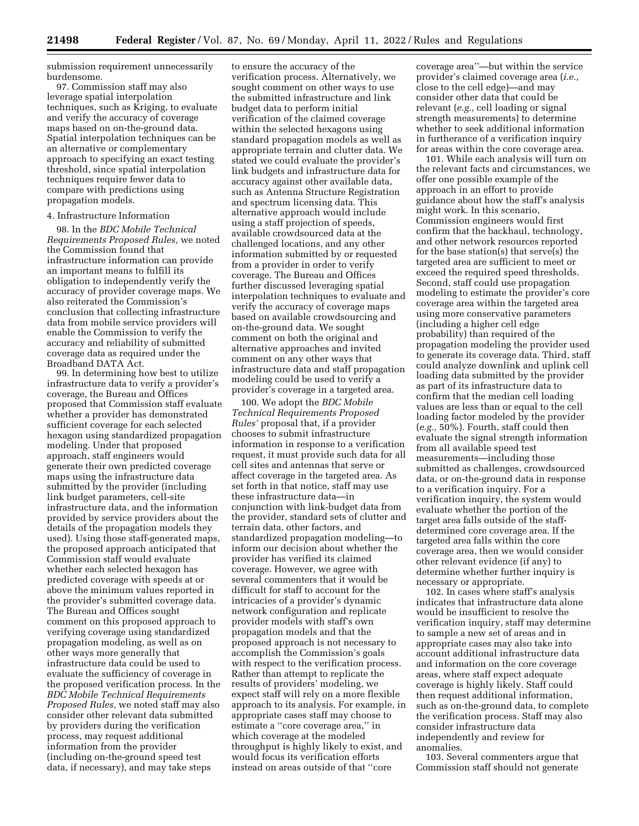submission requirement unnecessarily burdensome.

97. Commission staff may also leverage spatial interpolation techniques, such as Kriging, to evaluate and verify the accuracy of coverage maps based on on-the-ground data. Spatial interpolation techniques can be an alternative or complementary approach to specifying an exact testing threshold, since spatial interpolation techniques require fewer data to compare with predictions using propagation models.

#### 4. Infrastructure Information

98. In the *BDC Mobile Technical Requirements Proposed Rules,* we noted the Commission found that infrastructure information can provide an important means to fulfill its obligation to independently verify the accuracy of provider coverage maps. We also reiterated the Commission's conclusion that collecting infrastructure data from mobile service providers will enable the Commission to verify the accuracy and reliability of submitted coverage data as required under the Broadband DATA Act.

99. In determining how best to utilize infrastructure data to verify a provider's coverage, the Bureau and Offices proposed that Commission staff evaluate whether a provider has demonstrated sufficient coverage for each selected hexagon using standardized propagation modeling. Under that proposed approach, staff engineers would generate their own predicted coverage maps using the infrastructure data submitted by the provider (including link budget parameters, cell-site infrastructure data, and the information provided by service providers about the details of the propagation models they used). Using those staff-generated maps, the proposed approach anticipated that Commission staff would evaluate whether each selected hexagon has predicted coverage with speeds at or above the minimum values reported in the provider's submitted coverage data. The Bureau and Offices sought comment on this proposed approach to verifying coverage using standardized propagation modeling, as well as on other ways more generally that infrastructure data could be used to evaluate the sufficiency of coverage in the proposed verification process. In the *BDC Mobile Technical Requirements Proposed Rules,* we noted staff may also consider other relevant data submitted by providers during the verification process, may request additional information from the provider (including on-the-ground speed test data, if necessary), and may take steps

to ensure the accuracy of the verification process. Alternatively, we sought comment on other ways to use the submitted infrastructure and link budget data to perform initial verification of the claimed coverage within the selected hexagons using standard propagation models as well as appropriate terrain and clutter data. We stated we could evaluate the provider's link budgets and infrastructure data for accuracy against other available data, such as Antenna Structure Registration and spectrum licensing data. This alternative approach would include using a staff projection of speeds, available crowdsourced data at the challenged locations, and any other information submitted by or requested from a provider in order to verify coverage. The Bureau and Offices further discussed leveraging spatial interpolation techniques to evaluate and verify the accuracy of coverage maps based on available crowdsourcing and on-the-ground data. We sought comment on both the original and alternative approaches and invited comment on any other ways that infrastructure data and staff propagation modeling could be used to verify a provider's coverage in a targeted area.

100. We adopt the *BDC Mobile Technical Requirements Proposed Rules'* proposal that, if a provider chooses to submit infrastructure information in response to a verification request, it must provide such data for all cell sites and antennas that serve or affect coverage in the targeted area. As set forth in that notice, staff may use these infrastructure data—in conjunction with link-budget data from the provider, standard sets of clutter and terrain data, other factors, and standardized propagation modeling—to inform our decision about whether the provider has verified its claimed coverage. However, we agree with several commenters that it would be difficult for staff to account for the intricacies of a provider's dynamic network configuration and replicate provider models with staff's own propagation models and that the proposed approach is not necessary to accomplish the Commission's goals with respect to the verification process. Rather than attempt to replicate the results of providers' modeling, we expect staff will rely on a more flexible approach to its analysis. For example, in appropriate cases staff may choose to estimate a ''core coverage area,'' in which coverage at the modeled throughput is highly likely to exist, and would focus its verification efforts instead on areas outside of that ''core

coverage area''—but within the service provider's claimed coverage area (*i.e.,*  close to the cell edge)—and may consider other data that could be relevant (*e.g.,* cell loading or signal strength measurements) to determine whether to seek additional information in furtherance of a verification inquiry for areas within the core coverage area.

101. While each analysis will turn on the relevant facts and circumstances, we offer one possible example of the approach in an effort to provide guidance about how the staff's analysis might work. In this scenario, Commission engineers would first confirm that the backhaul, technology, and other network resources reported for the base station(s) that serve(s) the targeted area are sufficient to meet or exceed the required speed thresholds. Second, staff could use propagation modeling to estimate the provider's core coverage area within the targeted area using more conservative parameters (including a higher cell edge probability) than required of the propagation modeling the provider used to generate its coverage data. Third, staff could analyze downlink and uplink cell loading data submitted by the provider as part of its infrastructure data to confirm that the median cell loading values are less than or equal to the cell loading factor modeled by the provider (*e.g.,* 50%). Fourth, staff could then evaluate the signal strength information from all available speed test measurements—including those submitted as challenges, crowdsourced data, or on-the-ground data in response to a verification inquiry. For a verification inquiry, the system would evaluate whether the portion of the target area falls outside of the staffdetermined core coverage area. If the targeted area falls within the core coverage area, then we would consider other relevant evidence (if any) to determine whether further inquiry is necessary or appropriate.

102. In cases where staff's analysis indicates that infrastructure data alone would be insufficient to resolve the verification inquiry, staff may determine to sample a new set of areas and in appropriate cases may also take into account additional infrastructure data and information on the core coverage areas, where staff expect adequate coverage is highly likely. Staff could then request additional information, such as on-the-ground data, to complete the verification process. Staff may also consider infrastructure data independently and review for anomalies.

103. Several commenters argue that Commission staff should not generate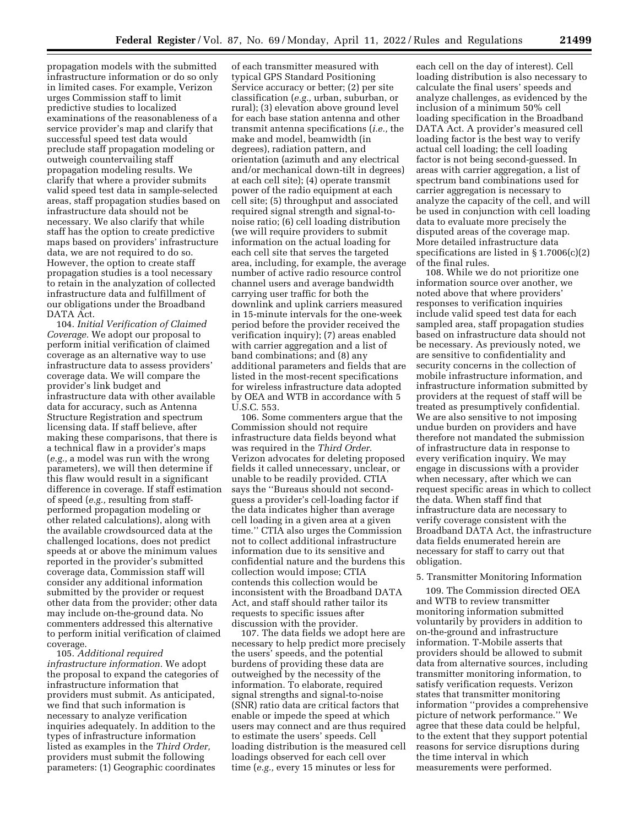propagation models with the submitted infrastructure information or do so only in limited cases. For example, Verizon urges Commission staff to limit predictive studies to localized examinations of the reasonableness of a service provider's map and clarify that successful speed test data would preclude staff propagation modeling or outweigh countervailing staff propagation modeling results. We clarify that where a provider submits valid speed test data in sample-selected areas, staff propagation studies based on infrastructure data should not be necessary. We also clarify that while staff has the option to create predictive maps based on providers' infrastructure data, we are not required to do so. However, the option to create staff propagation studies is a tool necessary to retain in the analyzation of collected infrastructure data and fulfillment of our obligations under the Broadband DATA Act.

104. *Initial Verification of Claimed Coverage.* We adopt our proposal to perform initial verification of claimed coverage as an alternative way to use infrastructure data to assess providers' coverage data. We will compare the provider's link budget and infrastructure data with other available data for accuracy, such as Antenna Structure Registration and spectrum licensing data. If staff believe, after making these comparisons, that there is a technical flaw in a provider's maps (*e.g.,* a model was run with the wrong parameters), we will then determine if this flaw would result in a significant difference in coverage. If staff estimation of speed (*e.g.,* resulting from staffperformed propagation modeling or other related calculations), along with the available crowdsourced data at the challenged locations, does not predict speeds at or above the minimum values reported in the provider's submitted coverage data, Commission staff will consider any additional information submitted by the provider or request other data from the provider; other data may include on-the-ground data. No commenters addressed this alternative to perform initial verification of claimed coverage.

105. *Additional required infrastructure information.* We adopt the proposal to expand the categories of infrastructure information that providers must submit. As anticipated, we find that such information is necessary to analyze verification inquiries adequately. In addition to the types of infrastructure information listed as examples in the *Third Order,*  providers must submit the following parameters: (1) Geographic coordinates

of each transmitter measured with typical GPS Standard Positioning Service accuracy or better; (2) per site classification (*e.g.,* urban, suburban, or rural); (3) elevation above ground level for each base station antenna and other transmit antenna specifications (*i.e.,* the make and model, beamwidth (in degrees), radiation pattern, and orientation (azimuth and any electrical and/or mechanical down-tilt in degrees) at each cell site); (4) operate transmit power of the radio equipment at each cell site; (5) throughput and associated required signal strength and signal-tonoise ratio; (6) cell loading distribution (we will require providers to submit information on the actual loading for each cell site that serves the targeted area, including, for example, the average number of active radio resource control channel users and average bandwidth carrying user traffic for both the downlink and uplink carriers measured in 15-minute intervals for the one-week period before the provider received the verification inquiry); (7) areas enabled with carrier aggregation and a list of band combinations; and (8) any additional parameters and fields that are listed in the most-recent specifications for wireless infrastructure data adopted by OEA and WTB in accordance with 5 U.S.C. 553.

106. Some commenters argue that the Commission should not require infrastructure data fields beyond what was required in the *Third Order.*  Verizon advocates for deleting proposed fields it called unnecessary, unclear, or unable to be readily provided. CTIA says the ''Bureaus should not secondguess a provider's cell-loading factor if the data indicates higher than average cell loading in a given area at a given time.'' CTIA also urges the Commission not to collect additional infrastructure information due to its sensitive and confidential nature and the burdens this collection would impose; CTIA contends this collection would be inconsistent with the Broadband DATA Act, and staff should rather tailor its requests to specific issues after discussion with the provider.

107. The data fields we adopt here are necessary to help predict more precisely the users' speeds, and the potential burdens of providing these data are outweighed by the necessity of the information. To elaborate, required signal strengths and signal-to-noise (SNR) ratio data are critical factors that enable or impede the speed at which users may connect and are thus required to estimate the users' speeds. Cell loading distribution is the measured cell loadings observed for each cell over time (*e.g.,* every 15 minutes or less for

each cell on the day of interest). Cell loading distribution is also necessary to calculate the final users' speeds and analyze challenges, as evidenced by the inclusion of a minimum 50% cell loading specification in the Broadband DATA Act. A provider's measured cell loading factor is the best way to verify actual cell loading; the cell loading factor is not being second-guessed. In areas with carrier aggregation, a list of spectrum band combinations used for carrier aggregation is necessary to analyze the capacity of the cell, and will be used in conjunction with cell loading data to evaluate more precisely the disputed areas of the coverage map. More detailed infrastructure data specifications are listed in § 1.7006(c)(2) of the final rules.

108. While we do not prioritize one information source over another, we noted above that where providers' responses to verification inquiries include valid speed test data for each sampled area, staff propagation studies based on infrastructure data should not be necessary. As previously noted, we are sensitive to confidentiality and security concerns in the collection of mobile infrastructure information, and infrastructure information submitted by providers at the request of staff will be treated as presumptively confidential. We are also sensitive to not imposing undue burden on providers and have therefore not mandated the submission of infrastructure data in response to every verification inquiry. We may engage in discussions with a provider when necessary, after which we can request specific areas in which to collect the data. When staff find that infrastructure data are necessary to verify coverage consistent with the Broadband DATA Act, the infrastructure data fields enumerated herein are necessary for staff to carry out that obligation.

## 5. Transmitter Monitoring Information

109. The Commission directed OEA and WTB to review transmitter monitoring information submitted voluntarily by providers in addition to on-the-ground and infrastructure information. T-Mobile asserts that providers should be allowed to submit data from alternative sources, including transmitter monitoring information, to satisfy verification requests. Verizon states that transmitter monitoring information ''provides a comprehensive picture of network performance.'' We agree that these data could be helpful, to the extent that they support potential reasons for service disruptions during the time interval in which measurements were performed.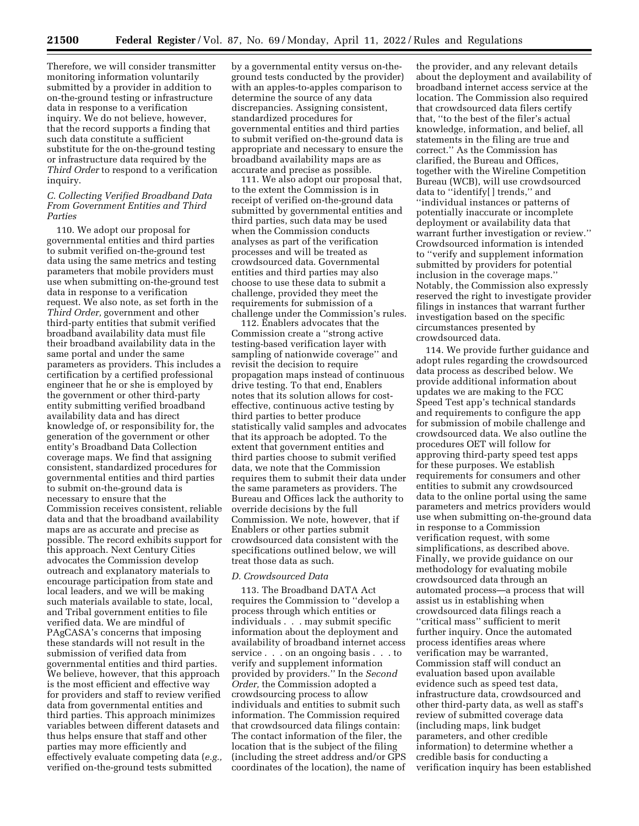Therefore, we will consider transmitter monitoring information voluntarily submitted by a provider in addition to on-the-ground testing or infrastructure data in response to a verification inquiry. We do not believe, however, that the record supports a finding that such data constitute a sufficient substitute for the on-the-ground testing or infrastructure data required by the *Third Order* to respond to a verification inquiry.

### *C. Collecting Verified Broadband Data From Government Entities and Third Parties*

110. We adopt our proposal for governmental entities and third parties to submit verified on-the-ground test data using the same metrics and testing parameters that mobile providers must use when submitting on-the-ground test data in response to a verification request. We also note, as set forth in the *Third Order,* government and other third-party entities that submit verified broadband availability data must file their broadband availability data in the same portal and under the same parameters as providers. This includes a certification by a certified professional engineer that he or she is employed by the government or other third-party entity submitting verified broadband availability data and has direct knowledge of, or responsibility for, the generation of the government or other entity's Broadband Data Collection coverage maps. We find that assigning consistent, standardized procedures for governmental entities and third parties to submit on-the-ground data is necessary to ensure that the Commission receives consistent, reliable data and that the broadband availability maps are as accurate and precise as possible. The record exhibits support for this approach. Next Century Cities advocates the Commission develop outreach and explanatory materials to encourage participation from state and local leaders, and we will be making such materials available to state, local, and Tribal government entities to file verified data. We are mindful of PAgCASA's concerns that imposing these standards will not result in the submission of verified data from governmental entities and third parties. We believe, however, that this approach is the most efficient and effective way for providers and staff to review verified data from governmental entities and third parties. This approach minimizes variables between different datasets and thus helps ensure that staff and other parties may more efficiently and effectively evaluate competing data (*e.g.,*  verified on-the-ground tests submitted

by a governmental entity versus on-theground tests conducted by the provider) with an apples-to-apples comparison to determine the source of any data discrepancies. Assigning consistent, standardized procedures for governmental entities and third parties to submit verified on-the-ground data is appropriate and necessary to ensure the broadband availability maps are as accurate and precise as possible.

111. We also adopt our proposal that, to the extent the Commission is in receipt of verified on-the-ground data submitted by governmental entities and third parties, such data may be used when the Commission conducts analyses as part of the verification processes and will be treated as crowdsourced data. Governmental entities and third parties may also choose to use these data to submit a challenge, provided they meet the requirements for submission of a challenge under the Commission's rules.

112. Enablers advocates that the Commission create a ''strong active testing-based verification layer with sampling of nationwide coverage'' and revisit the decision to require propagation maps instead of continuous drive testing. To that end, Enablers notes that its solution allows for costeffective, continuous active testing by third parties to better produce statistically valid samples and advocates that its approach be adopted. To the extent that government entities and third parties choose to submit verified data, we note that the Commission requires them to submit their data under the same parameters as providers. The Bureau and Offices lack the authority to override decisions by the full Commission. We note, however, that if Enablers or other parties submit crowdsourced data consistent with the specifications outlined below, we will treat those data as such.

## *D. Crowdsourced Data*

113. The Broadband DATA Act requires the Commission to ''develop a process through which entities or individuals . . . may submit specific information about the deployment and availability of broadband internet access service . . . on an ongoing basis . . . to verify and supplement information provided by providers.'' In the *Second Order,* the Commission adopted a crowdsourcing process to allow individuals and entities to submit such information. The Commission required that crowdsourced data filings contain: The contact information of the filer, the location that is the subject of the filing (including the street address and/or GPS coordinates of the location), the name of

the provider, and any relevant details about the deployment and availability of broadband internet access service at the location. The Commission also required that crowdsourced data filers certify that, ''to the best of the filer's actual knowledge, information, and belief, all statements in the filing are true and correct.'' As the Commission has clarified, the Bureau and Offices, together with the Wireline Competition Bureau (WCB), will use crowdsourced data to ''identify[ ] trends,'' and ''individual instances or patterns of potentially inaccurate or incomplete deployment or availability data that warrant further investigation or review.'' Crowdsourced information is intended to ''verify and supplement information submitted by providers for potential inclusion in the coverage maps.'' Notably, the Commission also expressly reserved the right to investigate provider filings in instances that warrant further investigation based on the specific circumstances presented by crowdsourced data.

114. We provide further guidance and adopt rules regarding the crowdsourced data process as described below. We provide additional information about updates we are making to the FCC Speed Test app's technical standards and requirements to configure the app for submission of mobile challenge and crowdsourced data. We also outline the procedures OET will follow for approving third-party speed test apps for these purposes. We establish requirements for consumers and other entities to submit any crowdsourced data to the online portal using the same parameters and metrics providers would use when submitting on-the-ground data in response to a Commission verification request, with some simplifications, as described above. Finally, we provide guidance on our methodology for evaluating mobile crowdsourced data through an automated process—a process that will assist us in establishing when crowdsourced data filings reach a ''critical mass'' sufficient to merit further inquiry. Once the automated process identifies areas where verification may be warranted, Commission staff will conduct an evaluation based upon available evidence such as speed test data, infrastructure data, crowdsourced and other third-party data, as well as staff's review of submitted coverage data (including maps, link budget parameters, and other credible information) to determine whether a credible basis for conducting a verification inquiry has been established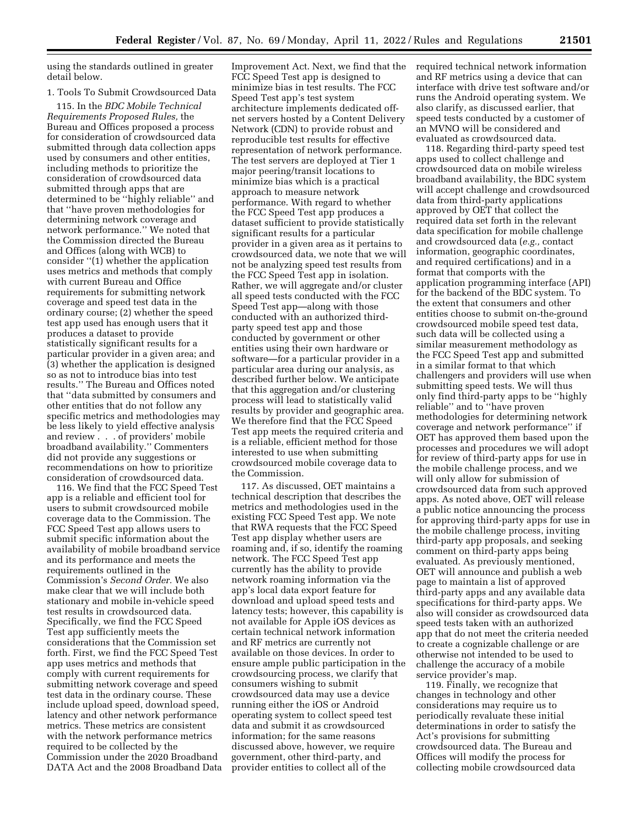using the standards outlined in greater detail below.

## 1. Tools To Submit Crowdsourced Data

115. In the *BDC Mobile Technical Requirements Proposed Rules,* the Bureau and Offices proposed a process for consideration of crowdsourced data submitted through data collection apps used by consumers and other entities, including methods to prioritize the consideration of crowdsourced data submitted through apps that are determined to be ''highly reliable'' and that ''have proven methodologies for determining network coverage and network performance.'' We noted that the Commission directed the Bureau and Offices (along with WCB) to consider ''(1) whether the application uses metrics and methods that comply with current Bureau and Office requirements for submitting network coverage and speed test data in the ordinary course; (2) whether the speed test app used has enough users that it produces a dataset to provide statistically significant results for a particular provider in a given area; and (3) whether the application is designed so as not to introduce bias into test results.'' The Bureau and Offices noted that ''data submitted by consumers and other entities that do not follow any specific metrics and methodologies may be less likely to yield effective analysis and review . . . of providers' mobile broadband availability.'' Commenters did not provide any suggestions or recommendations on how to prioritize consideration of crowdsourced data.

116. We find that the FCC Speed Test app is a reliable and efficient tool for users to submit crowdsourced mobile coverage data to the Commission. The FCC Speed Test app allows users to submit specific information about the availability of mobile broadband service and its performance and meets the requirements outlined in the Commission's *Second Order.* We also make clear that we will include both stationary and mobile in-vehicle speed test results in crowdsourced data. Specifically, we find the FCC Speed Test app sufficiently meets the considerations that the Commission set forth. First, we find the FCC Speed Test app uses metrics and methods that comply with current requirements for submitting network coverage and speed test data in the ordinary course. These include upload speed, download speed, latency and other network performance metrics. These metrics are consistent with the network performance metrics required to be collected by the Commission under the 2020 Broadband DATA Act and the 2008 Broadband Data Improvement Act. Next, we find that the FCC Speed Test app is designed to minimize bias in test results. The FCC Speed Test app's test system architecture implements dedicated offnet servers hosted by a Content Delivery Network (CDN) to provide robust and reproducible test results for effective representation of network performance. The test servers are deployed at Tier 1 major peering/transit locations to minimize bias which is a practical approach to measure network performance. With regard to whether the FCC Speed Test app produces a dataset sufficient to provide statistically significant results for a particular provider in a given area as it pertains to crowdsourced data, we note that we will not be analyzing speed test results from the FCC Speed Test app in isolation. Rather, we will aggregate and/or cluster all speed tests conducted with the FCC Speed Test app—along with those conducted with an authorized thirdparty speed test app and those conducted by government or other entities using their own hardware or software—for a particular provider in a particular area during our analysis, as described further below. We anticipate that this aggregation and/or clustering process will lead to statistically valid results by provider and geographic area. We therefore find that the FCC Speed Test app meets the required criteria and is a reliable, efficient method for those interested to use when submitting crowdsourced mobile coverage data to the Commission.

117. As discussed, OET maintains a technical description that describes the metrics and methodologies used in the existing FCC Speed Test app. We note that RWA requests that the FCC Speed Test app display whether users are roaming and, if so, identify the roaming network. The FCC Speed Test app currently has the ability to provide network roaming information via the app's local data export feature for download and upload speed tests and latency tests; however, this capability is not available for Apple iOS devices as certain technical network information and RF metrics are currently not available on those devices. In order to ensure ample public participation in the crowdsourcing process, we clarify that consumers wishing to submit crowdsourced data may use a device running either the iOS or Android operating system to collect speed test data and submit it as crowdsourced information; for the same reasons discussed above, however, we require government, other third-party, and provider entities to collect all of the

required technical network information and RF metrics using a device that can interface with drive test software and/or runs the Android operating system. We also clarify, as discussed earlier, that speed tests conducted by a customer of an MVNO will be considered and evaluated as crowdsourced data.

118. Regarding third-party speed test apps used to collect challenge and crowdsourced data on mobile wireless broadband availability, the BDC system will accept challenge and crowdsourced data from third-party applications approved by OET that collect the required data set forth in the relevant data specification for mobile challenge and crowdsourced data (*e.g.,* contact information, geographic coordinates, and required certifications) and in a format that comports with the application programming interface (API) for the backend of the BDC system. To the extent that consumers and other entities choose to submit on-the-ground crowdsourced mobile speed test data, such data will be collected using a similar measurement methodology as the FCC Speed Test app and submitted in a similar format to that which challengers and providers will use when submitting speed tests. We will thus only find third-party apps to be ''highly reliable'' and to ''have proven methodologies for determining network coverage and network performance'' if OET has approved them based upon the processes and procedures we will adopt for review of third-party apps for use in the mobile challenge process, and we will only allow for submission of crowdsourced data from such approved apps. As noted above, OET will release a public notice announcing the process for approving third-party apps for use in the mobile challenge process, inviting third-party app proposals, and seeking comment on third-party apps being evaluated. As previously mentioned, OET will announce and publish a web page to maintain a list of approved third-party apps and any available data specifications for third-party apps. We also will consider as crowdsourced data speed tests taken with an authorized app that do not meet the criteria needed to create a cognizable challenge or are otherwise not intended to be used to challenge the accuracy of a mobile service provider's map.

119. Finally, we recognize that changes in technology and other considerations may require us to periodically revaluate these initial determinations in order to satisfy the Act's provisions for submitting crowdsourced data. The Bureau and Offices will modify the process for collecting mobile crowdsourced data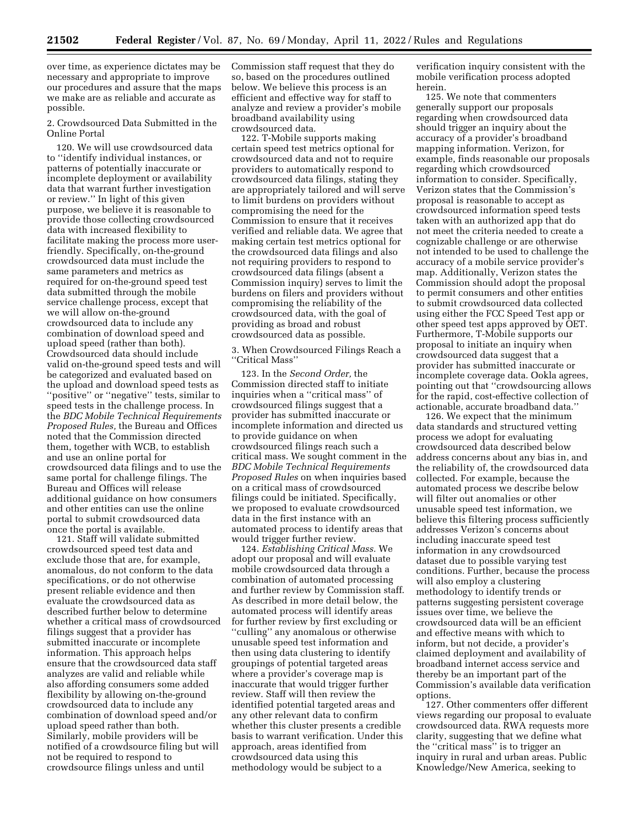over time, as experience dictates may be necessary and appropriate to improve our procedures and assure that the maps we make are as reliable and accurate as possible.

2. Crowdsourced Data Submitted in the Online Portal

120. We will use crowdsourced data to ''identify individual instances, or patterns of potentially inaccurate or incomplete deployment or availability data that warrant further investigation or review.'' In light of this given purpose, we believe it is reasonable to provide those collecting crowdsourced data with increased flexibility to facilitate making the process more userfriendly. Specifically, on-the-ground crowdsourced data must include the same parameters and metrics as required for on-the-ground speed test data submitted through the mobile service challenge process, except that we will allow on-the-ground crowdsourced data to include any combination of download speed and upload speed (rather than both). Crowdsourced data should include valid on-the-ground speed tests and will be categorized and evaluated based on the upload and download speed tests as ''positive'' or ''negative'' tests, similar to speed tests in the challenge process. In the *BDC Mobile Technical Requirements Proposed Rules,* the Bureau and Offices noted that the Commission directed them, together with WCB, to establish and use an online portal for crowdsourced data filings and to use the same portal for challenge filings. The Bureau and Offices will release additional guidance on how consumers and other entities can use the online portal to submit crowdsourced data once the portal is available.

121. Staff will validate submitted crowdsourced speed test data and exclude those that are, for example, anomalous, do not conform to the data specifications, or do not otherwise present reliable evidence and then evaluate the crowdsourced data as described further below to determine whether a critical mass of crowdsourced filings suggest that a provider has submitted inaccurate or incomplete information. This approach helps ensure that the crowdsourced data staff analyzes are valid and reliable while also affording consumers some added flexibility by allowing on-the-ground crowdsourced data to include any combination of download speed and/or upload speed rather than both. Similarly, mobile providers will be notified of a crowdsource filing but will not be required to respond to crowdsource filings unless and until

Commission staff request that they do so, based on the procedures outlined below. We believe this process is an efficient and effective way for staff to analyze and review a provider's mobile broadband availability using crowdsourced data.

122. T-Mobile supports making certain speed test metrics optional for crowdsourced data and not to require providers to automatically respond to crowdsourced data filings, stating they are appropriately tailored and will serve to limit burdens on providers without compromising the need for the Commission to ensure that it receives verified and reliable data. We agree that making certain test metrics optional for the crowdsourced data filings and also not requiring providers to respond to crowdsourced data filings (absent a Commission inquiry) serves to limit the burdens on filers and providers without compromising the reliability of the crowdsourced data, with the goal of providing as broad and robust crowdsourced data as possible.

3. When Crowdsourced Filings Reach a ''Critical Mass''

123. In the *Second Order,* the Commission directed staff to initiate inquiries when a ''critical mass'' of crowdsourced filings suggest that a provider has submitted inaccurate or incomplete information and directed us to provide guidance on when crowdsourced filings reach such a critical mass. We sought comment in the *BDC Mobile Technical Requirements Proposed Rules* on when inquiries based on a critical mass of crowdsourced filings could be initiated. Specifically, we proposed to evaluate crowdsourced data in the first instance with an automated process to identify areas that would trigger further review.

124. *Establishing Critical Mass.* We adopt our proposal and will evaluate mobile crowdsourced data through a combination of automated processing and further review by Commission staff. As described in more detail below, the automated process will identify areas for further review by first excluding or ''culling'' any anomalous or otherwise unusable speed test information and then using data clustering to identify groupings of potential targeted areas where a provider's coverage map is inaccurate that would trigger further review. Staff will then review the identified potential targeted areas and any other relevant data to confirm whether this cluster presents a credible basis to warrant verification. Under this approach, areas identified from crowdsourced data using this methodology would be subject to a

verification inquiry consistent with the mobile verification process adopted herein.

125. We note that commenters generally support our proposals regarding when crowdsourced data should trigger an inquiry about the accuracy of a provider's broadband mapping information. Verizon, for example, finds reasonable our proposals regarding which crowdsourced information to consider. Specifically, Verizon states that the Commission's proposal is reasonable to accept as crowdsourced information speed tests taken with an authorized app that do not meet the criteria needed to create a cognizable challenge or are otherwise not intended to be used to challenge the accuracy of a mobile service provider's map. Additionally, Verizon states the Commission should adopt the proposal to permit consumers and other entities to submit crowdsourced data collected using either the FCC Speed Test app or other speed test apps approved by OET. Furthermore, T-Mobile supports our proposal to initiate an inquiry when crowdsourced data suggest that a provider has submitted inaccurate or incomplete coverage data. Ookla agrees, pointing out that ''crowdsourcing allows for the rapid, cost-effective collection of actionable, accurate broadband data.''

126. We expect that the minimum data standards and structured vetting process we adopt for evaluating crowdsourced data described below address concerns about any bias in, and the reliability of, the crowdsourced data collected. For example, because the automated process we describe below will filter out anomalies or other unusable speed test information, we believe this filtering process sufficiently addresses Verizon's concerns about including inaccurate speed test information in any crowdsourced dataset due to possible varying test conditions. Further, because the process will also employ a clustering methodology to identify trends or patterns suggesting persistent coverage issues over time, we believe the crowdsourced data will be an efficient and effective means with which to inform, but not decide, a provider's claimed deployment and availability of broadband internet access service and thereby be an important part of the Commission's available data verification options.

127. Other commenters offer different views regarding our proposal to evaluate crowdsourced data. RWA requests more clarity, suggesting that we define what the ''critical mass'' is to trigger an inquiry in rural and urban areas. Public Knowledge/New America, seeking to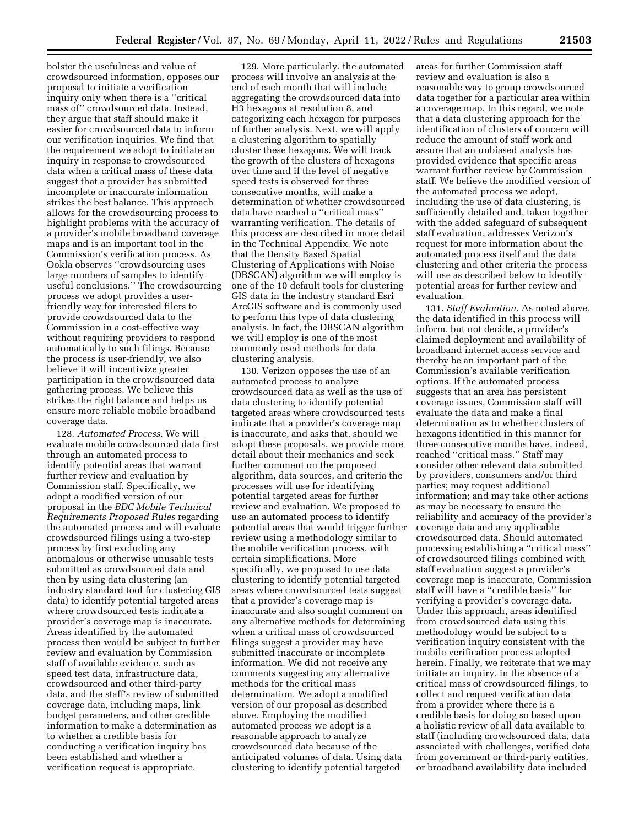bolster the usefulness and value of crowdsourced information, opposes our proposal to initiate a verification inquiry only when there is a ''critical mass of'' crowdsourced data. Instead, they argue that staff should make it easier for crowdsourced data to inform our verification inquiries. We find that the requirement we adopt to initiate an inquiry in response to crowdsourced data when a critical mass of these data suggest that a provider has submitted incomplete or inaccurate information strikes the best balance. This approach allows for the crowdsourcing process to highlight problems with the accuracy of a provider's mobile broadband coverage maps and is an important tool in the Commission's verification process. As Ookla observes ''crowdsourcing uses large numbers of samples to identify useful conclusions.'' The crowdsourcing process we adopt provides a userfriendly way for interested filers to provide crowdsourced data to the Commission in a cost-effective way without requiring providers to respond automatically to such filings. Because the process is user-friendly, we also believe it will incentivize greater participation in the crowdsourced data gathering process. We believe this strikes the right balance and helps us ensure more reliable mobile broadband coverage data.

128. *Automated Process.* We will evaluate mobile crowdsourced data first through an automated process to identify potential areas that warrant further review and evaluation by Commission staff. Specifically, we adopt a modified version of our proposal in the *BDC Mobile Technical Requirements Proposed Rules* regarding the automated process and will evaluate crowdsourced filings using a two-step process by first excluding any anomalous or otherwise unusable tests submitted as crowdsourced data and then by using data clustering (an industry standard tool for clustering GIS data) to identify potential targeted areas where crowdsourced tests indicate a provider's coverage map is inaccurate. Areas identified by the automated process then would be subject to further review and evaluation by Commission staff of available evidence, such as speed test data, infrastructure data, crowdsourced and other third-party data, and the staff's review of submitted coverage data, including maps, link budget parameters, and other credible information to make a determination as to whether a credible basis for conducting a verification inquiry has been established and whether a verification request is appropriate.

129. More particularly, the automated process will involve an analysis at the end of each month that will include aggregating the crowdsourced data into H3 hexagons at resolution 8, and categorizing each hexagon for purposes of further analysis. Next, we will apply a clustering algorithm to spatially cluster these hexagons. We will track the growth of the clusters of hexagons over time and if the level of negative speed tests is observed for three consecutive months, will make a determination of whether crowdsourced data have reached a ''critical mass'' warranting verification. The details of this process are described in more detail in the Technical Appendix. We note that the Density Based Spatial Clustering of Applications with Noise (DBSCAN) algorithm we will employ is one of the 10 default tools for clustering GIS data in the industry standard Esri ArcGIS software and is commonly used to perform this type of data clustering analysis. In fact, the DBSCAN algorithm we will employ is one of the most commonly used methods for data clustering analysis.

130. Verizon opposes the use of an automated process to analyze crowdsourced data as well as the use of data clustering to identify potential targeted areas where crowdsourced tests indicate that a provider's coverage map is inaccurate, and asks that, should we adopt these proposals, we provide more detail about their mechanics and seek further comment on the proposed algorithm, data sources, and criteria the processes will use for identifying potential targeted areas for further review and evaluation. We proposed to use an automated process to identify potential areas that would trigger further review using a methodology similar to the mobile verification process, with certain simplifications. More specifically, we proposed to use data clustering to identify potential targeted areas where crowdsourced tests suggest that a provider's coverage map is inaccurate and also sought comment on any alternative methods for determining when a critical mass of crowdsourced filings suggest a provider may have submitted inaccurate or incomplete information. We did not receive any comments suggesting any alternative methods for the critical mass determination. We adopt a modified version of our proposal as described above. Employing the modified automated process we adopt is a reasonable approach to analyze crowdsourced data because of the anticipated volumes of data. Using data clustering to identify potential targeted

areas for further Commission staff review and evaluation is also a reasonable way to group crowdsourced data together for a particular area within a coverage map. In this regard, we note that a data clustering approach for the identification of clusters of concern will reduce the amount of staff work and assure that an unbiased analysis has provided evidence that specific areas warrant further review by Commission staff. We believe the modified version of the automated process we adopt, including the use of data clustering, is sufficiently detailed and, taken together with the added safeguard of subsequent staff evaluation, addresses Verizon's request for more information about the automated process itself and the data clustering and other criteria the process will use as described below to identify potential areas for further review and evaluation.

131. *Staff Evaluation.* As noted above, the data identified in this process will inform, but not decide, a provider's claimed deployment and availability of broadband internet access service and thereby be an important part of the Commission's available verification options. If the automated process suggests that an area has persistent coverage issues, Commission staff will evaluate the data and make a final determination as to whether clusters of hexagons identified in this manner for three consecutive months have, indeed, reached ''critical mass.'' Staff may consider other relevant data submitted by providers, consumers and/or third parties; may request additional information; and may take other actions as may be necessary to ensure the reliability and accuracy of the provider's coverage data and any applicable crowdsourced data. Should automated processing establishing a ''critical mass'' of crowdsourced filings combined with staff evaluation suggest a provider's coverage map is inaccurate, Commission staff will have a ''credible basis'' for verifying a provider's coverage data. Under this approach, areas identified from crowdsourced data using this methodology would be subject to a verification inquiry consistent with the mobile verification process adopted herein. Finally, we reiterate that we may initiate an inquiry, in the absence of a critical mass of crowdsourced filings, to collect and request verification data from a provider where there is a credible basis for doing so based upon a holistic review of all data available to staff (including crowdsourced data, data associated with challenges, verified data from government or third-party entities, or broadband availability data included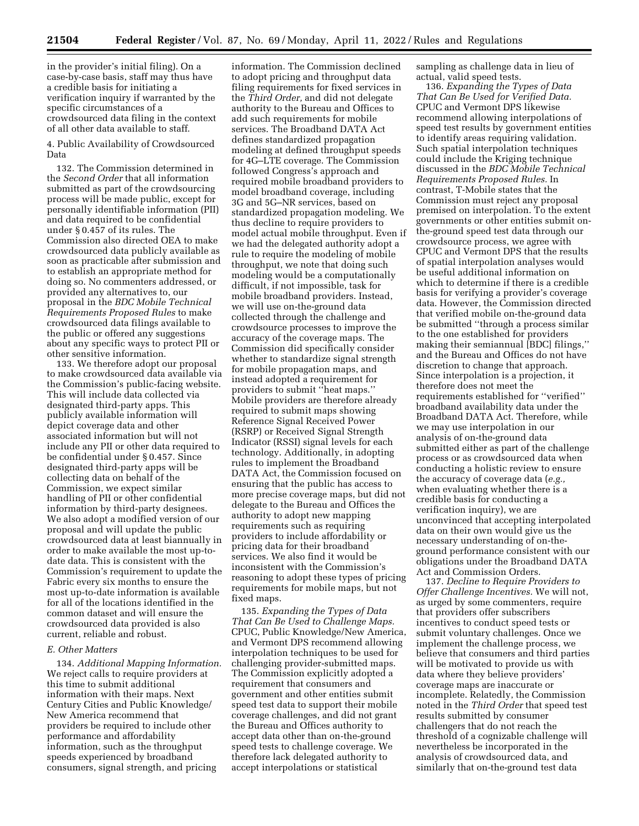in the provider's initial filing). On a case-by-case basis, staff may thus have a credible basis for initiating a verification inquiry if warranted by the specific circumstances of a crowdsourced data filing in the context of all other data available to staff.

4. Public Availability of Crowdsourced Data

132. The Commission determined in the *Second Order* that all information submitted as part of the crowdsourcing process will be made public, except for personally identifiable information (PII) and data required to be confidential under § 0.457 of its rules. The Commission also directed OEA to make crowdsourced data publicly available as soon as practicable after submission and to establish an appropriate method for doing so. No commenters addressed, or provided any alternatives to, our proposal in the *BDC Mobile Technical Requirements Proposed Rules* to make crowdsourced data filings available to the public or offered any suggestions about any specific ways to protect PII or other sensitive information.

133. We therefore adopt our proposal to make crowdsourced data available via the Commission's public-facing website. This will include data collected via designated third-party apps. This publicly available information will depict coverage data and other associated information but will not include any PII or other data required to be confidential under § 0.457. Since designated third-party apps will be collecting data on behalf of the Commission, we expect similar handling of PII or other confidential information by third-party designees. We also adopt a modified version of our proposal and will update the public crowdsourced data at least biannually in order to make available the most up-todate data. This is consistent with the Commission's requirement to update the Fabric every six months to ensure the most up-to-date information is available for all of the locations identified in the common dataset and will ensure the crowdsourced data provided is also current, reliable and robust.

#### *E. Other Matters*

134. *Additional Mapping Information.*  We reject calls to require providers at this time to submit additional information with their maps. Next Century Cities and Public Knowledge/ New America recommend that providers be required to include other performance and affordability information, such as the throughput speeds experienced by broadband consumers, signal strength, and pricing

information. The Commission declined to adopt pricing and throughput data filing requirements for fixed services in the *Third Order,* and did not delegate authority to the Bureau and Offices to add such requirements for mobile services. The Broadband DATA Act defines standardized propagation modeling at defined throughput speeds for 4G–LTE coverage. The Commission followed Congress's approach and required mobile broadband providers to model broadband coverage, including 3G and 5G–NR services, based on standardized propagation modeling. We thus decline to require providers to model actual mobile throughput. Even if we had the delegated authority adopt a rule to require the modeling of mobile throughput, we note that doing such modeling would be a computationally difficult, if not impossible, task for mobile broadband providers. Instead, we will use on-the-ground data collected through the challenge and crowdsource processes to improve the accuracy of the coverage maps. The Commission did specifically consider whether to standardize signal strength for mobile propagation maps, and instead adopted a requirement for providers to submit ''heat maps.'' Mobile providers are therefore already required to submit maps showing Reference Signal Received Power (RSRP) or Received Signal Strength Indicator (RSSI) signal levels for each technology. Additionally, in adopting rules to implement the Broadband DATA Act, the Commission focused on ensuring that the public has access to more precise coverage maps, but did not delegate to the Bureau and Offices the authority to adopt new mapping requirements such as requiring providers to include affordability or pricing data for their broadband services. We also find it would be inconsistent with the Commission's reasoning to adopt these types of pricing requirements for mobile maps, but not fixed maps.

135. *Expanding the Types of Data That Can Be Used to Challenge Maps.*  CPUC, Public Knowledge/New America, and Vermont DPS recommend allowing interpolation techniques to be used for challenging provider-submitted maps. The Commission explicitly adopted a requirement that consumers and government and other entities submit speed test data to support their mobile coverage challenges, and did not grant the Bureau and Offices authority to accept data other than on-the-ground speed tests to challenge coverage. We therefore lack delegated authority to accept interpolations or statistical

sampling as challenge data in lieu of actual, valid speed tests.

136. *Expanding the Types of Data That Can Be Used for Verified Data.*  CPUC and Vermont DPS likewise recommend allowing interpolations of speed test results by government entities to identify areas requiring validation. Such spatial interpolation techniques could include the Kriging technique discussed in the *BDC Mobile Technical Requirements Proposed Rules.* In contrast, T-Mobile states that the Commission must reject any proposal premised on interpolation. To the extent governments or other entities submit onthe-ground speed test data through our crowdsource process, we agree with CPUC and Vermont DPS that the results of spatial interpolation analyses would be useful additional information on which to determine if there is a credible basis for verifying a provider's coverage data. However, the Commission directed that verified mobile on-the-ground data be submitted ''through a process similar to the one established for providers making their semiannual [BDC] filings,'' and the Bureau and Offices do not have discretion to change that approach. Since interpolation is a projection, it therefore does not meet the requirements established for ''verified'' broadband availability data under the Broadband DATA Act. Therefore, while we may use interpolation in our analysis of on-the-ground data submitted either as part of the challenge process or as crowdsourced data when conducting a holistic review to ensure the accuracy of coverage data (*e.g.,*  when evaluating whether there is a credible basis for conducting a verification inquiry), we are unconvinced that accepting interpolated data on their own would give us the necessary understanding of on-theground performance consistent with our obligations under the Broadband DATA Act and Commission Orders.

137. *Decline to Require Providers to Offer Challenge Incentives.* We will not, as urged by some commenters, require that providers offer subscribers incentives to conduct speed tests or submit voluntary challenges. Once we implement the challenge process, we believe that consumers and third parties will be motivated to provide us with data where they believe providers' coverage maps are inaccurate or incomplete. Relatedly, the Commission noted in the *Third Order* that speed test results submitted by consumer challengers that do not reach the threshold of a cognizable challenge will nevertheless be incorporated in the analysis of crowdsourced data, and similarly that on-the-ground test data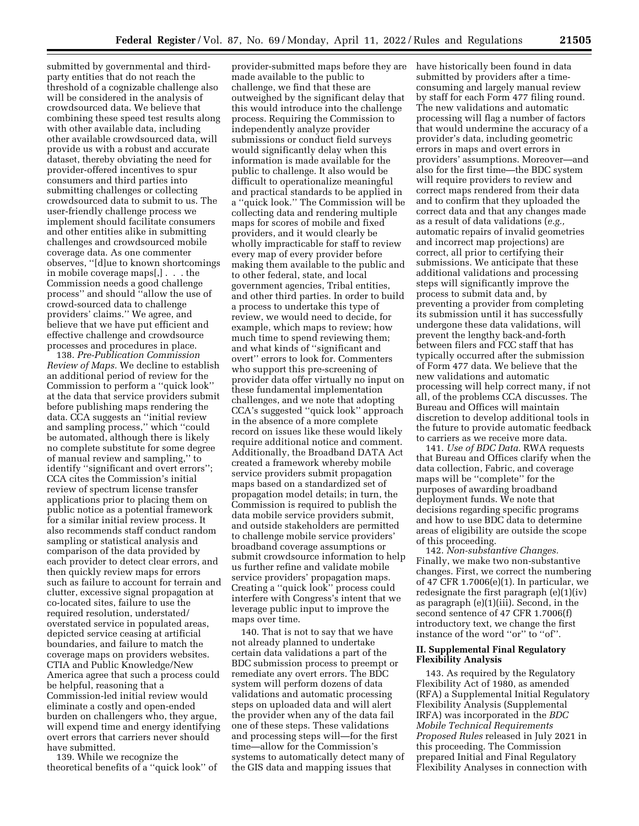submitted by governmental and thirdparty entities that do not reach the threshold of a cognizable challenge also will be considered in the analysis of crowdsourced data. We believe that combining these speed test results along with other available data, including other available crowdsourced data, will provide us with a robust and accurate dataset, thereby obviating the need for provider-offered incentives to spur consumers and third parties into submitting challenges or collecting crowdsourced data to submit to us. The user-friendly challenge process we implement should facilitate consumers and other entities alike in submitting challenges and crowdsourced mobile coverage data. As one commenter observes, ''[d]ue to known shortcomings in mobile coverage maps[,] . . . the Commission needs a good challenge process'' and should ''allow the use of crowd-sourced data to challenge providers' claims.'' We agree, and believe that we have put efficient and effective challenge and crowdsource processes and procedures in place.

138. *Pre-Publication Commission Review of Maps.* We decline to establish an additional period of review for the Commission to perform a ''quick look'' at the data that service providers submit before publishing maps rendering the data. CCA suggests an ''initial review and sampling process,'' which ''could be automated, although there is likely no complete substitute for some degree of manual review and sampling,'' to identify ''significant and overt errors''; CCA cites the Commission's initial review of spectrum license transfer applications prior to placing them on public notice as a potential framework for a similar initial review process. It also recommends staff conduct random sampling or statistical analysis and comparison of the data provided by each provider to detect clear errors, and then quickly review maps for errors such as failure to account for terrain and clutter, excessive signal propagation at co-located sites, failure to use the required resolution, understated/ overstated service in populated areas, depicted service ceasing at artificial boundaries, and failure to match the coverage maps on providers websites. CTIA and Public Knowledge/New America agree that such a process could be helpful, reasoning that a Commission-led initial review would eliminate a costly and open-ended burden on challengers who, they argue, will expend time and energy identifying overt errors that carriers never should have submitted.

139. While we recognize the theoretical benefits of a ''quick look'' of

provider-submitted maps before they are made available to the public to challenge, we find that these are outweighed by the significant delay that this would introduce into the challenge process. Requiring the Commission to independently analyze provider submissions or conduct field surveys would significantly delay when this information is made available for the public to challenge. It also would be difficult to operationalize meaningful and practical standards to be applied in a ''quick look.'' The Commission will be collecting data and rendering multiple maps for scores of mobile and fixed providers, and it would clearly be wholly impracticable for staff to review every map of every provider before making them available to the public and to other federal, state, and local government agencies, Tribal entities, and other third parties. In order to build a process to undertake this type of review, we would need to decide, for example, which maps to review; how much time to spend reviewing them; and what kinds of ''significant and overt'' errors to look for. Commenters who support this pre-screening of provider data offer virtually no input on these fundamental implementation challenges, and we note that adopting CCA's suggested ''quick look'' approach in the absence of a more complete record on issues like these would likely require additional notice and comment. Additionally, the Broadband DATA Act created a framework whereby mobile service providers submit propagation maps based on a standardized set of propagation model details; in turn, the Commission is required to publish the data mobile service providers submit, and outside stakeholders are permitted to challenge mobile service providers' broadband coverage assumptions or submit crowdsource information to help us further refine and validate mobile service providers' propagation maps. Creating a ''quick look'' process could interfere with Congress's intent that we leverage public input to improve the maps over time.

140. That is not to say that we have not already planned to undertake certain data validations a part of the BDC submission process to preempt or remediate any overt errors. The BDC system will perform dozens of data validations and automatic processing steps on uploaded data and will alert the provider when any of the data fail one of these steps. These validations and processing steps will—for the first time—allow for the Commission's systems to automatically detect many of the GIS data and mapping issues that

have historically been found in data submitted by providers after a timeconsuming and largely manual review by staff for each Form 477 filing round. The new validations and automatic processing will flag a number of factors that would undermine the accuracy of a provider's data, including geometric errors in maps and overt errors in providers' assumptions. Moreover—and also for the first time—the BDC system will require providers to review and correct maps rendered from their data and to confirm that they uploaded the correct data and that any changes made as a result of data validations (*e.g.,*  automatic repairs of invalid geometries and incorrect map projections) are correct, all prior to certifying their submissions. We anticipate that these additional validations and processing steps will significantly improve the process to submit data and, by preventing a provider from completing its submission until it has successfully undergone these data validations, will prevent the lengthy back-and-forth between filers and FCC staff that has typically occurred after the submission of Form 477 data. We believe that the new validations and automatic processing will help correct many, if not all, of the problems CCA discusses. The Bureau and Offices will maintain discretion to develop additional tools in the future to provide automatic feedback to carriers as we receive more data.

141. *Use of BDC Data.* RWA requests that Bureau and Offices clarify when the data collection, Fabric, and coverage maps will be ''complete'' for the purposes of awarding broadband deployment funds. We note that decisions regarding specific programs and how to use BDC data to determine areas of eligibility are outside the scope of this proceeding.

142. *Non-substantive Changes.*  Finally, we make two non-substantive changes. First, we correct the numbering of 47 CFR 1.7006(e)(1). In particular, we redesignate the first paragraph (e)(1)(iv) as paragraph (e)(1)(iii). Second, in the second sentence of 47 CFR 1.7006(f) introductory text, we change the first instance of the word ''or'' to ''of''.

## **II. Supplemental Final Regulatory Flexibility Analysis**

143. As required by the Regulatory Flexibility Act of 1980, as amended (RFA) a Supplemental Initial Regulatory Flexibility Analysis (Supplemental IRFA) was incorporated in the *BDC Mobile Technical Requirements Proposed Rules* released in July 2021 in this proceeding. The Commission prepared Initial and Final Regulatory Flexibility Analyses in connection with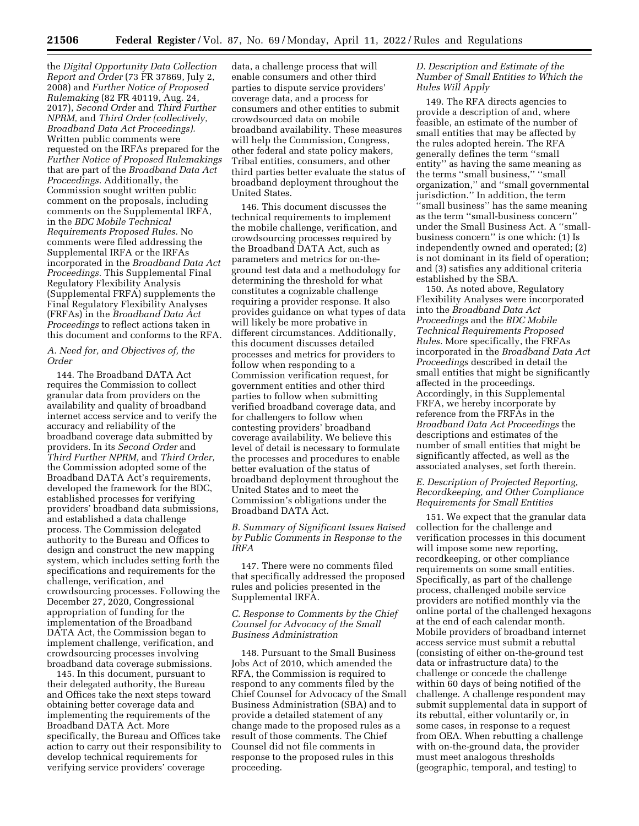the *Digital Opportunity Data Collection Report and Order* (73 FR 37869, July 2, 2008) and *Further Notice of Proposed Rulemaking* (82 FR 40119, Aug. 24, 2017), *Second Order* and *Third Further NPRM,* and *Third Order (collectively, Broadband Data Act Proceedings).*  Written public comments were requested on the IRFAs prepared for the *Further Notice of Proposed Rulemakings*  that are part of the *Broadband Data Act Proceedings.* Additionally, the Commission sought written public comment on the proposals, including comments on the Supplemental IRFA, in the *BDC Mobile Technical Requirements Proposed Rules.* No comments were filed addressing the Supplemental IRFA or the IRFAs incorporated in the *Broadband Data Act Proceedings.* This Supplemental Final Regulatory Flexibility Analysis (Supplemental FRFA) supplements the Final Regulatory Flexibility Analyses (FRFAs) in the *Broadband Data Act Proceedings* to reflect actions taken in this document and conforms to the RFA.

### *A. Need for, and Objectives of, the Order*

144. The Broadband DATA Act requires the Commission to collect granular data from providers on the availability and quality of broadband internet access service and to verify the accuracy and reliability of the broadband coverage data submitted by providers. In its *Second Order* and *Third Further NPRM,* and *Third Order,*  the Commission adopted some of the Broadband DATA Act's requirements, developed the framework for the BDC, established processes for verifying providers' broadband data submissions, and established a data challenge process. The Commission delegated authority to the Bureau and Offices to design and construct the new mapping system, which includes setting forth the specifications and requirements for the challenge, verification, and crowdsourcing processes. Following the December 27, 2020, Congressional appropriation of funding for the implementation of the Broadband DATA Act, the Commission began to implement challenge, verification, and crowdsourcing processes involving broadband data coverage submissions.

145. In this document, pursuant to their delegated authority, the Bureau and Offices take the next steps toward obtaining better coverage data and implementing the requirements of the Broadband DATA Act. More specifically, the Bureau and Offices take action to carry out their responsibility to develop technical requirements for verifying service providers' coverage

data, a challenge process that will enable consumers and other third parties to dispute service providers' coverage data, and a process for consumers and other entities to submit crowdsourced data on mobile broadband availability. These measures will help the Commission, Congress, other federal and state policy makers, Tribal entities, consumers, and other third parties better evaluate the status of broadband deployment throughout the United States.

146. This document discusses the technical requirements to implement the mobile challenge, verification, and crowdsourcing processes required by the Broadband DATA Act, such as parameters and metrics for on-theground test data and a methodology for determining the threshold for what constitutes a cognizable challenge requiring a provider response. It also provides guidance on what types of data will likely be more probative in different circumstances. Additionally, this document discusses detailed processes and metrics for providers to follow when responding to a Commission verification request, for government entities and other third parties to follow when submitting verified broadband coverage data, and for challengers to follow when contesting providers' broadband coverage availability. We believe this level of detail is necessary to formulate the processes and procedures to enable better evaluation of the status of broadband deployment throughout the United States and to meet the Commission's obligations under the Broadband DATA Act.

# *B. Summary of Significant Issues Raised by Public Comments in Response to the IRFA*

147. There were no comments filed that specifically addressed the proposed rules and policies presented in the Supplemental IRFA.

### *C. Response to Comments by the Chief Counsel for Advocacy of the Small Business Administration*

148. Pursuant to the Small Business Jobs Act of 2010, which amended the RFA, the Commission is required to respond to any comments filed by the Chief Counsel for Advocacy of the Small Business Administration (SBA) and to provide a detailed statement of any change made to the proposed rules as a result of those comments. The Chief Counsel did not file comments in response to the proposed rules in this proceeding.

## *D. Description and Estimate of the Number of Small Entities to Which the Rules Will Apply*

149. The RFA directs agencies to provide a description of and, where feasible, an estimate of the number of small entities that may be affected by the rules adopted herein. The RFA generally defines the term ''small entity'' as having the same meaning as the terms ''small business,'' ''small organization,'' and ''small governmental jurisdiction.'' In addition, the term ''small business'' has the same meaning as the term ''small-business concern'' under the Small Business Act. A ''smallbusiness concern'' is one which: (1) Is independently owned and operated; (2) is not dominant in its field of operation; and (3) satisfies any additional criteria established by the SBA.

150. As noted above, Regulatory Flexibility Analyses were incorporated into the *Broadband Data Act Proceedings* and the *BDC Mobile Technical Requirements Proposed Rules.* More specifically, the FRFAs incorporated in the *Broadband Data Act Proceedings* described in detail the small entities that might be significantly affected in the proceedings. Accordingly, in this Supplemental FRFA, we hereby incorporate by reference from the FRFAs in the *Broadband Data Act Proceedings* the descriptions and estimates of the number of small entities that might be significantly affected, as well as the associated analyses, set forth therein.

# *E. Description of Projected Reporting, Recordkeeping, and Other Compliance Requirements for Small Entities*

151. We expect that the granular data collection for the challenge and verification processes in this document will impose some new reporting, recordkeeping, or other compliance requirements on some small entities. Specifically, as part of the challenge process, challenged mobile service providers are notified monthly via the online portal of the challenged hexagons at the end of each calendar month. Mobile providers of broadband internet access service must submit a rebuttal (consisting of either on-the-ground test data or infrastructure data) to the challenge or concede the challenge within 60 days of being notified of the challenge. A challenge respondent may submit supplemental data in support of its rebuttal, either voluntarily or, in some cases, in response to a request from OEA. When rebutting a challenge with on-the-ground data, the provider must meet analogous thresholds (geographic, temporal, and testing) to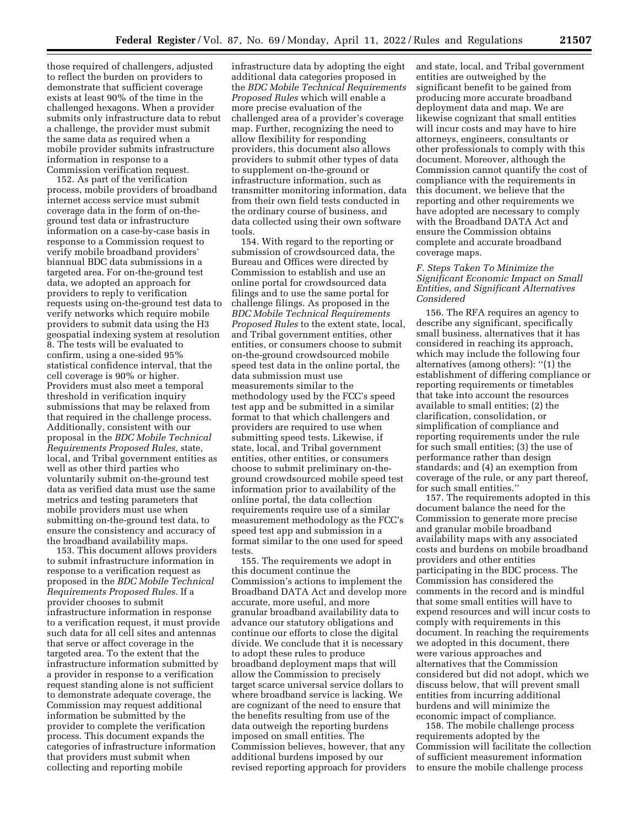those required of challengers, adjusted to reflect the burden on providers to demonstrate that sufficient coverage exists at least 90% of the time in the challenged hexagons. When a provider submits only infrastructure data to rebut a challenge, the provider must submit the same data as required when a mobile provider submits infrastructure information in response to a Commission verification request.

152. As part of the verification process, mobile providers of broadband internet access service must submit coverage data in the form of on-theground test data or infrastructure information on a case-by-case basis in response to a Commission request to verify mobile broadband providers' biannual BDC data submissions in a targeted area. For on-the-ground test data, we adopted an approach for providers to reply to verification requests using on-the-ground test data to verify networks which require mobile providers to submit data using the H3 geospatial indexing system at resolution 8. The tests will be evaluated to confirm, using a one-sided 95% statistical confidence interval, that the cell coverage is 90% or higher. Providers must also meet a temporal threshold in verification inquiry submissions that may be relaxed from that required in the challenge process. Additionally, consistent with our proposal in the *BDC Mobile Technical Requirements Proposed Rules,* state, local, and Tribal government entities as well as other third parties who voluntarily submit on-the-ground test data as verified data must use the same metrics and testing parameters that mobile providers must use when submitting on-the-ground test data, to ensure the consistency and accuracy of the broadband availability maps.

153. This document allows providers to submit infrastructure information in response to a verification request as proposed in the *BDC Mobile Technical Requirements Proposed Rules.* If a provider chooses to submit infrastructure information in response to a verification request, it must provide such data for all cell sites and antennas that serve or affect coverage in the targeted area. To the extent that the infrastructure information submitted by a provider in response to a verification request standing alone is not sufficient to demonstrate adequate coverage, the Commission may request additional information be submitted by the provider to complete the verification process. This document expands the categories of infrastructure information that providers must submit when collecting and reporting mobile

infrastructure data by adopting the eight additional data categories proposed in the *BDC Mobile Technical Requirements Proposed Rules* which will enable a more precise evaluation of the challenged area of a provider's coverage map. Further, recognizing the need to allow flexibility for responding providers, this document also allows providers to submit other types of data to supplement on-the-ground or infrastructure information, such as transmitter monitoring information, data from their own field tests conducted in the ordinary course of business, and data collected using their own software tools.

154. With regard to the reporting or submission of crowdsourced data, the Bureau and Offices were directed by Commission to establish and use an online portal for crowdsourced data filings and to use the same portal for challenge filings. As proposed in the *BDC Mobile Technical Requirements Proposed Rules* to the extent state, local, and Tribal government entities, other entities, or consumers choose to submit on-the-ground crowdsourced mobile speed test data in the online portal, the data submission must use measurements similar to the methodology used by the FCC's speed test app and be submitted in a similar format to that which challengers and providers are required to use when submitting speed tests. Likewise, if state, local, and Tribal government entities, other entities, or consumers choose to submit preliminary on-theground crowdsourced mobile speed test information prior to availability of the online portal, the data collection requirements require use of a similar measurement methodology as the FCC's speed test app and submission in a format similar to the one used for speed tests.

155. The requirements we adopt in this document continue the Commission's actions to implement the Broadband DATA Act and develop more accurate, more useful, and more granular broadband availability data to advance our statutory obligations and continue our efforts to close the digital divide. We conclude that it is necessary to adopt these rules to produce broadband deployment maps that will allow the Commission to precisely target scarce universal service dollars to where broadband service is lacking. We are cognizant of the need to ensure that the benefits resulting from use of the data outweigh the reporting burdens imposed on small entities. The Commission believes, however, that any additional burdens imposed by our revised reporting approach for providers

and state, local, and Tribal government entities are outweighed by the significant benefit to be gained from producing more accurate broadband deployment data and map. We are likewise cognizant that small entities will incur costs and may have to hire attorneys, engineers, consultants or other professionals to comply with this document. Moreover, although the Commission cannot quantify the cost of compliance with the requirements in this document, we believe that the reporting and other requirements we have adopted are necessary to comply with the Broadband DATA Act and ensure the Commission obtains complete and accurate broadband coverage maps.

#### *F. Steps Taken To Minimize the Significant Economic Impact on Small Entities, and Significant Alternatives Considered*

156. The RFA requires an agency to describe any significant, specifically small business, alternatives that it has considered in reaching its approach, which may include the following four alternatives (among others): ''(1) the establishment of differing compliance or reporting requirements or timetables that take into account the resources available to small entities; (2) the clarification, consolidation, or simplification of compliance and reporting requirements under the rule for such small entities; (3) the use of performance rather than design standards; and (4) an exemption from coverage of the rule, or any part thereof, for such small entities.''

157. The requirements adopted in this document balance the need for the Commission to generate more precise and granular mobile broadband availability maps with any associated costs and burdens on mobile broadband providers and other entities participating in the BDC process. The Commission has considered the comments in the record and is mindful that some small entities will have to expend resources and will incur costs to comply with requirements in this document. In reaching the requirements we adopted in this document, there were various approaches and alternatives that the Commission considered but did not adopt, which we discuss below, that will prevent small entities from incurring additional burdens and will minimize the economic impact of compliance.

158. The mobile challenge process requirements adopted by the Commission will facilitate the collection of sufficient measurement information to ensure the mobile challenge process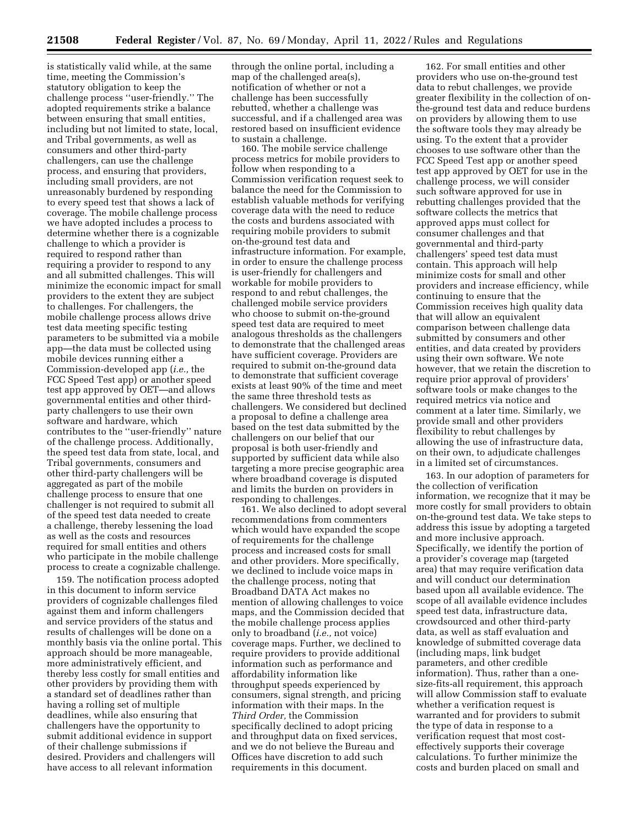is statistically valid while, at the same time, meeting the Commission's statutory obligation to keep the challenge process ''user-friendly.'' The adopted requirements strike a balance between ensuring that small entities, including but not limited to state, local, and Tribal governments, as well as consumers and other third-party challengers, can use the challenge process, and ensuring that providers, including small providers, are not unreasonably burdened by responding to every speed test that shows a lack of coverage. The mobile challenge process we have adopted includes a process to determine whether there is a cognizable challenge to which a provider is required to respond rather than requiring a provider to respond to any and all submitted challenges. This will minimize the economic impact for small providers to the extent they are subject to challenges. For challengers, the mobile challenge process allows drive test data meeting specific testing parameters to be submitted via a mobile app—the data must be collected using mobile devices running either a Commission-developed app (*i.e.,* the FCC Speed Test app) or another speed test app approved by OET—and allows governmental entities and other thirdparty challengers to use their own software and hardware, which contributes to the ''user-friendly'' nature of the challenge process. Additionally, the speed test data from state, local, and Tribal governments, consumers and other third-party challengers will be aggregated as part of the mobile challenge process to ensure that one challenger is not required to submit all of the speed test data needed to create a challenge, thereby lessening the load as well as the costs and resources required for small entities and others who participate in the mobile challenge process to create a cognizable challenge.

159. The notification process adopted in this document to inform service providers of cognizable challenges filed against them and inform challengers and service providers of the status and results of challenges will be done on a monthly basis via the online portal. This approach should be more manageable, more administratively efficient, and thereby less costly for small entities and other providers by providing them with a standard set of deadlines rather than having a rolling set of multiple deadlines, while also ensuring that challengers have the opportunity to submit additional evidence in support of their challenge submissions if desired. Providers and challengers will have access to all relevant information

through the online portal, including a map of the challenged area(s), notification of whether or not a challenge has been successfully rebutted, whether a challenge was successful, and if a challenged area was restored based on insufficient evidence to sustain a challenge.

160. The mobile service challenge process metrics for mobile providers to follow when responding to a Commission verification request seek to balance the need for the Commission to establish valuable methods for verifying coverage data with the need to reduce the costs and burdens associated with requiring mobile providers to submit on-the-ground test data and infrastructure information. For example, in order to ensure the challenge process is user-friendly for challengers and workable for mobile providers to respond to and rebut challenges, the challenged mobile service providers who choose to submit on-the-ground speed test data are required to meet analogous thresholds as the challengers to demonstrate that the challenged areas have sufficient coverage. Providers are required to submit on-the-ground data to demonstrate that sufficient coverage exists at least 90% of the time and meet the same three threshold tests as challengers. We considered but declined a proposal to define a challenge area based on the test data submitted by the challengers on our belief that our proposal is both user-friendly and supported by sufficient data while also targeting a more precise geographic area where broadband coverage is disputed and limits the burden on providers in responding to challenges.

161. We also declined to adopt several recommendations from commenters which would have expanded the scope of requirements for the challenge process and increased costs for small and other providers. More specifically, we declined to include voice maps in the challenge process, noting that Broadband DATA Act makes no mention of allowing challenges to voice maps, and the Commission decided that the mobile challenge process applies only to broadband (*i.e.,* not voice) coverage maps. Further, we declined to require providers to provide additional information such as performance and affordability information like throughput speeds experienced by consumers, signal strength, and pricing information with their maps. In the *Third Order,* the Commission specifically declined to adopt pricing and throughput data on fixed services, and we do not believe the Bureau and Offices have discretion to add such requirements in this document.

162. For small entities and other providers who use on-the-ground test data to rebut challenges, we provide greater flexibility in the collection of onthe-ground test data and reduce burdens on providers by allowing them to use the software tools they may already be using. To the extent that a provider chooses to use software other than the FCC Speed Test app or another speed test app approved by OET for use in the challenge process, we will consider such software approved for use in rebutting challenges provided that the software collects the metrics that approved apps must collect for consumer challenges and that governmental and third-party challengers' speed test data must contain. This approach will help minimize costs for small and other providers and increase efficiency, while continuing to ensure that the Commission receives high quality data that will allow an equivalent comparison between challenge data submitted by consumers and other entities, and data created by providers using their own software. We note however, that we retain the discretion to require prior approval of providers' software tools or make changes to the required metrics via notice and comment at a later time. Similarly, we provide small and other providers flexibility to rebut challenges by allowing the use of infrastructure data, on their own, to adjudicate challenges in a limited set of circumstances.

163. In our adoption of parameters for the collection of verification information, we recognize that it may be more costly for small providers to obtain on-the-ground test data. We take steps to address this issue by adopting a targeted and more inclusive approach. Specifically, we identify the portion of a provider's coverage map (targeted area) that may require verification data and will conduct our determination based upon all available evidence. The scope of all available evidence includes speed test data, infrastructure data, crowdsourced and other third-party data, as well as staff evaluation and knowledge of submitted coverage data (including maps, link budget parameters, and other credible information). Thus, rather than a onesize-fits-all requirement, this approach will allow Commission staff to evaluate whether a verification request is warranted and for providers to submit the type of data in response to a verification request that most costeffectively supports their coverage calculations. To further minimize the costs and burden placed on small and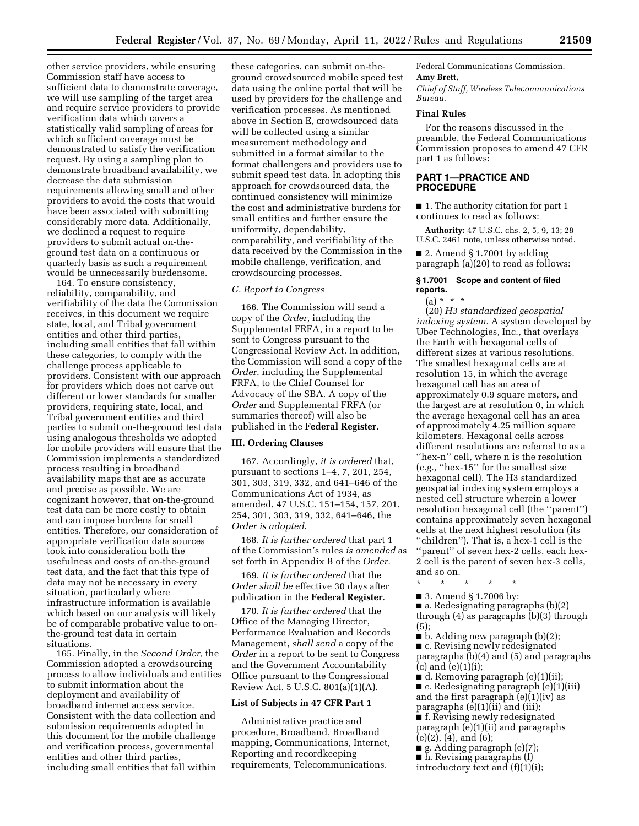other service providers, while ensuring Commission staff have access to sufficient data to demonstrate coverage, we will use sampling of the target area and require service providers to provide verification data which covers a statistically valid sampling of areas for which sufficient coverage must be demonstrated to satisfy the verification request. By using a sampling plan to demonstrate broadband availability, we decrease the data submission requirements allowing small and other providers to avoid the costs that would have been associated with submitting considerably more data. Additionally, we declined a request to require providers to submit actual on-theground test data on a continuous or quarterly basis as such a requirement would be unnecessarily burdensome.

164. To ensure consistency, reliability, comparability, and verifiability of the data the Commission receives, in this document we require state, local, and Tribal government entities and other third parties, including small entities that fall within these categories, to comply with the challenge process applicable to providers. Consistent with our approach for providers which does not carve out different or lower standards for smaller providers, requiring state, local, and Tribal government entities and third parties to submit on-the-ground test data using analogous thresholds we adopted for mobile providers will ensure that the Commission implements a standardized process resulting in broadband availability maps that are as accurate and precise as possible. We are cognizant however, that on-the-ground test data can be more costly to obtain and can impose burdens for small entities. Therefore, our consideration of appropriate verification data sources took into consideration both the usefulness and costs of on-the-ground test data, and the fact that this type of data may not be necessary in every situation, particularly where infrastructure information is available which based on our analysis will likely be of comparable probative value to onthe-ground test data in certain situations.

165. Finally, in the *Second Order,* the Commission adopted a crowdsourcing process to allow individuals and entities to submit information about the deployment and availability of broadband internet access service. Consistent with the data collection and submission requirements adopted in this document for the mobile challenge and verification process, governmental entities and other third parties, including small entities that fall within

these categories, can submit on-theground crowdsourced mobile speed test data using the online portal that will be used by providers for the challenge and verification processes. As mentioned above in Section E, crowdsourced data will be collected using a similar measurement methodology and submitted in a format similar to the format challengers and providers use to submit speed test data. In adopting this approach for crowdsourced data, the continued consistency will minimize the cost and administrative burdens for small entities and further ensure the uniformity, dependability, comparability, and verifiability of the data received by the Commission in the mobile challenge, verification, and crowdsourcing processes.

#### *G. Report to Congress*

166. The Commission will send a copy of the *Order,* including the Supplemental FRFA, in a report to be sent to Congress pursuant to the Congressional Review Act. In addition, the Commission will send a copy of the *Order,* including the Supplemental FRFA, to the Chief Counsel for Advocacy of the SBA. A copy of the *Order* and Supplemental FRFA (or summaries thereof) will also be published in the **Federal Register**.

# **III. Ordering Clauses**

167. Accordingly, *it is ordered* that, pursuant to sections 1–4, 7, 201, 254, 301, 303, 319, 332, and 641–646 of the Communications Act of 1934, as amended, 47 U.S.C. 151–154, 157, 201, 254, 301, 303, 319, 332, 641–646, the *Order is adopted*.

168. *It is further ordered* that part 1 of the Commission's rules *is amended* as set forth in Appendix B of the *Order.* 

169. *It is further ordered* that the *Order shall be* effective 30 days after publication in the **Federal Register**.

170. *It is further ordered* that the Office of the Managing Director, Performance Evaluation and Records Management, *shall send* a copy of the *Order* in a report to be sent to Congress and the Government Accountability Office pursuant to the Congressional Review Act, 5 U.S.C. 801(a)(1)(A).

#### **List of Subjects in 47 CFR Part 1**

Administrative practice and procedure, Broadband, Broadband mapping, Communications, Internet, Reporting and recordkeeping requirements, Telecommunications.

Federal Communications Commission. **Amy Brett,** 

*Chief of Staff, Wireless Telecommunications Bureau.* 

# **Final Rules**

For the reasons discussed in the preamble, the Federal Communications Commission proposes to amend 47 CFR part 1 as follows:

## **PART 1—PRACTICE AND PROCEDURE**

■ 1. The authority citation for part 1 continues to read as follows:

**Authority:** 47 U.S.C. chs. 2, 5, 9, 13; 28 U.S.C. 2461 note, unless otherwise noted.

■ 2. Amend § 1.7001 by adding paragraph (a)(20) to read as follows:

#### **§ 1.7001 Scope and content of filed reports.**

 $(a) * * * *$ 

(20) *H3 standardized geospatial indexing system.* A system developed by Uber Technologies, Inc., that overlays the Earth with hexagonal cells of different sizes at various resolutions. The smallest hexagonal cells are at resolution 15, in which the average hexagonal cell has an area of approximately 0.9 square meters, and the largest are at resolution 0, in which the average hexagonal cell has an area of approximately 4.25 million square kilometers. Hexagonal cells across different resolutions are referred to as a "hex-n" cell, where n is the resolution (*e.g.,* ''hex-15'' for the smallest size hexagonal cell). The H3 standardized geospatial indexing system employs a nested cell structure wherein a lower resolution hexagonal cell (the ''parent'') contains approximately seven hexagonal cells at the next highest resolution (its ''children''). That is, a hex-1 cell is the ''parent'' of seven hex-2 cells, each hex-2 cell is the parent of seven hex-3 cells, and so on.

- \* \* \* \* \*
- 3. Amend § 1.7006 by:

■ a. Redesignating paragraphs (b)(2) through (4) as paragraphs (b)(3) through (5);

■ b. Adding new paragraph (b)(2);

■ c. Revising newly redesignated paragraphs (b)(4) and (5) and paragraphs  $(c)$  and  $(e)(1)(i)$ ;

■ d. Removing paragraph (e)(1)(ii); ■ e. Redesignating paragraph (e)(1)(iii) and the first paragraph (e)(1)(iv) as paragraphs (e)(1)(ii) and (iii);

■ f. Revising newly redesignated paragraph (e)(1)(ii) and paragraphs (e)(2), (4), and (6);

■ g. Adding paragraph (e)(7); ■ h. Revising paragraphs (f) introductory text and (f)(1)(i);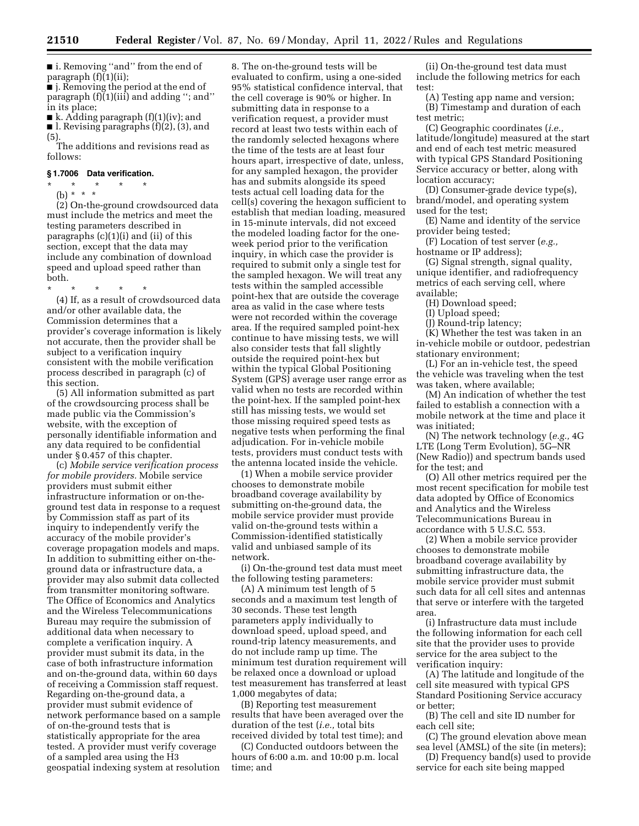■ i. Removing "and" from the end of paragraph (f)(1)(ii);

■ j. Removing the period at the end of paragraph (f)(1)(iii) and adding ''; and'' in its place;

■ k. Adding paragraph (f)(1)(iv); and  $\blacksquare$  l. Revising paragraphs (f)(2), (3), and  $(5)$ 

The additions and revisions read as follows:

## **§ 1.7006 Data verification.**

\* \* \* \* \* (b) \* \* \*

(2) On-the-ground crowdsourced data must include the metrics and meet the testing parameters described in paragraphs  $(c)(1)(i)$  and  $(ii)$  of this section, except that the data may include any combination of download speed and upload speed rather than both.

\* \* \* \* \*

(4) If, as a result of crowdsourced data and/or other available data, the Commission determines that a provider's coverage information is likely not accurate, then the provider shall be subject to a verification inquiry consistent with the mobile verification process described in paragraph (c) of this section.

(5) All information submitted as part of the crowdsourcing process shall be made public via the Commission's website, with the exception of personally identifiable information and any data required to be confidential under § 0.457 of this chapter.

(c) *Mobile service verification process for mobile providers.* Mobile service providers must submit either infrastructure information or on-theground test data in response to a request by Commission staff as part of its inquiry to independently verify the accuracy of the mobile provider's coverage propagation models and maps. In addition to submitting either on-theground data or infrastructure data, a provider may also submit data collected from transmitter monitoring software. The Office of Economics and Analytics and the Wireless Telecommunications Bureau may require the submission of additional data when necessary to complete a verification inquiry. A provider must submit its data, in the case of both infrastructure information and on-the-ground data, within 60 days of receiving a Commission staff request. Regarding on-the-ground data, a provider must submit evidence of network performance based on a sample of on-the-ground tests that is statistically appropriate for the area tested. A provider must verify coverage of a sampled area using the H3 geospatial indexing system at resolution

8. The on-the-ground tests will be evaluated to confirm, using a one-sided 95% statistical confidence interval, that the cell coverage is 90% or higher. In submitting data in response to a verification request, a provider must record at least two tests within each of the randomly selected hexagons where the time of the tests are at least four hours apart, irrespective of date, unless, for any sampled hexagon, the provider has and submits alongside its speed tests actual cell loading data for the cell(s) covering the hexagon sufficient to establish that median loading, measured in 15-minute intervals, did not exceed the modeled loading factor for the oneweek period prior to the verification inquiry, in which case the provider is required to submit only a single test for the sampled hexagon. We will treat any tests within the sampled accessible point-hex that are outside the coverage area as valid in the case where tests were not recorded within the coverage area. If the required sampled point-hex continue to have missing tests, we will also consider tests that fall slightly outside the required point-hex but within the typical Global Positioning System (GPS) average user range error as valid when no tests are recorded within the point-hex. If the sampled point-hex still has missing tests, we would set those missing required speed tests as negative tests when performing the final adjudication. For in-vehicle mobile tests, providers must conduct tests with the antenna located inside the vehicle.

(1) When a mobile service provider chooses to demonstrate mobile broadband coverage availability by submitting on-the-ground data, the mobile service provider must provide valid on-the-ground tests within a Commission-identified statistically valid and unbiased sample of its network.

(i) On-the-ground test data must meet the following testing parameters:

(A) A minimum test length of 5 seconds and a maximum test length of 30 seconds. These test length parameters apply individually to download speed, upload speed, and round-trip latency measurements, and do not include ramp up time. The minimum test duration requirement will be relaxed once a download or upload test measurement has transferred at least 1,000 megabytes of data;

(B) Reporting test measurement results that have been averaged over the duration of the test (*i.e.,* total bits received divided by total test time); and

(C) Conducted outdoors between the hours of 6:00 a.m. and 10:00 p.m. local time; and

(ii) On-the-ground test data must include the following metrics for each test:

(A) Testing app name and version; (B) Timestamp and duration of each test metric;

(C) Geographic coordinates (*i.e.,*  latitude/longitude) measured at the start and end of each test metric measured with typical GPS Standard Positioning Service accuracy or better, along with location accuracy;

(D) Consumer-grade device type(s), brand/model, and operating system used for the test;

(E) Name and identity of the service provider being tested;

(F) Location of test server (*e.g.,*  hostname or IP address);

(G) Signal strength, signal quality, unique identifier, and radiofrequency metrics of each serving cell, where available;

(H) Download speed;

(I) Upload speed;

(J) Round-trip latency;

(K) Whether the test was taken in an in-vehicle mobile or outdoor, pedestrian stationary environment;

(L) For an in-vehicle test, the speed the vehicle was traveling when the test was taken, where available;

(M) An indication of whether the test failed to establish a connection with a mobile network at the time and place it was initiated;

(N) The network technology (*e.g.,* 4G LTE (Long Term Evolution), 5G–NR (New Radio)) and spectrum bands used for the test; and

(O) All other metrics required per the most recent specification for mobile test data adopted by Office of Economics and Analytics and the Wireless Telecommunications Bureau in accordance with 5 U.S.C. 553.

(2) When a mobile service provider chooses to demonstrate mobile broadband coverage availability by submitting infrastructure data, the mobile service provider must submit such data for all cell sites and antennas that serve or interfere with the targeted area.

(i) Infrastructure data must include the following information for each cell site that the provider uses to provide service for the area subject to the verification inquiry:

(A) The latitude and longitude of the cell site measured with typical GPS Standard Positioning Service accuracy or better;

(B) The cell and site ID number for each cell site;

(C) The ground elevation above mean sea level (AMSL) of the site (in meters);

(D) Frequency band(s) used to provide service for each site being mapped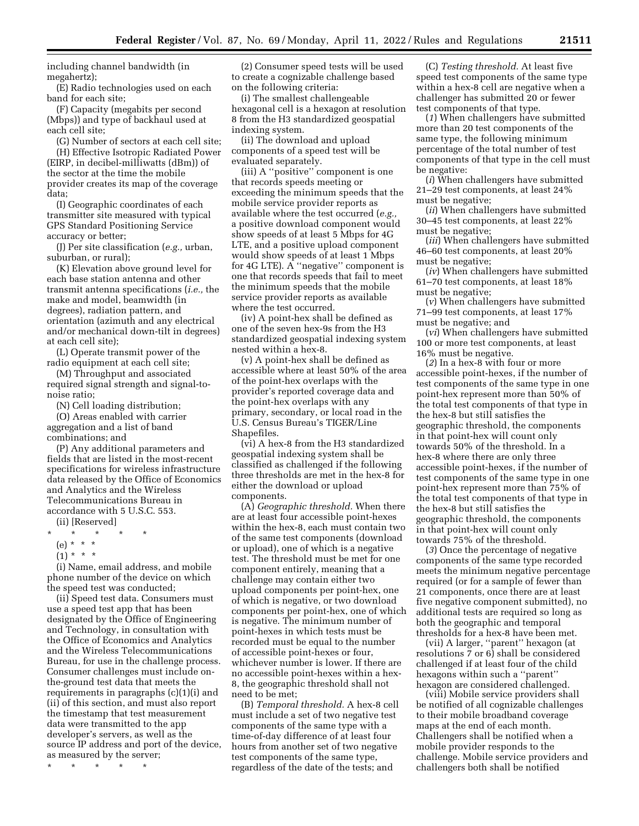including channel bandwidth (in megahertz);

(E) Radio technologies used on each band for each site;

(F) Capacity (megabits per second (Mbps)) and type of backhaul used at each cell site;

(G) Number of sectors at each cell site; (H) Effective Isotropic Radiated Power (EIRP, in decibel-milliwatts (dBm)) of the sector at the time the mobile provider creates its map of the coverage data;

(I) Geographic coordinates of each transmitter site measured with typical GPS Standard Positioning Service accuracy or better;

(J) Per site classification (*e.g.,* urban, suburban, or rural);

(K) Elevation above ground level for each base station antenna and other transmit antenna specifications (*i.e.,* the make and model, beamwidth (in degrees), radiation pattern, and orientation (azimuth and any electrical and/or mechanical down-tilt in degrees) at each cell site);

(L) Operate transmit power of the radio equipment at each cell site;

(M) Throughput and associated required signal strength and signal-tonoise ratio;

(N) Cell loading distribution;

(O) Areas enabled with carrier aggregation and a list of band combinations; and

(P) Any additional parameters and fields that are listed in the most-recent specifications for wireless infrastructure data released by the Office of Economics and Analytics and the Wireless Telecommunications Bureau in accordance with 5 U.S.C. 553.

- (ii) [Reserved]
- $\star$   $\star$
- (e) \* \* \*
- $(1) * * * *$

(i) Name, email address, and mobile phone number of the device on which the speed test was conducted;

(ii) Speed test data. Consumers must use a speed test app that has been designated by the Office of Engineering and Technology, in consultation with the Office of Economics and Analytics and the Wireless Telecommunications Bureau, for use in the challenge process. Consumer challenges must include onthe-ground test data that meets the requirements in paragraphs (c)(1)(i) and (ii) of this section, and must also report the timestamp that test measurement data were transmitted to the app developer's servers, as well as the source IP address and port of the device, as measured by the server;

\* \* \* \* \*

(2) Consumer speed tests will be used to create a cognizable challenge based on the following criteria:

(i) The smallest challengeable hexagonal cell is a hexagon at resolution 8 from the H3 standardized geospatial indexing system.

(ii) The download and upload components of a speed test will be evaluated separately.

(iii) A ''positive'' component is one that records speeds meeting or exceeding the minimum speeds that the mobile service provider reports as available where the test occurred (*e.g.,*  a positive download component would show speeds of at least 5 Mbps for 4G LTE, and a positive upload component would show speeds of at least 1 Mbps for 4G LTE). A ''negative'' component is one that records speeds that fail to meet the minimum speeds that the mobile service provider reports as available where the test occurred.

(iv) A point-hex shall be defined as one of the seven hex-9s from the H3 standardized geospatial indexing system nested within a hex-8.

(v) A point-hex shall be defined as accessible where at least 50% of the area of the point-hex overlaps with the provider's reported coverage data and the point-hex overlaps with any primary, secondary, or local road in the U.S. Census Bureau's TIGER/Line Shapefiles.

(vi) A hex-8 from the H3 standardized geospatial indexing system shall be classified as challenged if the following three thresholds are met in the hex-8 for either the download or upload components.

(A) *Geographic threshold.* When there are at least four accessible point-hexes within the hex-8, each must contain two of the same test components (download or upload), one of which is a negative test. The threshold must be met for one component entirely, meaning that a challenge may contain either two upload components per point-hex, one of which is negative, or two download components per point-hex, one of which is negative. The minimum number of point-hexes in which tests must be recorded must be equal to the number of accessible point-hexes or four, whichever number is lower. If there are no accessible point-hexes within a hex-8, the geographic threshold shall not need to be met;

(B) *Temporal threshold.* A hex-8 cell must include a set of two negative test components of the same type with a time-of-day difference of at least four hours from another set of two negative test components of the same type, regardless of the date of the tests; and

(C) *Testing threshold.* At least five speed test components of the same type within a hex-8 cell are negative when a challenger has submitted 20 or fewer test components of that type.

(*1*) When challengers have submitted more than 20 test components of the same type, the following minimum percentage of the total number of test components of that type in the cell must be negative:

(*i*) When challengers have submitted 21–29 test components, at least 24% must be negative;

(*ii*) When challengers have submitted 30–45 test components, at least 22% must be negative;

(*iii*) When challengers have submitted 46–60 test components, at least 20% must be negative;

(*iv*) When challengers have submitted 61–70 test components, at least 18% must be negative;

(*v*) When challengers have submitted 71–99 test components, at least 17% must be negative; and

(*vi*) When challengers have submitted 100 or more test components, at least 16% must be negative.

(*2*) In a hex-8 with four or more accessible point-hexes, if the number of test components of the same type in one point-hex represent more than 50% of the total test components of that type in the hex-8 but still satisfies the geographic threshold, the components in that point-hex will count only towards 50% of the threshold. In a hex-8 where there are only three accessible point-hexes, if the number of test components of the same type in one point-hex represent more than 75% of the total test components of that type in the hex-8 but still satisfies the geographic threshold, the components in that point-hex will count only towards 75% of the threshold.

(*3*) Once the percentage of negative components of the same type recorded meets the minimum negative percentage required (or for a sample of fewer than 21 components, once there are at least five negative component submitted), no additional tests are required so long as both the geographic and temporal thresholds for a hex-8 have been met.

(vii) A larger, ''parent'' hexagon (at resolutions 7 or 6) shall be considered challenged if at least four of the child hexagons within such a "parent" hexagon are considered challenged.

(viii) Mobile service providers shall be notified of all cognizable challenges to their mobile broadband coverage maps at the end of each month. Challengers shall be notified when a mobile provider responds to the challenge. Mobile service providers and challengers both shall be notified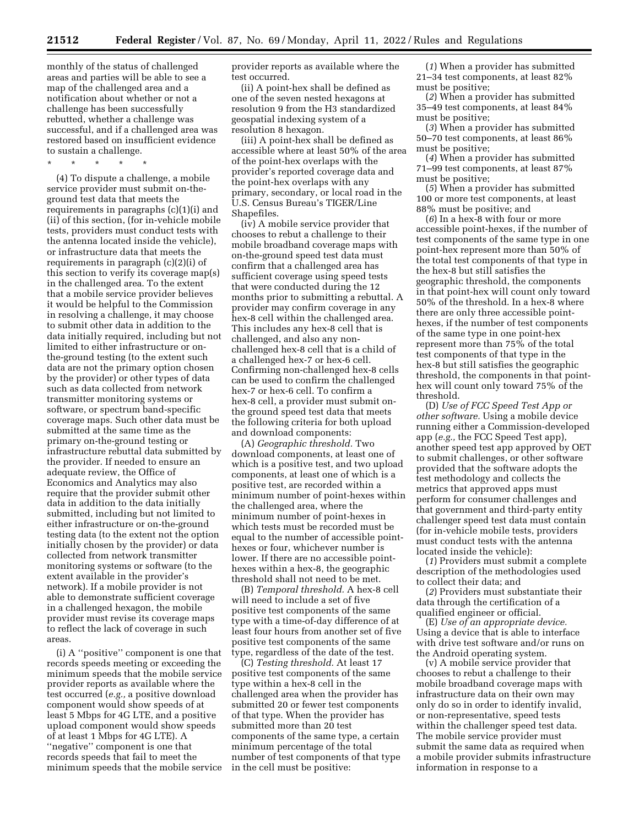monthly of the status of challenged areas and parties will be able to see a map of the challenged area and a notification about whether or not a challenge has been successfully rebutted, whether a challenge was successful, and if a challenged area was restored based on insufficient evidence to sustain a challenge.

\* \* \* \* \*

(4) To dispute a challenge, a mobile service provider must submit on-theground test data that meets the requirements in paragraphs (c)(1)(i) and (ii) of this section, (for in-vehicle mobile tests, providers must conduct tests with the antenna located inside the vehicle), or infrastructure data that meets the requirements in paragraph (c)(2)(i) of this section to verify its coverage map(s) in the challenged area. To the extent that a mobile service provider believes it would be helpful to the Commission in resolving a challenge, it may choose to submit other data in addition to the data initially required, including but not limited to either infrastructure or onthe-ground testing (to the extent such data are not the primary option chosen by the provider) or other types of data such as data collected from network transmitter monitoring systems or software, or spectrum band-specific coverage maps. Such other data must be submitted at the same time as the primary on-the-ground testing or infrastructure rebuttal data submitted by the provider. If needed to ensure an adequate review, the Office of Economics and Analytics may also require that the provider submit other data in addition to the data initially submitted, including but not limited to either infrastructure or on-the-ground testing data (to the extent not the option initially chosen by the provider) or data collected from network transmitter monitoring systems or software (to the extent available in the provider's network). If a mobile provider is not able to demonstrate sufficient coverage in a challenged hexagon, the mobile provider must revise its coverage maps to reflect the lack of coverage in such areas.

(i) A ''positive'' component is one that records speeds meeting or exceeding the minimum speeds that the mobile service provider reports as available where the test occurred (*e.g.,* a positive download component would show speeds of at least 5 Mbps for 4G LTE, and a positive upload component would show speeds of at least 1 Mbps for 4G LTE). A ''negative'' component is one that records speeds that fail to meet the minimum speeds that the mobile service provider reports as available where the test occurred.

(ii) A point-hex shall be defined as one of the seven nested hexagons at resolution 9 from the H3 standardized geospatial indexing system of a resolution 8 hexagon.

(iii) A point-hex shall be defined as accessible where at least 50% of the area of the point-hex overlaps with the provider's reported coverage data and the point-hex overlaps with any primary, secondary, or local road in the U.S. Census Bureau's TIGER/Line Shapefiles.

(iv) A mobile service provider that chooses to rebut a challenge to their mobile broadband coverage maps with on-the-ground speed test data must confirm that a challenged area has sufficient coverage using speed tests that were conducted during the 12 months prior to submitting a rebuttal. A provider may confirm coverage in any hex-8 cell within the challenged area. This includes any hex-8 cell that is challenged, and also any nonchallenged hex-8 cell that is a child of a challenged hex-7 or hex-6 cell. Confirming non-challenged hex-8 cells can be used to confirm the challenged hex-7 or hex-6 cell. To confirm a hex-8 cell, a provider must submit onthe ground speed test data that meets the following criteria for both upload and download components:

(A) *Geographic threshold.* Two download components, at least one of which is a positive test, and two upload components, at least one of which is a positive test, are recorded within a minimum number of point-hexes within the challenged area, where the minimum number of point-hexes in which tests must be recorded must be equal to the number of accessible pointhexes or four, whichever number is lower. If there are no accessible pointhexes within a hex-8, the geographic threshold shall not need to be met.

(B) *Temporal threshold.* A hex-8 cell will need to include a set of five positive test components of the same type with a time-of-day difference of at least four hours from another set of five positive test components of the same type, regardless of the date of the test.

(C) *Testing threshold.* At least 17 positive test components of the same type within a hex-8 cell in the challenged area when the provider has submitted 20 or fewer test components of that type. When the provider has submitted more than 20 test components of the same type, a certain minimum percentage of the total number of test components of that type in the cell must be positive:

(*1*) When a provider has submitted 21–34 test components, at least 82% must be positive;

(*2*) When a provider has submitted 35–49 test components, at least 84% must be positive;

(*3*) When a provider has submitted 50–70 test components, at least 86% must be positive;

(*4*) When a provider has submitted 71–99 test components, at least 87% must be positive;

(*5*) When a provider has submitted 100 or more test components, at least 88% must be positive; and

(*6*) In a hex-8 with four or more accessible point-hexes, if the number of test components of the same type in one point-hex represent more than 50% of the total test components of that type in the hex-8 but still satisfies the geographic threshold, the components in that point-hex will count only toward 50% of the threshold. In a hex-8 where there are only three accessible pointhexes, if the number of test components of the same type in one point-hex represent more than 75% of the total test components of that type in the hex-8 but still satisfies the geographic threshold, the components in that pointhex will count only toward 75% of the threshold.

(D) *Use of FCC Speed Test App or other software.* Using a mobile device running either a Commission-developed app (*e.g.,* the FCC Speed Test app), another speed test app approved by OET to submit challenges, or other software provided that the software adopts the test methodology and collects the metrics that approved apps must perform for consumer challenges and that government and third-party entity challenger speed test data must contain (for in-vehicle mobile tests, providers must conduct tests with the antenna located inside the vehicle):

(*1*) Providers must submit a complete description of the methodologies used to collect their data; and

(*2*) Providers must substantiate their data through the certification of a qualified engineer or official.

(E) *Use of an appropriate device.*  Using a device that is able to interface with drive test software and/or runs on the Android operating system.

(v) A mobile service provider that chooses to rebut a challenge to their mobile broadband coverage maps with infrastructure data on their own may only do so in order to identify invalid, or non-representative, speed tests within the challenger speed test data. The mobile service provider must submit the same data as required when a mobile provider submits infrastructure information in response to a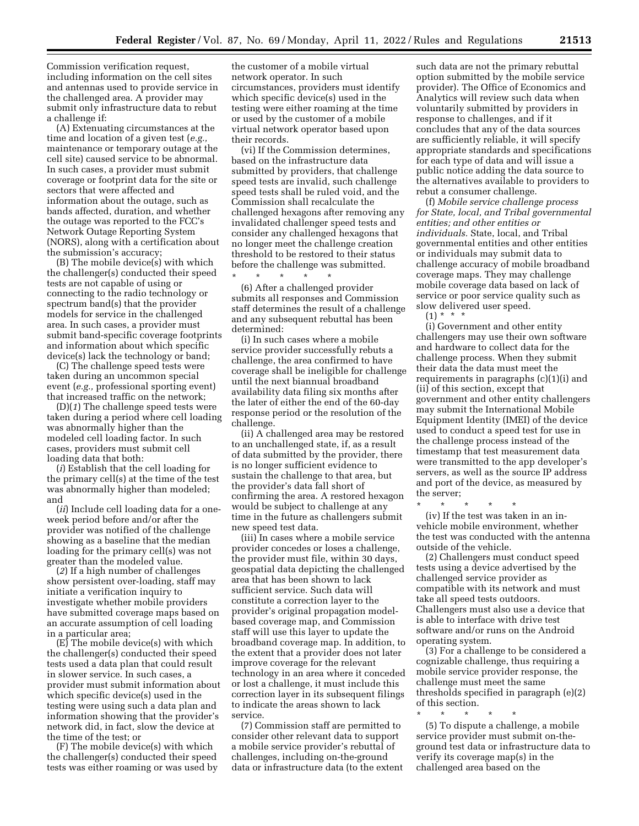Commission verification request, including information on the cell sites and antennas used to provide service in the challenged area. A provider may submit only infrastructure data to rebut a challenge if:

(A) Extenuating circumstances at the time and location of a given test (*e.g.,*  maintenance or temporary outage at the cell site) caused service to be abnormal. In such cases, a provider must submit coverage or footprint data for the site or sectors that were affected and information about the outage, such as bands affected, duration, and whether the outage was reported to the FCC's Network Outage Reporting System (NORS), along with a certification about the submission's accuracy;

(B) The mobile device(s) with which the challenger(s) conducted their speed tests are not capable of using or connecting to the radio technology or spectrum band(s) that the provider models for service in the challenged area. In such cases, a provider must submit band-specific coverage footprints and information about which specific device(s) lack the technology or band;

(C) The challenge speed tests were taken during an uncommon special event (*e.g.,* professional sporting event) that increased traffic on the network;

(D)(*1*) The challenge speed tests were taken during a period where cell loading was abnormally higher than the modeled cell loading factor. In such cases, providers must submit cell loading data that both:

(*i*) Establish that the cell loading for the primary cell(s) at the time of the test was abnormally higher than modeled; and

(*ii*) Include cell loading data for a oneweek period before and/or after the provider was notified of the challenge showing as a baseline that the median loading for the primary cell(s) was not greater than the modeled value.

(*2*) If a high number of challenges show persistent over-loading, staff may initiate a verification inquiry to investigate whether mobile providers have submitted coverage maps based on an accurate assumption of cell loading in a particular area;

(E) The mobile device(s) with which the challenger(s) conducted their speed tests used a data plan that could result in slower service. In such cases, a provider must submit information about which specific device(s) used in the testing were using such a data plan and information showing that the provider's network did, in fact, slow the device at the time of the test; or

(F) The mobile device(s) with which the challenger(s) conducted their speed tests was either roaming or was used by

the customer of a mobile virtual network operator. In such circumstances, providers must identify which specific device(s) used in the testing were either roaming at the time or used by the customer of a mobile virtual network operator based upon their records.

(vi) If the Commission determines, based on the infrastructure data submitted by providers, that challenge speed tests are invalid, such challenge speed tests shall be ruled void, and the Commission shall recalculate the challenged hexagons after removing any invalidated challenger speed tests and consider any challenged hexagons that no longer meet the challenge creation threshold to be restored to their status before the challenge was submitted.

\* \* \* \* \* (6) After a challenged provider submits all responses and Commission staff determines the result of a challenge and any subsequent rebuttal has been determined:

(i) In such cases where a mobile service provider successfully rebuts a challenge, the area confirmed to have coverage shall be ineligible for challenge until the next biannual broadband availability data filing six months after the later of either the end of the 60-day response period or the resolution of the challenge.

(ii) A challenged area may be restored to an unchallenged state, if, as a result of data submitted by the provider, there is no longer sufficient evidence to sustain the challenge to that area, but the provider's data fall short of confirming the area. A restored hexagon would be subject to challenge at any time in the future as challengers submit new speed test data.

(iii) In cases where a mobile service provider concedes or loses a challenge, the provider must file, within 30 days, geospatial data depicting the challenged area that has been shown to lack sufficient service. Such data will constitute a correction layer to the provider's original propagation modelbased coverage map, and Commission staff will use this layer to update the broadband coverage map. In addition, to the extent that a provider does not later improve coverage for the relevant technology in an area where it conceded or lost a challenge, it must include this correction layer in its subsequent filings to indicate the areas shown to lack service.

(7) Commission staff are permitted to consider other relevant data to support a mobile service provider's rebuttal of challenges, including on-the-ground data or infrastructure data (to the extent such data are not the primary rebuttal option submitted by the mobile service provider). The Office of Economics and Analytics will review such data when voluntarily submitted by providers in response to challenges, and if it concludes that any of the data sources are sufficiently reliable, it will specify appropriate standards and specifications for each type of data and will issue a public notice adding the data source to the alternatives available to providers to rebut a consumer challenge.

(f) *Mobile service challenge process for State, local, and Tribal governmental entities; and other entities or individuals.* State, local, and Tribal governmental entities and other entities or individuals may submit data to challenge accuracy of mobile broadband coverage maps. They may challenge mobile coverage data based on lack of service or poor service quality such as slow delivered user speed.

 $(1) * * * *$ 

(i) Government and other entity challengers may use their own software and hardware to collect data for the challenge process. When they submit their data the data must meet the requirements in paragraphs (c)(1)(i) and (ii) of this section, except that government and other entity challengers may submit the International Mobile Equipment Identity (IMEI) of the device used to conduct a speed test for use in the challenge process instead of the timestamp that test measurement data were transmitted to the app developer's servers, as well as the source IP address and port of the device, as measured by the server;

\* \* \* \* \* (iv) If the test was taken in an invehicle mobile environment, whether the test was conducted with the antenna outside of the vehicle.

(2) Challengers must conduct speed tests using a device advertised by the challenged service provider as compatible with its network and must take all speed tests outdoors. Challengers must also use a device that is able to interface with drive test software and/or runs on the Android operating system.

(3) For a challenge to be considered a cognizable challenge, thus requiring a mobile service provider response, the challenge must meet the same thresholds specified in paragraph (e)(2) of this section.

\* \* \* \* \* (5) To dispute a challenge, a mobile service provider must submit on-theground test data or infrastructure data to verify its coverage map(s) in the challenged area based on the